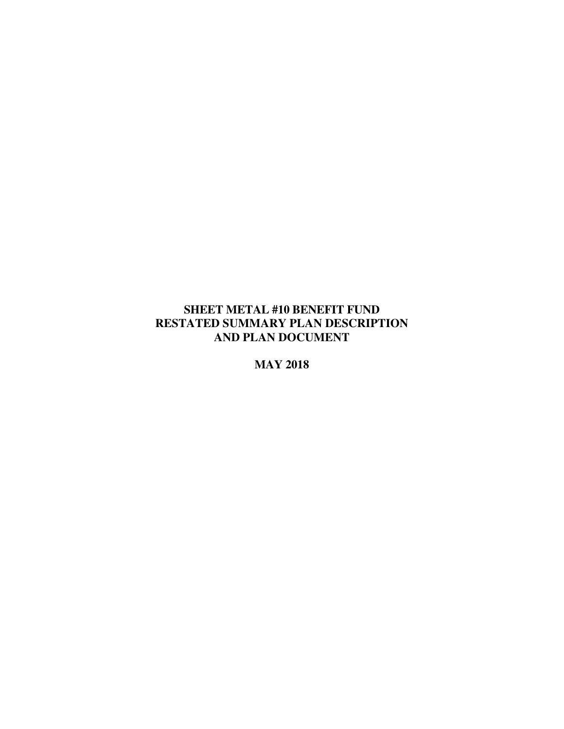### **SHEET METAL #10 BENEFIT FUND RESTATED SUMMARY PLAN DESCRIPTION AND PLAN DOCUMENT**

**MAY 2018**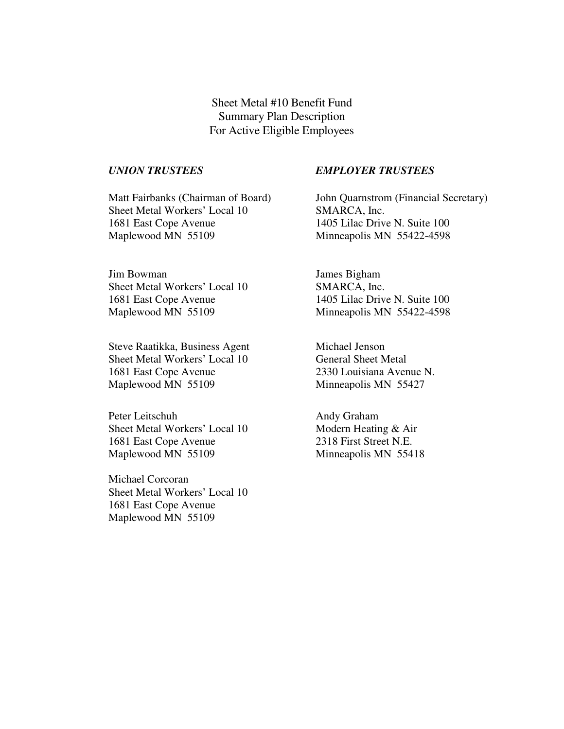Sheet Metal #10 Benefit Fund Summary Plan Description For Active Eligible Employees

Matt Fairbanks (Chairman of Board) Sheet Metal Workers' Local 10 1681 East Cope Avenue Maplewood MN 55109

Jim Bowman Sheet Metal Workers' Local 10 1681 East Cope Avenue Maplewood MN 55109

Steve Raatikka, Business Agent Sheet Metal Workers' Local 10 1681 East Cope Avenue Maplewood MN 55109

Peter Leitschuh Sheet Metal Workers' Local 10 1681 East Cope Avenue Maplewood MN 55109

Michael Corcoran Sheet Metal Workers' Local 10 1681 East Cope Avenue Maplewood MN 55109

#### *UNION TRUSTEES EMPLOYER TRUSTEES*

John Quarnstrom (Financial Secretary) SMARCA, Inc. 1405 Lilac Drive N. Suite 100 Minneapolis MN 55422-4598

James Bigham SMARCA, Inc. 1405 Lilac Drive N. Suite 100 Minneapolis MN 55422-4598

Michael Jenson General Sheet Metal 2330 Louisiana Avenue N. Minneapolis MN 55427

Andy Graham Modern Heating & Air 2318 First Street N.E. Minneapolis MN 55418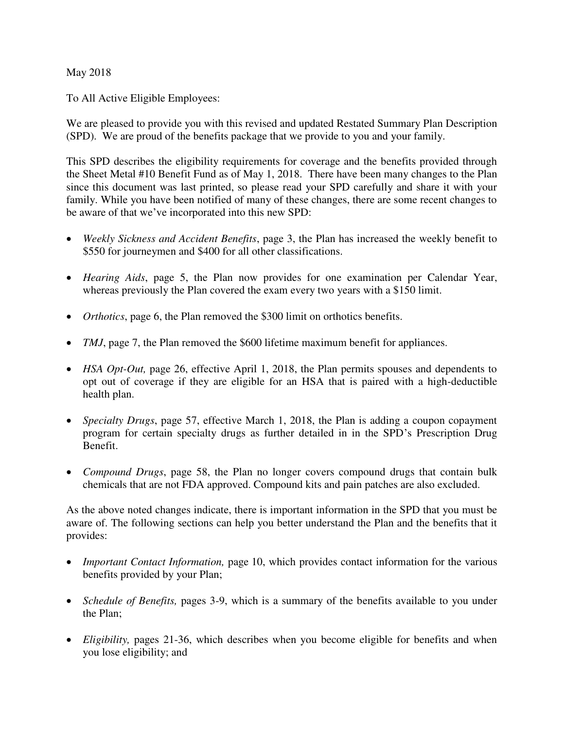May 2018

To All Active Eligible Employees:

We are pleased to provide you with this revised and updated Restated Summary Plan Description (SPD). We are proud of the benefits package that we provide to you and your family.

This SPD describes the eligibility requirements for coverage and the benefits provided through the Sheet Metal #10 Benefit Fund as of May 1, 2018. There have been many changes to the Plan since this document was last printed, so please read your SPD carefully and share it with your family. While you have been notified of many of these changes, there are some recent changes to be aware of that we've incorporated into this new SPD:

- *Weekly Sickness and Accident Benefits*, page 3, the Plan has increased the weekly benefit to \$550 for journeymen and \$400 for all other classifications.
- *Hearing Aids*, page 5, the Plan now provides for one examination per Calendar Year, whereas previously the Plan covered the exam every two years with a \$150 limit.
- *Orthotics*, page 6, the Plan removed the \$300 limit on orthotics benefits.
- *TMJ*, page 7, the Plan removed the \$600 lifetime maximum benefit for appliances.
- *HSA Opt-Out,* page 26, effective April 1, 2018, the Plan permits spouses and dependents to opt out of coverage if they are eligible for an HSA that is paired with a high-deductible health plan.
- *Specialty Drugs*, page 57, effective March 1, 2018, the Plan is adding a coupon copayment program for certain specialty drugs as further detailed in in the SPD's Prescription Drug Benefit.
- *Compound Drugs*, page 58, the Plan no longer covers compound drugs that contain bulk chemicals that are not FDA approved. Compound kits and pain patches are also excluded.

As the above noted changes indicate, there is important information in the SPD that you must be aware of. The following sections can help you better understand the Plan and the benefits that it provides:

- *Important Contact Information,* page 10, which provides contact information for the various benefits provided by your Plan;
- *Schedule of Benefits, pages [3-](#page-10-0)9, which is a summary of the benefits available to you under* the Plan;
- *Eligibility,* pages 21-36, which describes when you become eligible for benefits and when you lose eligibility; and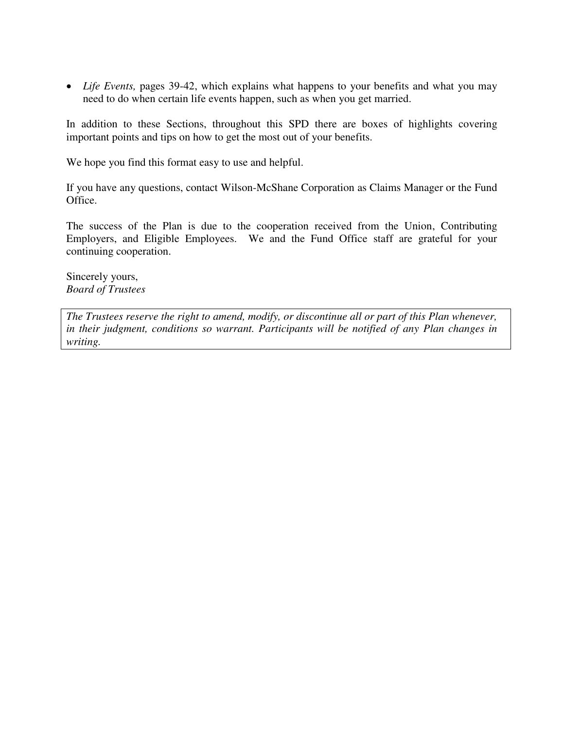• *Life Events, pages 39-42, which explains what happens to your benefits and what you may* need to do when certain life events happen, such as when you get married.

In addition to these Sections, throughout this SPD there are boxes of highlights covering important points and tips on how to get the most out of your benefits.

We hope you find this format easy to use and helpful.

If you have any questions, contact Wilson-McShane Corporation as Claims Manager or the Fund Office.

The success of the Plan is due to the cooperation received from the Union, Contributing Employers, and Eligible Employees. We and the Fund Office staff are grateful for your continuing cooperation.

Sincerely yours, *Board of Trustees* 

*The Trustees reserve the right to amend, modify, or discontinue all or part of this Plan whenever, in their judgment, conditions so warrant. Participants will be notified of any Plan changes in writing.*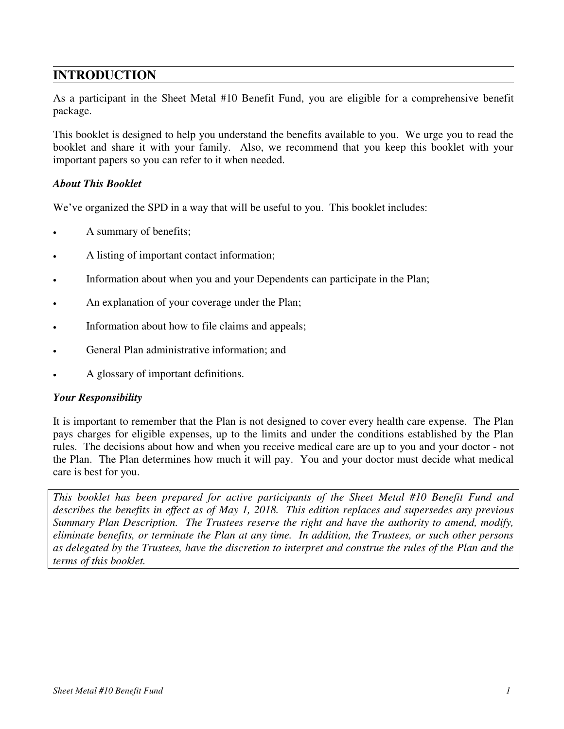### **INTRODUCTION**

As a participant in the Sheet Metal #10 Benefit Fund, you are eligible for a comprehensive benefit package.

This booklet is designed to help you understand the benefits available to you. We urge you to read the booklet and share it with your family. Also, we recommend that you keep this booklet with your important papers so you can refer to it when needed.

#### *About This Booklet*

We've organized the SPD in a way that will be useful to you. This booklet includes:

- A summary of benefits;
- A listing of important contact information;
- Information about when you and your Dependents can participate in the Plan;
- An explanation of your coverage under the Plan;
- Information about how to file claims and appeals;
- General Plan administrative information; and
- A glossary of important definitions.

#### *Your Responsibility*

It is important to remember that the Plan is not designed to cover every health care expense. The Plan pays charges for eligible expenses, up to the limits and under the conditions established by the Plan rules. The decisions about how and when you receive medical care are up to you and your doctor - not the Plan. The Plan determines how much it will pay. You and your doctor must decide what medical care is best for you.

*This booklet has been prepared for active participants of the Sheet Metal #10 Benefit Fund and describes the benefits in effect as of May 1, 2018. This edition replaces and supersedes any previous Summary Plan Description. The Trustees reserve the right and have the authority to amend, modify, eliminate benefits, or terminate the Plan at any time. In addition, the Trustees, or such other persons as delegated by the Trustees, have the discretion to interpret and construe the rules of the Plan and the terms of this booklet.*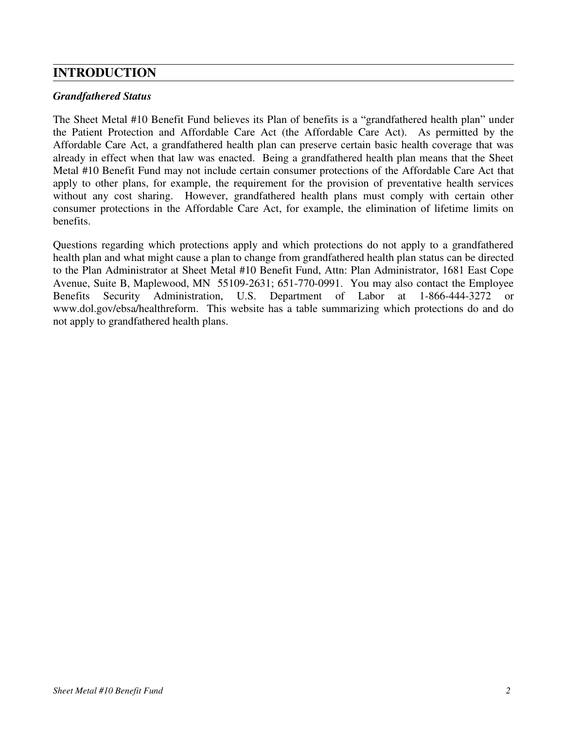### **INTRODUCTION**

#### *Grandfathered Status*

The Sheet Metal #10 Benefit Fund believes its Plan of benefits is a "grandfathered health plan" under the Patient Protection and Affordable Care Act (the Affordable Care Act). As permitted by the Affordable Care Act, a grandfathered health plan can preserve certain basic health coverage that was already in effect when that law was enacted. Being a grandfathered health plan means that the Sheet Metal #10 Benefit Fund may not include certain consumer protections of the Affordable Care Act that apply to other plans, for example, the requirement for the provision of preventative health services without any cost sharing. However, grandfathered health plans must comply with certain other consumer protections in the Affordable Care Act, for example, the elimination of lifetime limits on benefits.

Questions regarding which protections apply and which protections do not apply to a grandfathered health plan and what might cause a plan to change from grandfathered health plan status can be directed to the Plan Administrator at Sheet Metal #10 Benefit Fund, Attn: Plan Administrator, 1681 East Cope Avenue, Suite B, Maplewood, MN 55109-2631; 651-770-0991. You may also contact the Employee Benefits Security Administration, U.S. Department of Labor at 1-866-444-3272 or www.dol.gov/ebsa/healthreform. This website has a table summarizing which protections do and do not apply to grandfathered health plans.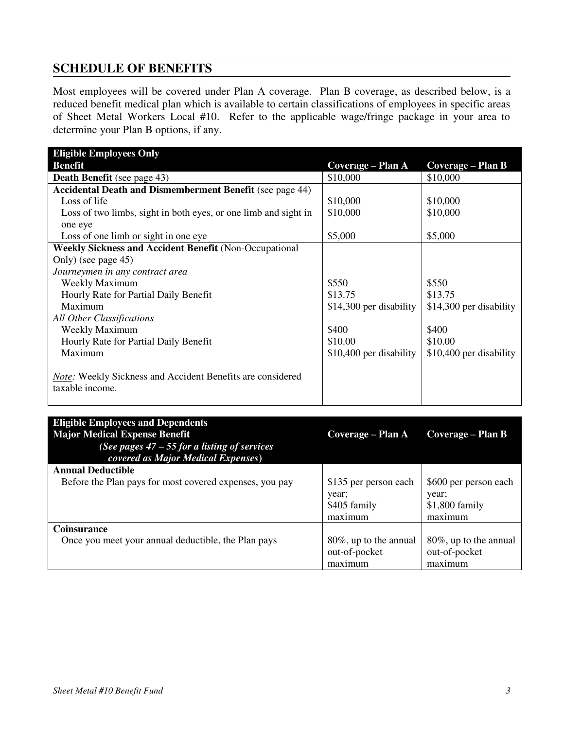<span id="page-10-0"></span>Most employees will be covered under Plan A coverage. Plan B coverage, as described below, is a reduced benefit medical plan which is available to certain classifications of employees in specific areas of Sheet Metal Workers Local #10. Refer to the applicable wage/fringe package in your area to determine your Plan B options, if any.

| <b>Eligible Employees Only</b>                                                       |                         |                         |
|--------------------------------------------------------------------------------------|-------------------------|-------------------------|
| <b>Benefit</b>                                                                       | Coverage – Plan A       | Coverage – Plan B       |
| <b>Death Benefit</b> (see page 43)                                                   | \$10,000                | \$10,000                |
| <b>Accidental Death and Dismemberment Benefit</b> (see page 44)                      |                         |                         |
| Loss of life                                                                         | \$10,000                | \$10,000                |
| Loss of two limbs, sight in both eyes, or one limb and sight in                      | \$10,000                | \$10,000                |
| one eye                                                                              |                         |                         |
| Loss of one limb or sight in one eye                                                 | \$5,000                 | \$5,000                 |
| <b>Weekly Sickness and Accident Benefit (Non-Occupational</b>                        |                         |                         |
| Only) (see page 45)                                                                  |                         |                         |
| Journeymen in any contract area                                                      |                         |                         |
| Weekly Maximum                                                                       | \$550                   | \$550                   |
| Hourly Rate for Partial Daily Benefit                                                | \$13.75                 | \$13.75                 |
| Maximum                                                                              | \$14,300 per disability | \$14,300 per disability |
| <b>All Other Classifications</b>                                                     |                         |                         |
| <b>Weekly Maximum</b>                                                                | \$400                   | \$400                   |
| Hourly Rate for Partial Daily Benefit                                                | \$10.00                 | \$10.00                 |
| Maximum                                                                              | \$10,400 per disability | \$10,400 per disability |
| <b>Note:</b> Weekly Sickness and Accident Benefits are considered<br>taxable income. |                         |                         |

| <b>Eligible Employees and Dependents</b><br><b>Major Medical Expense Benefit</b><br>(See pages $47 - 55$ for a listing of services<br>covered as Major Medical Expenses) | Coverage – Plan A                                         | Coverage – Plan B                                            |
|--------------------------------------------------------------------------------------------------------------------------------------------------------------------------|-----------------------------------------------------------|--------------------------------------------------------------|
| <b>Annual Deductible</b>                                                                                                                                                 |                                                           |                                                              |
| Before the Plan pays for most covered expenses, you pay                                                                                                                  | \$135 per person each<br>year;<br>\$405 family<br>maximum | \$600 per person each<br>year;<br>$$1,800$ family<br>maximum |
| <b>Coinsurance</b>                                                                                                                                                       |                                                           |                                                              |
| Once you meet your annual deductible, the Plan pays                                                                                                                      | 80%, up to the annual                                     | 80%, up to the annual                                        |
|                                                                                                                                                                          | out-of-pocket                                             | out-of-pocket                                                |
|                                                                                                                                                                          | maximum                                                   | maximum                                                      |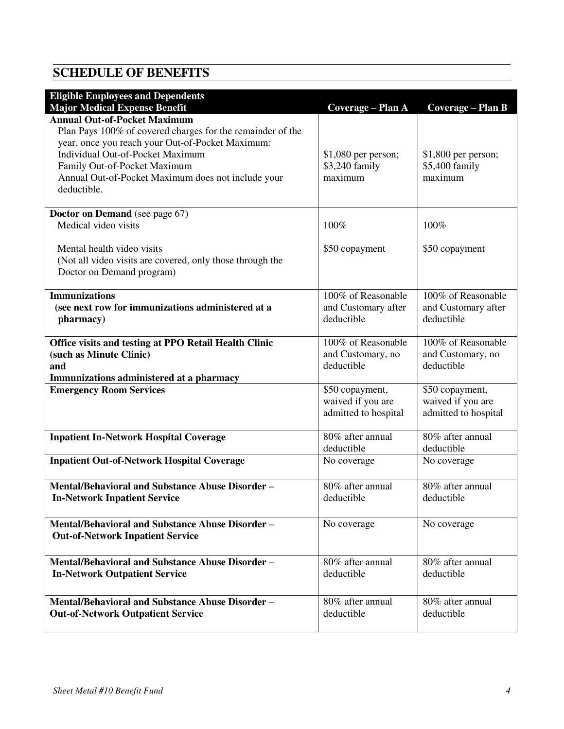| <b>Eligible Employees and Dependents</b><br><b>Major Medical Expense Benefit</b> | Coverage - Plan A         | Coverage - Plan B                |
|----------------------------------------------------------------------------------|---------------------------|----------------------------------|
| <b>Annual Out-of-Pocket Maximum</b>                                              |                           |                                  |
| Plan Pays 100% of covered charges for the remainder of the                       |                           |                                  |
| year, once you reach your Out-of-Pocket Maximum:                                 |                           |                                  |
| Individual Out-of-Pocket Maximum                                                 | $$1,080$ per person;      | $$1,800$ per person;             |
| Family Out-of-Pocket Maximum                                                     | \$3,240 family<br>maximum | \$5,400 family                   |
| Annual Out-of-Pocket Maximum does not include your<br>deductible.                |                           | maximum                          |
|                                                                                  |                           |                                  |
| <b>Doctor on Demand</b> (see page 67)                                            |                           |                                  |
| Medical video visits                                                             | 100%                      | 100%                             |
|                                                                                  |                           |                                  |
| Mental health video visits                                                       | \$50 copayment            | \$50 copayment                   |
| (Not all video visits are covered, only those through the                        |                           |                                  |
| Doctor on Demand program)                                                        |                           |                                  |
| <b>Immunizations</b>                                                             | 100% of Reasonable        | $\overline{100\%}$ of Reasonable |
| (see next row for immunizations administered at a                                | and Customary after       | and Customary after              |
| pharmacy)                                                                        | deductible                | deductible                       |
|                                                                                  |                           |                                  |
| Office visits and testing at PPO Retail Health Clinic                            | 100% of Reasonable        | 100% of Reasonable               |
| (such as Minute Clinic)                                                          | and Customary, no         | and Customary, no                |
| and                                                                              | deductible                | deductible                       |
| Immunizations administered at a pharmacy<br><b>Emergency Room Services</b>       | \$50 copayment,           | \$50 copayment,                  |
|                                                                                  | waived if you are         | waived if you are                |
|                                                                                  | admitted to hospital      | admitted to hospital             |
|                                                                                  |                           |                                  |
| <b>Inpatient In-Network Hospital Coverage</b>                                    | 80% after annual          | 80% after annual                 |
|                                                                                  | deductible                | deductible                       |
| <b>Inpatient Out-of-Network Hospital Coverage</b>                                | No coverage               | No coverage                      |
| <b>Mental/Behavioral and Substance Abuse Disorder -</b>                          | 80% after annual          | 80% after annual                 |
| <b>In-Network Inpatient Service</b>                                              | deductible                | deductible                       |
|                                                                                  |                           |                                  |
| <b>Mental/Behavioral and Substance Abuse Disorder -</b>                          | No coverage               | No coverage                      |
| <b>Out-of-Network Inpatient Service</b>                                          |                           |                                  |
|                                                                                  |                           |                                  |
| <b>Mental/Behavioral and Substance Abuse Disorder -</b>                          | 80% after annual          | 80% after annual                 |
| <b>In-Network Outpatient Service</b>                                             | deductible                | deductible                       |
|                                                                                  |                           |                                  |
| <b>Mental/Behavioral and Substance Abuse Disorder -</b>                          | 80% after annual          | 80% after annual                 |
| <b>Out-of-Network Outpatient Service</b>                                         | deductible                | deductible                       |
|                                                                                  |                           |                                  |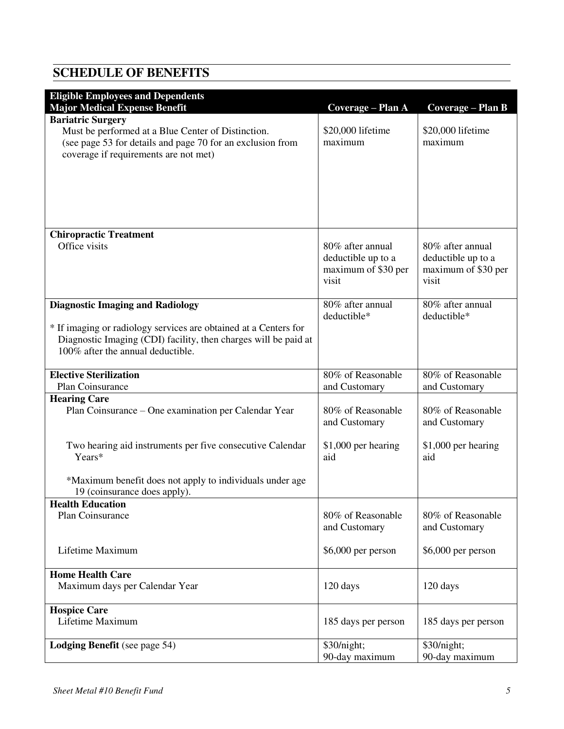| <b>Eligible Employees and Dependents</b>                         |                     |                     |
|------------------------------------------------------------------|---------------------|---------------------|
| <b>Major Medical Expense Benefit</b>                             | Coverage - Plan A   | Coverage - Plan B   |
| <b>Bariatric Surgery</b>                                         |                     |                     |
| Must be performed at a Blue Center of Distinction.               | \$20,000 lifetime   | \$20,000 lifetime   |
| (see page 53 for details and page 70 for an exclusion from       | maximum             | maximum             |
| coverage if requirements are not met)                            |                     |                     |
|                                                                  |                     |                     |
|                                                                  |                     |                     |
|                                                                  |                     |                     |
|                                                                  |                     |                     |
|                                                                  |                     |                     |
|                                                                  |                     |                     |
| <b>Chiropractic Treatment</b>                                    |                     |                     |
| Office visits                                                    | 80% after annual    | 80% after annual    |
|                                                                  | deductible up to a  | deductible up to a  |
|                                                                  | maximum of \$30 per | maximum of \$30 per |
|                                                                  | visit               | visit               |
|                                                                  |                     |                     |
| <b>Diagnostic Imaging and Radiology</b>                          | 80% after annual    | 80% after annual    |
|                                                                  | deductible*         | deductible*         |
| * If imaging or radiology services are obtained at a Centers for |                     |                     |
| Diagnostic Imaging (CDI) facility, then charges will be paid at  |                     |                     |
| 100% after the annual deductible.                                |                     |                     |
|                                                                  |                     |                     |
| <b>Elective Sterilization</b>                                    | 80% of Reasonable   | 80% of Reasonable   |
| Plan Coinsurance                                                 | and Customary       | and Customary       |
| <b>Hearing Care</b>                                              |                     |                     |
| Plan Coinsurance – One examination per Calendar Year             | 80% of Reasonable   | 80% of Reasonable   |
|                                                                  | and Customary       | and Customary       |
|                                                                  |                     |                     |
| Two hearing aid instruments per five consecutive Calendar        | \$1,000 per hearing | \$1,000 per hearing |
| Years*                                                           | aid                 | aid                 |
|                                                                  |                     |                     |
| *Maximum benefit does not apply to individuals under age         |                     |                     |
| 19 (coinsurance does apply).                                     |                     |                     |
| <b>Health Education</b>                                          |                     |                     |
| Plan Coinsurance                                                 | 80% of Reasonable   | 80% of Reasonable   |
|                                                                  | and Customary       | and Customary       |
|                                                                  |                     |                     |
| Lifetime Maximum                                                 | $$6,000$ per person | \$6,000 per person  |
|                                                                  |                     |                     |
| <b>Home Health Care</b>                                          |                     |                     |
| Maximum days per Calendar Year                                   | 120 days            | 120 days            |
|                                                                  |                     |                     |
| <b>Hospice Care</b>                                              |                     |                     |
| Lifetime Maximum                                                 | 185 days per person | 185 days per person |
|                                                                  |                     |                     |
| <b>Lodging Benefit</b> (see page 54)                             | \$30/night;         | \$30/night;         |
|                                                                  | 90-day maximum      | 90-day maximum      |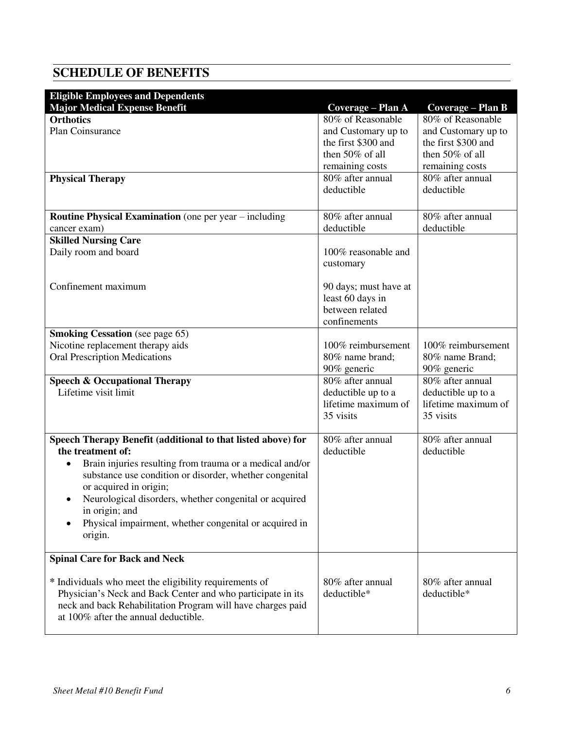| <b>Eligible Employees and Dependents</b>                              |                                  |                                  |
|-----------------------------------------------------------------------|----------------------------------|----------------------------------|
| <b>Major Medical Expense Benefit</b>                                  | Coverage – Plan A                | Coverage – Plan B                |
| <b>Orthotics</b>                                                      | 80% of Reasonable                | 80% of Reasonable                |
| Plan Coinsurance                                                      | and Customary up to              | and Customary up to              |
|                                                                       | the first \$300 and              | the first \$300 and              |
|                                                                       | then $50\%$ of all               | then 50% of all                  |
|                                                                       | remaining costs                  | remaining costs                  |
| <b>Physical Therapy</b>                                               | 80% after annual                 | 80% after annual                 |
|                                                                       | deductible                       | deductible                       |
|                                                                       |                                  |                                  |
| <b>Routine Physical Examination</b> (one per year – including         | 80% after annual                 | 80% after annual                 |
| cancer exam)                                                          | deductible                       | deductible                       |
| <b>Skilled Nursing Care</b>                                           |                                  |                                  |
| Daily room and board                                                  | 100% reasonable and              |                                  |
|                                                                       | customary                        |                                  |
|                                                                       |                                  |                                  |
| Confinement maximum                                                   | 90 days; must have at            |                                  |
|                                                                       | least 60 days in                 |                                  |
|                                                                       | between related                  |                                  |
|                                                                       | confinements                     |                                  |
| <b>Smoking Cessation</b> (see page 65)                                |                                  |                                  |
| Nicotine replacement therapy aids                                     | 100% reimbursement               | 100% reimbursement               |
| <b>Oral Prescription Medications</b>                                  | 80% name brand;                  | 80% name Brand;                  |
|                                                                       | 90% generic                      | 90% generic                      |
| <b>Speech &amp; Occupational Therapy</b>                              | 80% after annual                 | 80% after annual                 |
| Lifetime visit limit                                                  | deductible up to a               | deductible up to a               |
|                                                                       | lifetime maximum of<br>35 visits | lifetime maximum of<br>35 visits |
|                                                                       |                                  |                                  |
| Speech Therapy Benefit (additional to that listed above) for          | 80% after annual                 | 80% after annual                 |
| the treatment of:                                                     | deductible                       | deductible                       |
| Brain injuries resulting from trauma or a medical and/or<br>$\bullet$ |                                  |                                  |
| substance use condition or disorder, whether congenital               |                                  |                                  |
| or acquired in origin;                                                |                                  |                                  |
| Neurological disorders, whether congenital or acquired                |                                  |                                  |
| in origin; and                                                        |                                  |                                  |
| Physical impairment, whether congenital or acquired in                |                                  |                                  |
| origin.                                                               |                                  |                                  |
|                                                                       |                                  |                                  |
| <b>Spinal Care for Back and Neck</b>                                  |                                  |                                  |
|                                                                       |                                  |                                  |
| * Individuals who meet the eligibility requirements of                | 80% after annual                 | 80% after annual                 |
| Physician's Neck and Back Center and who participate in its           | deductible*                      | deductible*                      |
| neck and back Rehabilitation Program will have charges paid           |                                  |                                  |
| at 100% after the annual deductible.                                  |                                  |                                  |
|                                                                       |                                  |                                  |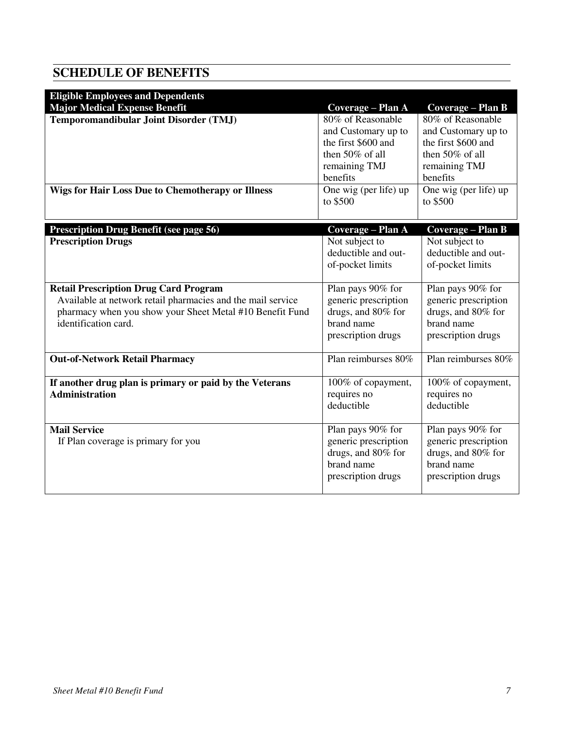| <b>Eligible Employees and Dependents</b>                    |                       |                       |
|-------------------------------------------------------------|-----------------------|-----------------------|
| <b>Major Medical Expense Benefit</b>                        | Coverage – Plan A     | Coverage – Plan B     |
| Temporomandibular Joint Disorder (TMJ)                      | 80% of Reasonable     | 80% of Reasonable     |
|                                                             | and Customary up to   | and Customary up to   |
|                                                             | the first \$600 and   | the first \$600 and   |
|                                                             | then $50\%$ of all    | then $50\%$ of all    |
|                                                             | remaining TMJ         | remaining TMJ         |
|                                                             | benefits              | benefits              |
| <b>Wigs for Hair Loss Due to Chemotherapy or Illness</b>    | One wig (per life) up | One wig (per life) up |
|                                                             | to \$500              | to \$500              |
| <b>Prescription Drug Benefit (see page 56)</b>              | Coverage - Plan A     | Coverage - Plan B     |
| <b>Prescription Drugs</b>                                   | Not subject to        | Not subject to        |
|                                                             | deductible and out-   | deductible and out-   |
|                                                             | of-pocket limits      | of-pocket limits      |
|                                                             |                       |                       |
| <b>Retail Prescription Drug Card Program</b>                | Plan pays 90% for     | Plan pays 90% for     |
| Available at network retail pharmacies and the mail service | generic prescription  | generic prescription  |
| pharmacy when you show your Sheet Metal #10 Benefit Fund    | drugs, and 80% for    | drugs, and 80% for    |
| identification card.                                        | brand name            | brand name            |
|                                                             | prescription drugs    | prescription drugs    |
| <b>Out-of-Network Retail Pharmacy</b>                       | Plan reimburses 80%   | Plan reimburses 80%   |
|                                                             |                       |                       |
| If another drug plan is primary or paid by the Veterans     | 100% of copayment,    | 100% of copayment,    |
| <b>Administration</b>                                       | requires no           | requires no           |
|                                                             | deductible            | deductible            |
|                                                             |                       |                       |
| <b>Mail Service</b>                                         | Plan pays 90% for     | Plan pays 90% for     |
| If Plan coverage is primary for you                         | generic prescription  | generic prescription  |
|                                                             | drugs, and 80% for    | drugs, and 80% for    |
|                                                             | brand name            | brand name            |
|                                                             | prescription drugs    | prescription drugs    |
|                                                             |                       |                       |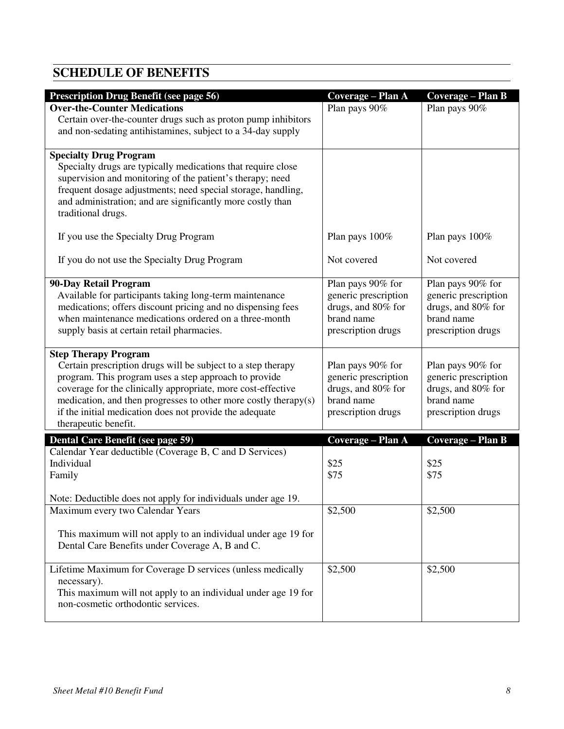| <b>Prescription Drug Benefit (see page 56)</b>                                                                                                                                                                                                                                                                                                                             | Coverage - Plan A                                                                                   | Coverage - Plan B                                                                                   |
|----------------------------------------------------------------------------------------------------------------------------------------------------------------------------------------------------------------------------------------------------------------------------------------------------------------------------------------------------------------------------|-----------------------------------------------------------------------------------------------------|-----------------------------------------------------------------------------------------------------|
| <b>Over-the-Counter Medications</b><br>Certain over-the-counter drugs such as proton pump inhibitors<br>and non-sedating antihistamines, subject to a 34-day supply                                                                                                                                                                                                        | Plan pays 90%                                                                                       | Plan pays 90%                                                                                       |
| <b>Specialty Drug Program</b><br>Specialty drugs are typically medications that require close<br>supervision and monitoring of the patient's therapy; need<br>frequent dosage adjustments; need special storage, handling,<br>and administration; and are significantly more costly than<br>traditional drugs.                                                             |                                                                                                     |                                                                                                     |
| If you use the Specialty Drug Program                                                                                                                                                                                                                                                                                                                                      | Plan pays 100%                                                                                      | Plan pays 100%                                                                                      |
| If you do not use the Specialty Drug Program                                                                                                                                                                                                                                                                                                                               | Not covered                                                                                         | Not covered                                                                                         |
| 90-Day Retail Program<br>Available for participants taking long-term maintenance<br>medications; offers discount pricing and no dispensing fees<br>when maintenance medications ordered on a three-month<br>supply basis at certain retail pharmacies.                                                                                                                     | Plan pays 90% for<br>generic prescription<br>drugs, and 80% for<br>brand name<br>prescription drugs | Plan pays 90% for<br>generic prescription<br>drugs, and 80% for<br>brand name<br>prescription drugs |
| <b>Step Therapy Program</b><br>Certain prescription drugs will be subject to a step therapy<br>program. This program uses a step approach to provide<br>coverage for the clinically appropriate, more cost-effective<br>medication, and then progresses to other more costly therapy(s)<br>if the initial medication does not provide the adequate<br>therapeutic benefit. | Plan pays 90% for<br>generic prescription<br>drugs, and 80% for<br>brand name<br>prescription drugs | Plan pays 90% for<br>generic prescription<br>drugs, and 80% for<br>brand name<br>prescription drugs |
| Dental Care Benefit (see page 59)                                                                                                                                                                                                                                                                                                                                          | Coverage - Plan A                                                                                   | Coverage - Plan B                                                                                   |
| Calendar Year deductible (Coverage B, C and D Services)<br>Individual<br>Family                                                                                                                                                                                                                                                                                            | \$25<br>\$75                                                                                        | \$25<br>\$75                                                                                        |
| Note: Deductible does not apply for individuals under age 19.                                                                                                                                                                                                                                                                                                              |                                                                                                     |                                                                                                     |
| Maximum every two Calendar Years<br>This maximum will not apply to an individual under age 19 for<br>Dental Care Benefits under Coverage A, B and C.                                                                                                                                                                                                                       | \$2,500                                                                                             | \$2,500                                                                                             |
| Lifetime Maximum for Coverage D services (unless medically<br>necessary).<br>This maximum will not apply to an individual under age 19 for<br>non-cosmetic orthodontic services.                                                                                                                                                                                           | \$2,500                                                                                             | \$2,500                                                                                             |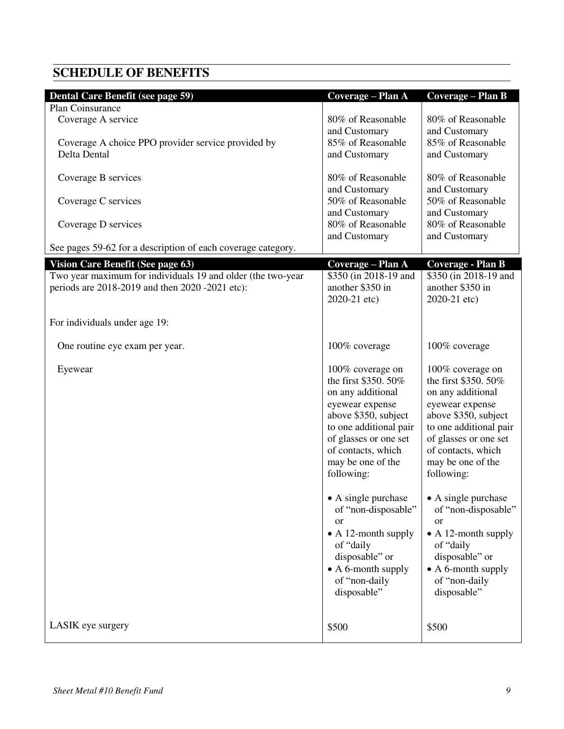| Plan Coinsurance<br>Coverage A service<br>80% of Reasonable<br>80% of Reasonable<br>and Customary<br>and Customary<br>85% of Reasonable<br>85% of Reasonable<br>Coverage A choice PPO provider service provided by<br>Delta Dental<br>and Customary<br>and Customary<br>80% of Reasonable<br>80% of Reasonable<br>Coverage B services<br>and Customary<br>and Customary<br>50% of Reasonable<br>50% of Reasonable<br>Coverage C services<br>and Customary<br>and Customary<br>80% of Reasonable<br>80% of Reasonable<br>Coverage D services<br>and Customary<br>and Customary<br>See pages 59-62 for a description of each coverage category. | Dental Care Benefit (see page 59) | Coverage - Plan A | Coverage - Plan B |
|-----------------------------------------------------------------------------------------------------------------------------------------------------------------------------------------------------------------------------------------------------------------------------------------------------------------------------------------------------------------------------------------------------------------------------------------------------------------------------------------------------------------------------------------------------------------------------------------------------------------------------------------------|-----------------------------------|-------------------|-------------------|
|                                                                                                                                                                                                                                                                                                                                                                                                                                                                                                                                                                                                                                               |                                   |                   |                   |
|                                                                                                                                                                                                                                                                                                                                                                                                                                                                                                                                                                                                                                               |                                   |                   |                   |
|                                                                                                                                                                                                                                                                                                                                                                                                                                                                                                                                                                                                                                               |                                   |                   |                   |
|                                                                                                                                                                                                                                                                                                                                                                                                                                                                                                                                                                                                                                               |                                   |                   |                   |
|                                                                                                                                                                                                                                                                                                                                                                                                                                                                                                                                                                                                                                               |                                   |                   |                   |
|                                                                                                                                                                                                                                                                                                                                                                                                                                                                                                                                                                                                                                               |                                   |                   |                   |
|                                                                                                                                                                                                                                                                                                                                                                                                                                                                                                                                                                                                                                               |                                   |                   |                   |
|                                                                                                                                                                                                                                                                                                                                                                                                                                                                                                                                                                                                                                               |                                   |                   |                   |
|                                                                                                                                                                                                                                                                                                                                                                                                                                                                                                                                                                                                                                               |                                   |                   |                   |
|                                                                                                                                                                                                                                                                                                                                                                                                                                                                                                                                                                                                                                               |                                   |                   |                   |
|                                                                                                                                                                                                                                                                                                                                                                                                                                                                                                                                                                                                                                               |                                   |                   |                   |
| <b>Vision Care Benefit (See page 63)</b><br>Coverage - Plan A<br><b>Coverage - Plan B</b>                                                                                                                                                                                                                                                                                                                                                                                                                                                                                                                                                     |                                   |                   |                   |
| \$350 (in 2018-19 and<br>Two year maximum for individuals 19 and older (the two-year<br>\$350 (in 2018-19 and                                                                                                                                                                                                                                                                                                                                                                                                                                                                                                                                 |                                   |                   |                   |
| another \$350 in<br>another \$350 in<br>periods are 2018-2019 and then 2020 -2021 etc):                                                                                                                                                                                                                                                                                                                                                                                                                                                                                                                                                       |                                   |                   |                   |
| 2020-21 etc)<br>2020-21 etc)                                                                                                                                                                                                                                                                                                                                                                                                                                                                                                                                                                                                                  |                                   |                   |                   |
|                                                                                                                                                                                                                                                                                                                                                                                                                                                                                                                                                                                                                                               |                                   |                   |                   |
| For individuals under age 19:                                                                                                                                                                                                                                                                                                                                                                                                                                                                                                                                                                                                                 |                                   |                   |                   |
| 100% coverage<br>100% coverage<br>One routine eye exam per year.                                                                                                                                                                                                                                                                                                                                                                                                                                                                                                                                                                              |                                   |                   |                   |
|                                                                                                                                                                                                                                                                                                                                                                                                                                                                                                                                                                                                                                               |                                   |                   |                   |
| 100% coverage on<br>100% coverage on<br>Eyewear                                                                                                                                                                                                                                                                                                                                                                                                                                                                                                                                                                                               |                                   |                   |                   |
| the first \$350.50%<br>the first \$350.50%                                                                                                                                                                                                                                                                                                                                                                                                                                                                                                                                                                                                    |                                   |                   |                   |
| on any additional<br>on any additional<br>eyewear expense<br>eyewear expense                                                                                                                                                                                                                                                                                                                                                                                                                                                                                                                                                                  |                                   |                   |                   |
| above \$350, subject<br>above \$350, subject                                                                                                                                                                                                                                                                                                                                                                                                                                                                                                                                                                                                  |                                   |                   |                   |
| to one additional pair<br>to one additional pair                                                                                                                                                                                                                                                                                                                                                                                                                                                                                                                                                                                              |                                   |                   |                   |
| of glasses or one set<br>of glasses or one set                                                                                                                                                                                                                                                                                                                                                                                                                                                                                                                                                                                                |                                   |                   |                   |
| of contacts, which<br>of contacts, which                                                                                                                                                                                                                                                                                                                                                                                                                                                                                                                                                                                                      |                                   |                   |                   |
| may be one of the<br>may be one of the                                                                                                                                                                                                                                                                                                                                                                                                                                                                                                                                                                                                        |                                   |                   |                   |
| following:<br>following:                                                                                                                                                                                                                                                                                                                                                                                                                                                                                                                                                                                                                      |                                   |                   |                   |
| • A single purchase<br>• A single purchase                                                                                                                                                                                                                                                                                                                                                                                                                                                                                                                                                                                                    |                                   |                   |                   |
| of "non-disposable"<br>of "non-disposable"                                                                                                                                                                                                                                                                                                                                                                                                                                                                                                                                                                                                    |                                   |                   |                   |
| <sub>or</sub><br><sub>or</sub>                                                                                                                                                                                                                                                                                                                                                                                                                                                                                                                                                                                                                |                                   |                   |                   |
| $\bullet$ A 12-month supply<br>$\bullet$ A 12-month supply                                                                                                                                                                                                                                                                                                                                                                                                                                                                                                                                                                                    |                                   |                   |                   |
| of "daily<br>of "daily                                                                                                                                                                                                                                                                                                                                                                                                                                                                                                                                                                                                                        |                                   |                   |                   |
| disposable" or<br>disposable" or                                                                                                                                                                                                                                                                                                                                                                                                                                                                                                                                                                                                              |                                   |                   |                   |
| $\bullet$ A 6-month supply<br>• A 6-month supply                                                                                                                                                                                                                                                                                                                                                                                                                                                                                                                                                                                              |                                   |                   |                   |
| of "non-daily<br>of "non-daily                                                                                                                                                                                                                                                                                                                                                                                                                                                                                                                                                                                                                |                                   |                   |                   |
| disposable"<br>disposable"                                                                                                                                                                                                                                                                                                                                                                                                                                                                                                                                                                                                                    |                                   |                   |                   |
|                                                                                                                                                                                                                                                                                                                                                                                                                                                                                                                                                                                                                                               |                                   |                   |                   |
| LASIK eye surgery<br>\$500<br>\$500                                                                                                                                                                                                                                                                                                                                                                                                                                                                                                                                                                                                           |                                   |                   |                   |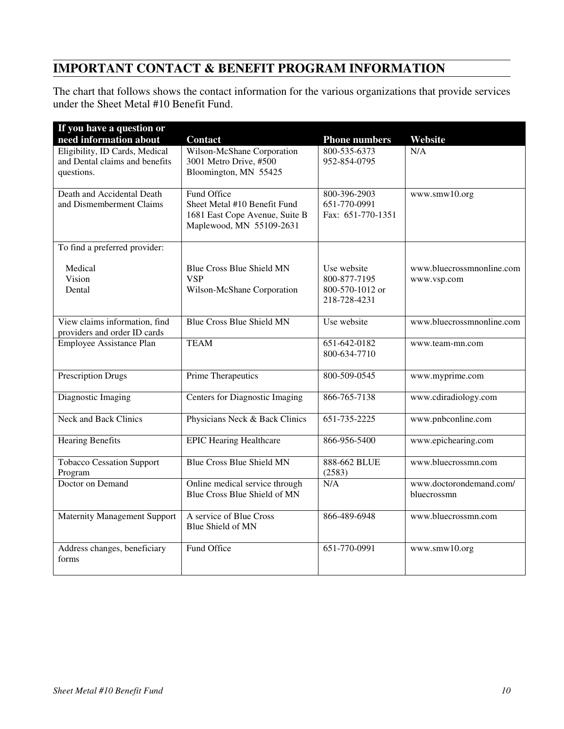# **IMPORTANT CONTACT & BENEFIT PROGRAM INFORMATION**

The chart that follows shows the contact information for the various organizations that provide services under the Sheet Metal #10 Benefit Fund.

| If you have a question or                                                      |                                                                                                           |                                                                |                                          |
|--------------------------------------------------------------------------------|-----------------------------------------------------------------------------------------------------------|----------------------------------------------------------------|------------------------------------------|
| need information about                                                         | <b>Contact</b>                                                                                            | <b>Phone numbers</b>                                           | Website                                  |
| Eligibility, ID Cards, Medical<br>and Dental claims and benefits<br>questions. | Wilson-McShane Corporation<br>3001 Metro Drive, #500<br>Bloomington, MN 55425                             | 800-535-6373<br>952-854-0795                                   | N/A                                      |
| Death and Accidental Death<br>and Dismemberment Claims                         | Fund Office<br>Sheet Metal #10 Benefit Fund<br>1681 East Cope Avenue, Suite B<br>Maplewood, MN 55109-2631 | 800-396-2903<br>651-770-0991<br>Fax: 651-770-1351              | www.smw10.org                            |
| To find a preferred provider:                                                  |                                                                                                           |                                                                |                                          |
| Medical<br>Vision<br>Dental                                                    | <b>Blue Cross Blue Shield MN</b><br><b>VSP</b><br>Wilson-McShane Corporation                              | Use website<br>800-877-7195<br>800-570-1012 or<br>218-728-4231 | www.bluecrossmnonline.com<br>www.vsp.com |
| View claims information, find<br>providers and order ID cards                  | <b>Blue Cross Blue Shield MN</b>                                                                          | Use website                                                    | www.bluecrossmnonline.com                |
| Employee Assistance Plan                                                       | <b>TEAM</b>                                                                                               | 651-642-0182<br>800-634-7710                                   | www.team-mn.com                          |
| <b>Prescription Drugs</b>                                                      | Prime Therapeutics                                                                                        | 800-509-0545                                                   | www.myprime.com                          |
| Diagnostic Imaging                                                             | <b>Centers for Diagnostic Imaging</b>                                                                     | 866-765-7138                                                   | www.cdiradiology.com                     |
| <b>Neck and Back Clinics</b>                                                   | Physicians Neck & Back Clinics                                                                            | 651-735-2225                                                   | www.pnbconline.com                       |
| <b>Hearing Benefits</b>                                                        | <b>EPIC Hearing Healthcare</b>                                                                            | 866-956-5400                                                   | www.epichearing.com                      |
| <b>Tobacco Cessation Support</b><br>Program                                    | <b>Blue Cross Blue Shield MN</b>                                                                          | 888-662 BLUE<br>(2583)                                         | www.bluecrossmn.com                      |
| Doctor on Demand                                                               | Online medical service through<br>Blue Cross Blue Shield of MN                                            | N/A                                                            | www.doctorondemand.com/<br>bluecrossmn   |
| <b>Maternity Management Support</b>                                            | A service of Blue Cross<br>Blue Shield of MN                                                              | 866-489-6948                                                   | www.bluecrossmn.com                      |
| Address changes, beneficiary<br>forms                                          | Fund Office                                                                                               | 651-770-0991                                                   | www.smw10.org                            |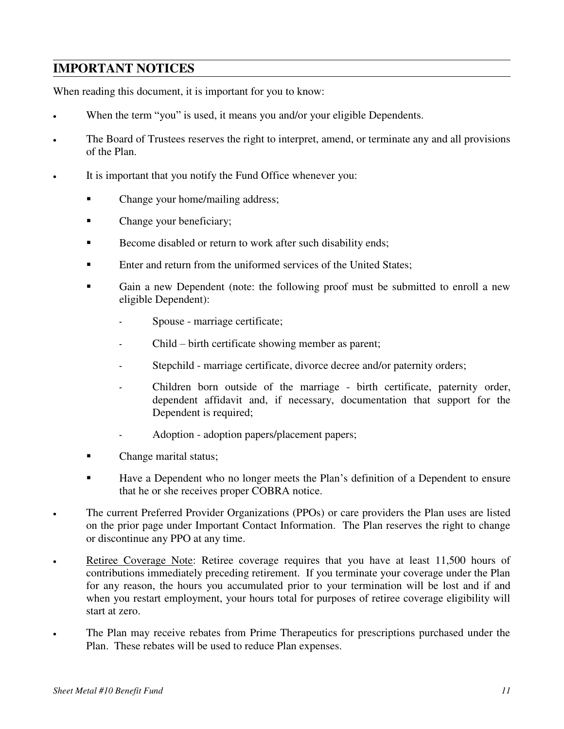### **IMPORTANT NOTICES**

When reading this document, it is important for you to know:

- When the term "you" is used, it means you and/or your eligible Dependents.
- The Board of Trustees reserves the right to interpret, amend, or terminate any and all provisions of the Plan.
- It is important that you notify the Fund Office whenever you:
	- Change your home/mailing address;
	- Change your beneficiary;
	- Become disabled or return to work after such disability ends;
	- Enter and return from the uniformed services of the United States;
	- Gain a new Dependent (note: the following proof must be submitted to enroll a new eligible Dependent):
		- Spouse marriage certificate;
		- Child birth certificate showing member as parent;
		- Stepchild marriage certificate, divorce decree and/or paternity orders;
		- Children born outside of the marriage birth certificate, paternity order, dependent affidavit and, if necessary, documentation that support for the Dependent is required;
		- Adoption adoption papers/placement papers;
	- Change marital status;
	- Have a Dependent who no longer meets the Plan's definition of a Dependent to ensure that he or she receives proper COBRA notice.
- The current Preferred Provider Organizations (PPOs) or care providers the Plan uses are listed on the prior page under Important Contact Information. The Plan reserves the right to change or discontinue any PPO at any time.
- Retiree Coverage Note: Retiree coverage requires that you have at least 11,500 hours of contributions immediately preceding retirement. If you terminate your coverage under the Plan for any reason, the hours you accumulated prior to your termination will be lost and if and when you restart employment, your hours total for purposes of retiree coverage eligibility will start at zero.
- The Plan may receive rebates from Prime Therapeutics for prescriptions purchased under the Plan. These rebates will be used to reduce Plan expenses.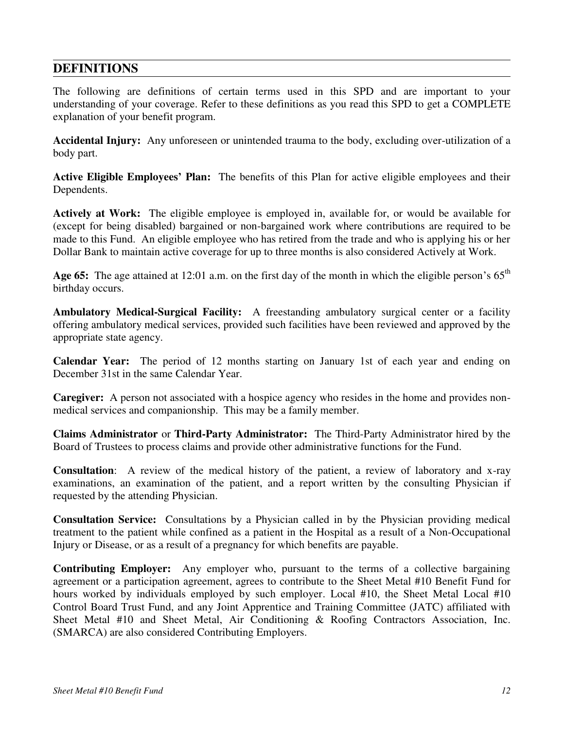The following are definitions of certain terms used in this SPD and are important to your understanding of your coverage. Refer to these definitions as you read this SPD to get a COMPLETE explanation of your benefit program.

**Accidental Injury:** Any unforeseen or unintended trauma to the body, excluding over-utilization of a body part.

**Active Eligible Employees' Plan:** The benefits of this Plan for active eligible employees and their Dependents.

**Actively at Work:** The eligible employee is employed in, available for, or would be available for (except for being disabled) bargained or non-bargained work where contributions are required to be made to this Fund. An eligible employee who has retired from the trade and who is applying his or her Dollar Bank to maintain active coverage for up to three months is also considered Actively at Work.

**Age 65:** The age attained at 12:01 a.m. on the first day of the month in which the eligible person's  $65<sup>th</sup>$ birthday occurs.

**Ambulatory Medical-Surgical Facility:** A freestanding ambulatory surgical center or a facility offering ambulatory medical services, provided such facilities have been reviewed and approved by the appropriate state agency.

**Calendar Year:** The period of 12 months starting on January 1st of each year and ending on December 31st in the same Calendar Year.

**Caregiver:** A person not associated with a hospice agency who resides in the home and provides nonmedical services and companionship. This may be a family member.

**Claims Administrator** or **Third-Party Administrator:** The Third-Party Administrator hired by the Board of Trustees to process claims and provide other administrative functions for the Fund.

**Consultation**: A review of the medical history of the patient, a review of laboratory and x-ray examinations, an examination of the patient, and a report written by the consulting Physician if requested by the attending Physician.

**Consultation Service:** Consultations by a Physician called in by the Physician providing medical treatment to the patient while confined as a patient in the Hospital as a result of a Non-Occupational Injury or Disease, or as a result of a pregnancy for which benefits are payable.

**Contributing Employer:** Any employer who, pursuant to the terms of a collective bargaining agreement or a participation agreement, agrees to contribute to the Sheet Metal #10 Benefit Fund for hours worked by individuals employed by such employer. Local #10, the Sheet Metal Local #10 Control Board Trust Fund, and any Joint Apprentice and Training Committee (JATC) affiliated with Sheet Metal #10 and Sheet Metal, Air Conditioning & Roofing Contractors Association, Inc. (SMARCA) are also considered Contributing Employers.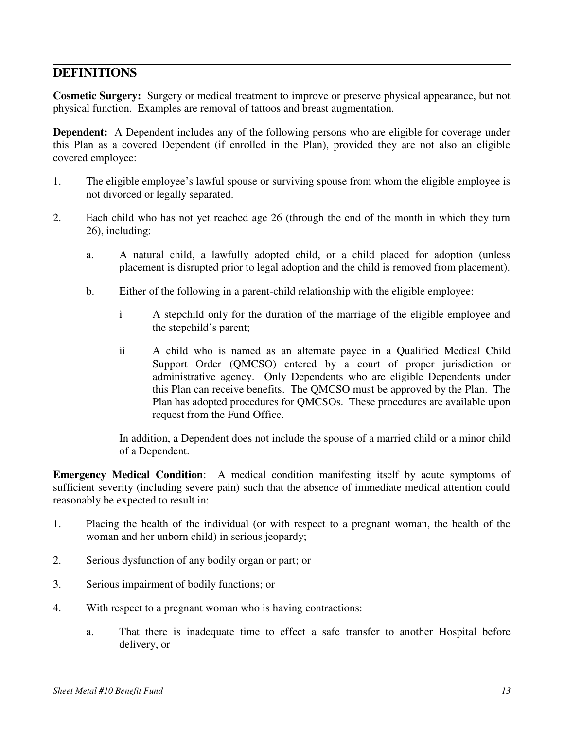**Cosmetic Surgery:** Surgery or medical treatment to improve or preserve physical appearance, but not physical function. Examples are removal of tattoos and breast augmentation.

<span id="page-20-0"></span>**Dependent:** A Dependent includes any of the following persons who are eligible for coverage under this Plan as a covered Dependent (if enrolled in the Plan), provided they are not also an eligible covered employee:

- 1. The eligible employee's lawful spouse or surviving spouse from whom the eligible employee is not divorced or legally separated.
- 2. Each child who has not yet reached age 26 (through the end of the month in which they turn 26), including:
	- a. A natural child, a lawfully adopted child, or a child placed for adoption (unless placement is disrupted prior to legal adoption and the child is removed from placement).
	- b. Either of the following in a parent-child relationship with the eligible employee:
		- i A stepchild only for the duration of the marriage of the eligible employee and the stepchild's parent;
		- ii A child who is named as an alternate payee in a Qualified Medical Child Support Order (QMCSO) entered by a court of proper jurisdiction or administrative agency. Only Dependents who are eligible Dependents under this Plan can receive benefits. The QMCSO must be approved by the Plan. The Plan has adopted procedures for QMCSOs. These procedures are available upon request from the Fund Office.

In addition, a Dependent does not include the spouse of a married child or a minor child of a Dependent.

**Emergency Medical Condition**: A medical condition manifesting itself by acute symptoms of sufficient severity (including severe pain) such that the absence of immediate medical attention could reasonably be expected to result in:

- 1. Placing the health of the individual (or with respect to a pregnant woman, the health of the woman and her unborn child) in serious jeopardy;
- 2. Serious dysfunction of any bodily organ or part; or
- 3. Serious impairment of bodily functions; or
- 4. With respect to a pregnant woman who is having contractions:
	- a. That there is inadequate time to effect a safe transfer to another Hospital before delivery, or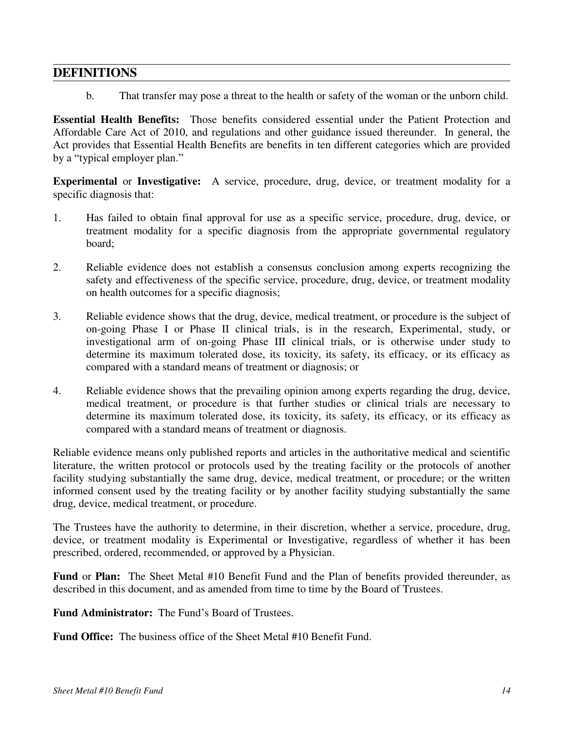b. That transfer may pose a threat to the health or safety of the woman or the unborn child.

**Essential Health Benefits:** Those benefits considered essential under the Patient Protection and Affordable Care Act of 2010, and regulations and other guidance issued thereunder. In general, the Act provides that Essential Health Benefits are benefits in ten different categories which are provided by a "typical employer plan."

**Experimental** or **Investigative:** A service, procedure, drug, device, or treatment modality for a specific diagnosis that:

- 1. Has failed to obtain final approval for use as a specific service, procedure, drug, device, or treatment modality for a specific diagnosis from the appropriate governmental regulatory board;
- 2. Reliable evidence does not establish a consensus conclusion among experts recognizing the safety and effectiveness of the specific service, procedure, drug, device, or treatment modality on health outcomes for a specific diagnosis;
- 3. Reliable evidence shows that the drug, device, medical treatment, or procedure is the subject of on-going Phase I or Phase II clinical trials, is in the research, Experimental, study, or investigational arm of on-going Phase III clinical trials, or is otherwise under study to determine its maximum tolerated dose, its toxicity, its safety, its efficacy, or its efficacy as compared with a standard means of treatment or diagnosis; or
- 4. Reliable evidence shows that the prevailing opinion among experts regarding the drug, device, medical treatment, or procedure is that further studies or clinical trials are necessary to determine its maximum tolerated dose, its toxicity, its safety, its efficacy, or its efficacy as compared with a standard means of treatment or diagnosis.

Reliable evidence means only published reports and articles in the authoritative medical and scientific literature, the written protocol or protocols used by the treating facility or the protocols of another facility studying substantially the same drug, device, medical treatment, or procedure; or the written informed consent used by the treating facility or by another facility studying substantially the same drug, device, medical treatment, or procedure.

The Trustees have the authority to determine, in their discretion, whether a service, procedure, drug, device, or treatment modality is Experimental or Investigative, regardless of whether it has been prescribed, ordered, recommended, or approved by a Physician.

**Fund** or **Plan:** The Sheet Metal #10 Benefit Fund and the Plan of benefits provided thereunder, as described in this document, and as amended from time to time by the Board of Trustees.

**Fund Administrator:** The Fund's Board of Trustees.

**Fund Office:** The business office of the Sheet Metal #10 Benefit Fund.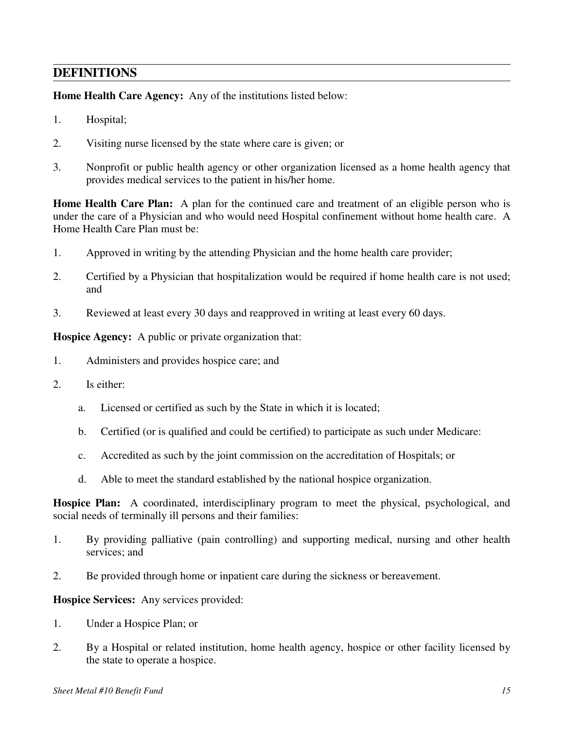**Home Health Care Agency:** Any of the institutions listed below:

- 1. Hospital;
- 2. Visiting nurse licensed by the state where care is given; or
- 3. Nonprofit or public health agency or other organization licensed as a home health agency that provides medical services to the patient in his/her home.

**Home Health Care Plan:** A plan for the continued care and treatment of an eligible person who is under the care of a Physician and who would need Hospital confinement without home health care. A Home Health Care Plan must be:

- 1. Approved in writing by the attending Physician and the home health care provider;
- 2. Certified by a Physician that hospitalization would be required if home health care is not used; and
- 3. Reviewed at least every 30 days and reapproved in writing at least every 60 days.

**Hospice Agency:** A public or private organization that:

- 1. Administers and provides hospice care; and
- 2. Is either:
	- a. Licensed or certified as such by the State in which it is located;
	- b. Certified (or is qualified and could be certified) to participate as such under Medicare:
	- c. Accredited as such by the joint commission on the accreditation of Hospitals; or
	- d. Able to meet the standard established by the national hospice organization.

**Hospice Plan:** A coordinated, interdisciplinary program to meet the physical, psychological, and social needs of terminally ill persons and their families:

- 1. By providing palliative (pain controlling) and supporting medical, nursing and other health services; and
- 2. Be provided through home or inpatient care during the sickness or bereavement.

**Hospice Services:** Any services provided:

- 1. Under a Hospice Plan; or
- 2. By a Hospital or related institution, home health agency, hospice or other facility licensed by the state to operate a hospice.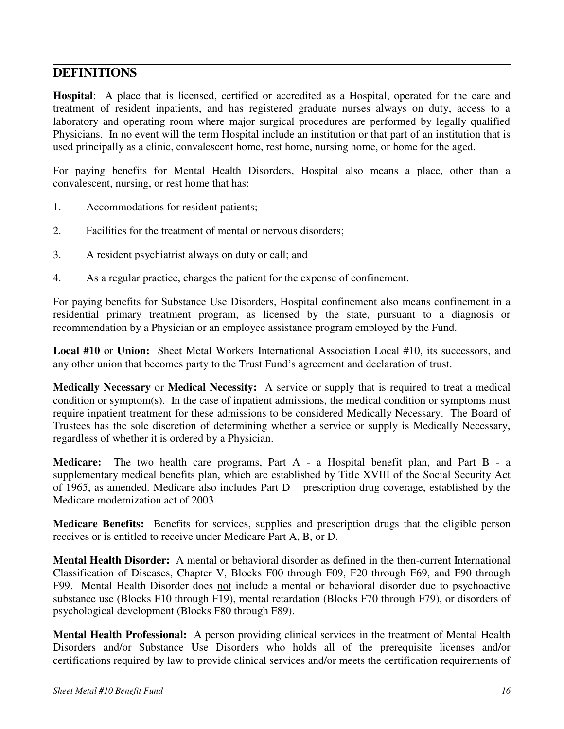**Hospital**: A place that is licensed, certified or accredited as a Hospital, operated for the care and treatment of resident inpatients, and has registered graduate nurses always on duty, access to a laboratory and operating room where major surgical procedures are performed by legally qualified Physicians. In no event will the term Hospital include an institution or that part of an institution that is used principally as a clinic, convalescent home, rest home, nursing home, or home for the aged.

For paying benefits for Mental Health Disorders, Hospital also means a place, other than a convalescent, nursing, or rest home that has:

- 1. Accommodations for resident patients;
- 2. Facilities for the treatment of mental or nervous disorders;
- 3. A resident psychiatrist always on duty or call; and
- 4. As a regular practice, charges the patient for the expense of confinement.

For paying benefits for Substance Use Disorders, Hospital confinement also means confinement in a residential primary treatment program, as licensed by the state, pursuant to a diagnosis or recommendation by a Physician or an employee assistance program employed by the Fund.

**Local #10** or **Union:** Sheet Metal Workers International Association Local #10, its successors, and any other union that becomes party to the Trust Fund's agreement and declaration of trust.

**Medically Necessary** or **Medical Necessity:** A service or supply that is required to treat a medical condition or symptom(s). In the case of inpatient admissions, the medical condition or symptoms must require inpatient treatment for these admissions to be considered Medically Necessary. The Board of Trustees has the sole discretion of determining whether a service or supply is Medically Necessary, regardless of whether it is ordered by a Physician.

**Medicare:** The two health care programs, Part A - a Hospital benefit plan, and Part B - a supplementary medical benefits plan, which are established by Title XVIII of the Social Security Act of 1965, as amended. Medicare also includes Part D – prescription drug coverage, established by the Medicare modernization act of 2003.

**Medicare Benefits:** Benefits for services, supplies and prescription drugs that the eligible person receives or is entitled to receive under Medicare Part A, B, or D.

**Mental Health Disorder:** A mental or behavioral disorder as defined in the then-current International Classification of Diseases, Chapter V, Blocks F00 through F09, F20 through F69, and F90 through F99. Mental Health Disorder does not include a mental or behavioral disorder due to psychoactive substance use (Blocks F10 through F19), mental retardation (Blocks F70 through F79), or disorders of psychological development (Blocks F80 through F89).

**Mental Health Professional:** A person providing clinical services in the treatment of Mental Health Disorders and/or Substance Use Disorders who holds all of the prerequisite licenses and/or certifications required by law to provide clinical services and/or meets the certification requirements of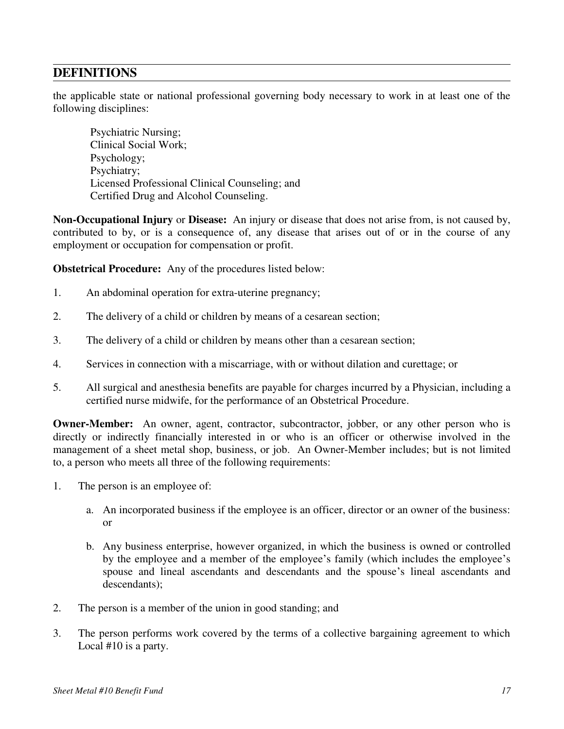the applicable state or national professional governing body necessary to work in at least one of the following disciplines:

Psychiatric Nursing; Clinical Social Work; Psychology; Psychiatry; Licensed Professional Clinical Counseling; and Certified Drug and Alcohol Counseling.

**Non-Occupational Injury** or **Disease:** An injury or disease that does not arise from, is not caused by, contributed to by, or is a consequence of, any disease that arises out of or in the course of any employment or occupation for compensation or profit.

**Obstetrical Procedure:** Any of the procedures listed below:

- 1. An abdominal operation for extra-uterine pregnancy;
- 2. The delivery of a child or children by means of a cesarean section;
- 3. The delivery of a child or children by means other than a cesarean section;
- 4. Services in connection with a miscarriage, with or without dilation and curettage; or
- 5. All surgical and anesthesia benefits are payable for charges incurred by a Physician, including a certified nurse midwife, for the performance of an Obstetrical Procedure.

**Owner-Member:** An owner, agent, contractor, subcontractor, jobber, or any other person who is directly or indirectly financially interested in or who is an officer or otherwise involved in the management of a sheet metal shop, business, or job. An Owner-Member includes; but is not limited to, a person who meets all three of the following requirements:

- 1. The person is an employee of:
	- a. An incorporated business if the employee is an officer, director or an owner of the business: or
	- b. Any business enterprise, however organized, in which the business is owned or controlled by the employee and a member of the employee's family (which includes the employee's spouse and lineal ascendants and descendants and the spouse's lineal ascendants and descendants);
- 2. The person is a member of the union in good standing; and
- 3. The person performs work covered by the terms of a collective bargaining agreement to which Local #10 is a party.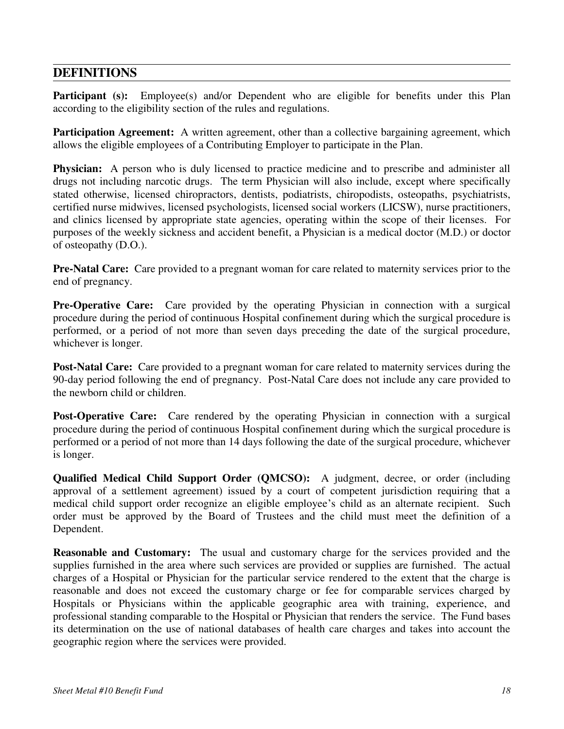**Participant (s):** Employee(s) and/or Dependent who are eligible for benefits under this Plan according to the eligibility section of the rules and regulations.

**Participation Agreement:** A written agreement, other than a collective bargaining agreement, which allows the eligible employees of a Contributing Employer to participate in the Plan.

**Physician:** A person who is duly licensed to practice medicine and to prescribe and administer all drugs not including narcotic drugs. The term Physician will also include, except where specifically stated otherwise, licensed chiropractors, dentists, podiatrists, chiropodists, osteopaths, psychiatrists, certified nurse midwives, licensed psychologists, licensed social workers (LICSW), nurse practitioners, and clinics licensed by appropriate state agencies, operating within the scope of their licenses. For purposes of the weekly sickness and accident benefit, a Physician is a medical doctor (M.D.) or doctor of osteopathy (D.O.).

**Pre-Natal Care:** Care provided to a pregnant woman for care related to maternity services prior to the end of pregnancy.

**Pre-Operative Care:** Care provided by the operating Physician in connection with a surgical procedure during the period of continuous Hospital confinement during which the surgical procedure is performed, or a period of not more than seven days preceding the date of the surgical procedure, whichever is longer.

**Post-Natal Care:** Care provided to a pregnant woman for care related to maternity services during the 90-day period following the end of pregnancy. Post-Natal Care does not include any care provided to the newborn child or children.

**Post-Operative Care:** Care rendered by the operating Physician in connection with a surgical procedure during the period of continuous Hospital confinement during which the surgical procedure is performed or a period of not more than 14 days following the date of the surgical procedure, whichever is longer.

**Qualified Medical Child Support Order (QMCSO):** A judgment, decree, or order (including approval of a settlement agreement) issued by a court of competent jurisdiction requiring that a medical child support order recognize an eligible employee's child as an alternate recipient. Such order must be approved by the Board of Trustees and the child must meet the definition of a Dependent.

**Reasonable and Customary:** The usual and customary charge for the services provided and the supplies furnished in the area where such services are provided or supplies are furnished. The actual charges of a Hospital or Physician for the particular service rendered to the extent that the charge is reasonable and does not exceed the customary charge or fee for comparable services charged by Hospitals or Physicians within the applicable geographic area with training, experience, and professional standing comparable to the Hospital or Physician that renders the service. The Fund bases its determination on the use of national databases of health care charges and takes into account the geographic region where the services were provided.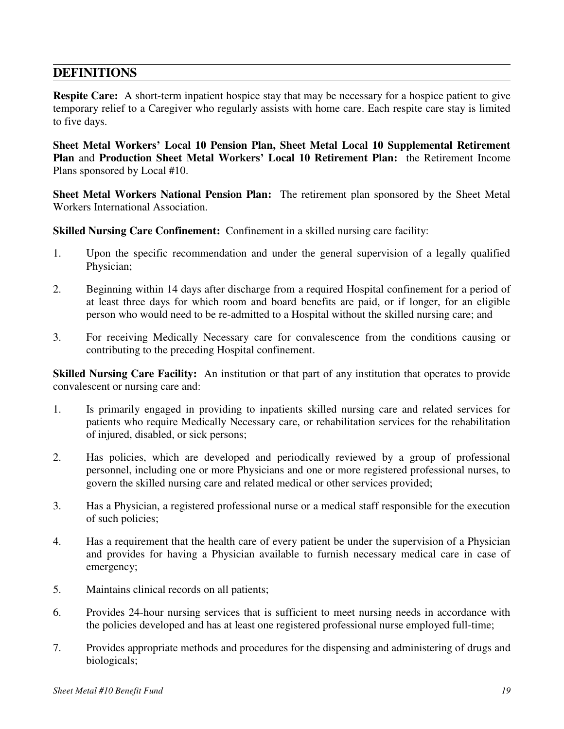**Respite Care:** A short-term inpatient hospice stay that may be necessary for a hospice patient to give temporary relief to a Caregiver who regularly assists with home care. Each respite care stay is limited to five days.

**Sheet Metal Workers' Local 10 Pension Plan, Sheet Metal Local 10 Supplemental Retirement Plan** and **Production Sheet Metal Workers' Local 10 Retirement Plan:** the Retirement Income Plans sponsored by Local #10.

**Sheet Metal Workers National Pension Plan:** The retirement plan sponsored by the Sheet Metal Workers International Association.

**Skilled Nursing Care Confinement:** Confinement in a skilled nursing care facility:

- 1. Upon the specific recommendation and under the general supervision of a legally qualified Physician;
- 2. Beginning within 14 days after discharge from a required Hospital confinement for a period of at least three days for which room and board benefits are paid, or if longer, for an eligible person who would need to be re-admitted to a Hospital without the skilled nursing care; and
- 3. For receiving Medically Necessary care for convalescence from the conditions causing or contributing to the preceding Hospital confinement.

**Skilled Nursing Care Facility:** An institution or that part of any institution that operates to provide convalescent or nursing care and:

- 1. Is primarily engaged in providing to inpatients skilled nursing care and related services for patients who require Medically Necessary care, or rehabilitation services for the rehabilitation of injured, disabled, or sick persons;
- 2. Has policies, which are developed and periodically reviewed by a group of professional personnel, including one or more Physicians and one or more registered professional nurses, to govern the skilled nursing care and related medical or other services provided;
- 3. Has a Physician, a registered professional nurse or a medical staff responsible for the execution of such policies;
- 4. Has a requirement that the health care of every patient be under the supervision of a Physician and provides for having a Physician available to furnish necessary medical care in case of emergency;
- 5. Maintains clinical records on all patients;
- 6. Provides 24-hour nursing services that is sufficient to meet nursing needs in accordance with the policies developed and has at least one registered professional nurse employed full-time;
- 7. Provides appropriate methods and procedures for the dispensing and administering of drugs and biologicals;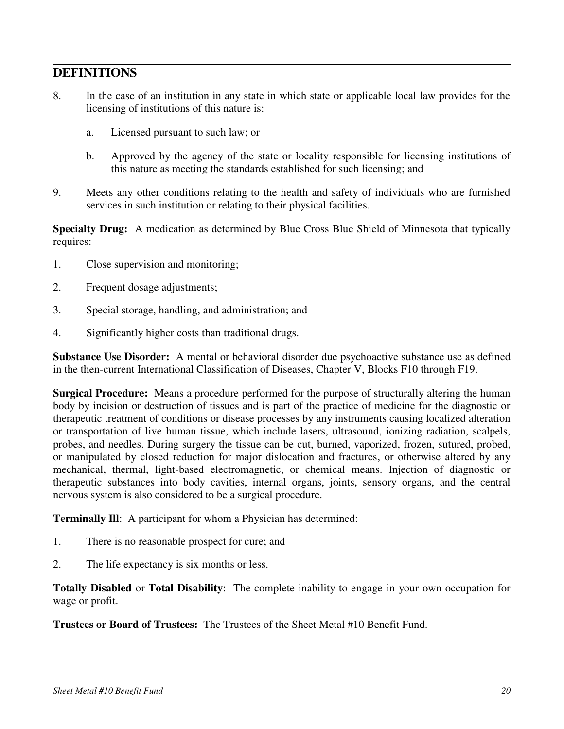- 8. In the case of an institution in any state in which state or applicable local law provides for the licensing of institutions of this nature is:
	- a. Licensed pursuant to such law; or
	- b. Approved by the agency of the state or locality responsible for licensing institutions of this nature as meeting the standards established for such licensing; and
- 9. Meets any other conditions relating to the health and safety of individuals who are furnished services in such institution or relating to their physical facilities.

**Specialty Drug:** A medication as determined by Blue Cross Blue Shield of Minnesota that typically requires:

- 1. Close supervision and monitoring;
- 2. Frequent dosage adjustments;
- 3. Special storage, handling, and administration; and
- 4. Significantly higher costs than traditional drugs.

**Substance Use Disorder:** A mental or behavioral disorder due psychoactive substance use as defined in the then-current International Classification of Diseases, Chapter V, Blocks F10 through F19.

**Surgical Procedure:** Means a procedure performed for the purpose of structurally altering the human body by incision or destruction of tissues and is part of the practice of medicine for the diagnostic or therapeutic treatment of conditions or disease processes by any instruments causing localized alteration or transportation of live human tissue, which include lasers, ultrasound, ionizing radiation, scalpels, probes, and needles. During surgery the tissue can be cut, burned, vaporized, frozen, sutured, probed, or manipulated by closed reduction for major dislocation and fractures, or otherwise altered by any mechanical, thermal, light-based electromagnetic, or chemical means. Injection of diagnostic or therapeutic substances into body cavities, internal organs, joints, sensory organs, and the central nervous system is also considered to be a surgical procedure.

**Terminally III:** A participant for whom a Physician has determined:

- 1. There is no reasonable prospect for cure; and
- 2. The life expectancy is six months or less.

**Totally Disabled** or **Total Disability**: The complete inability to engage in your own occupation for wage or profit.

**Trustees or Board of Trustees:** The Trustees of the Sheet Metal #10 Benefit Fund.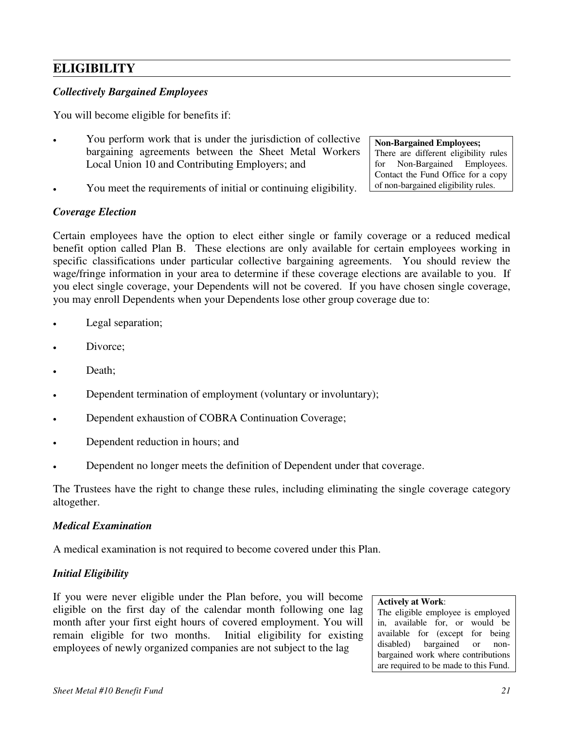#### *Collectively Bargained Employees*

You will become eligible for benefits if:

- You perform work that is under the jurisdiction of collective bargaining agreements between the Sheet Metal Workers Local Union 10 and Contributing Employers; and
- You meet the requirements of initial or continuing eligibility.

#### *Coverage Election*

Certain employees have the option to elect either single or family coverage or a reduced medical benefit option called Plan B. These elections are only available for certain employees working in specific classifications under particular collective bargaining agreements. You should review the wage/fringe information in your area to determine if these coverage elections are available to you. If you elect single coverage, your Dependents will not be covered. If you have chosen single coverage, you may enroll Dependents when your Dependents lose other group coverage due to:

- Legal separation;
- Divorce;
- Death;
- Dependent termination of employment (voluntary or involuntary);
- Dependent exhaustion of COBRA Continuation Coverage;
- Dependent reduction in hours; and
- Dependent no longer meets the definition of Dependent under that coverage.

The Trustees have the right to change these rules, including eliminating the single coverage category altogether.

#### *Medical Examination*

A medical examination is not required to become covered under this Plan.

#### *Initial Eligibility*

If you were never eligible under the Plan before, you will become eligible on the first day of the calendar month following one lag month after your first eight hours of covered employment. You will remain eligible for two months. Initial eligibility for existing employees of newly organized companies are not subject to the lag

**Actively at Work**: The eligible employee is employed in, available for, or would be available for (except for being disabled) bargained or nonbargained work where contributions are required to be made to this Fund.

**Non-Bargained Employees;** There are different eligibility rules for Non-Bargained Employees. Contact the Fund Office for a copy of non-bargained eligibility rules.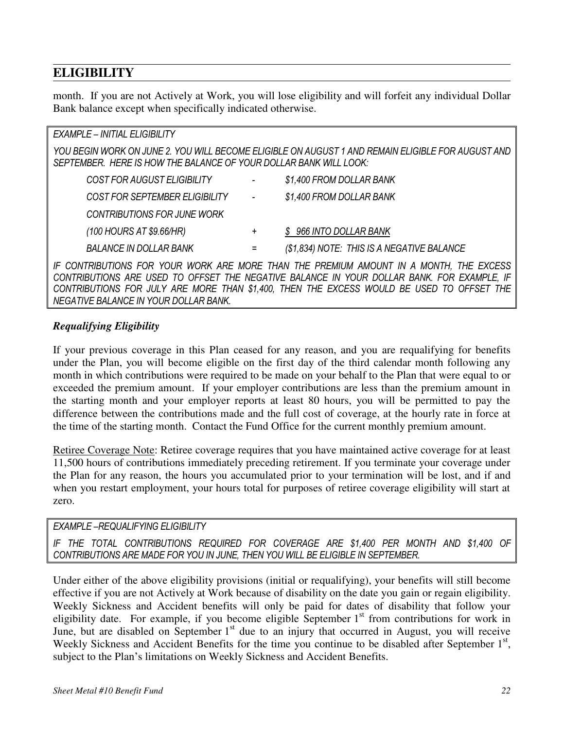month. If you are not Actively at Work, you will lose eligibility and will forfeit any individual Dollar Bank balance except when specifically indicated otherwise.

| EXAMPLE – INITIAL ELIGIBILITY                                                                                                                                          |                       |                                                                                                                                                                                  |  |  |
|------------------------------------------------------------------------------------------------------------------------------------------------------------------------|-----------------------|----------------------------------------------------------------------------------------------------------------------------------------------------------------------------------|--|--|
| YOU BEGIN WORK ON JUNE 2. YOU WILL BECOME ELIGIBLE ON AUGUST 1 AND REMAIN ELIGIBLE FOR AUGUST AND<br>SEPTEMBER. HERE IS HOW THE BALANCE OF YOUR DOLLAR BANK WILL LOOK: |                       |                                                                                                                                                                                  |  |  |
| COST FOR AUGUST ELIGIBILITY                                                                                                                                            |                       | \$1,400 FROM DOLLAR BANK                                                                                                                                                         |  |  |
| COST FOR SEPTEMBER ELIGIBILITY                                                                                                                                         | $\sim 100$ km $^{-1}$ | \$1,400 FROM DOLLAR BANK                                                                                                                                                         |  |  |
| CONTRIBUTIONS FOR JUNE WORK                                                                                                                                            |                       |                                                                                                                                                                                  |  |  |
| (100 HOURS AT \$9.66/HR)                                                                                                                                               | $+$                   | \$966 INTO DOLLAR BANK                                                                                                                                                           |  |  |
| <b>BALANCE IN DOLLAR BANK</b>                                                                                                                                          | $=$                   | (\$1,834) NOTE: THIS IS A NEGATIVE BALANCE                                                                                                                                       |  |  |
|                                                                                                                                                                        |                       | IF CONTRIBUTIONS FOR YOUR WORK ARE MORE THAN THE PREMIUM AMOUNT IN A MONTH, THE EXCESS<br>AAIITRIRIITIAIIA IRE UAER TA AFFAET TUE NEAITUE BILINAE IN VAUR BAU IR BINU FAR EVINDU |  |  |

*CONTRIBUTIONS ARE USED TO OFFSET THE NEGATIVE BALANCE IN YOUR DOLLAR BANK. FOR EXAMPLE, IF CONTRIBUTIONS FOR JULY ARE MORE THAN \$1,400, THEN THE EXCESS WOULD BE USED TO OFFSET THE NEGATIVE BALANCE IN YOUR DOLLAR BANK.* 

#### *Requalifying Eligibility*

If your previous coverage in this Plan ceased for any reason, and you are requalifying for benefits under the Plan, you will become eligible on the first day of the third calendar month following any month in which contributions were required to be made on your behalf to the Plan that were equal to or exceeded the premium amount. If your employer contributions are less than the premium amount in the starting month and your employer reports at least 80 hours, you will be permitted to pay the difference between the contributions made and the full cost of coverage, at the hourly rate in force at the time of the starting month. Contact the Fund Office for the current monthly premium amount.

Retiree Coverage Note: Retiree coverage requires that you have maintained active coverage for at least 11,500 hours of contributions immediately preceding retirement. If you terminate your coverage under the Plan for any reason, the hours you accumulated prior to your termination will be lost, and if and when you restart employment, your hours total for purposes of retiree coverage eligibility will start at zero.

#### *EXAMPLE –REQUALIFYING ELIGIBILITY*

*IF THE TOTAL CONTRIBUTIONS REQUIRED FOR COVERAGE ARE \$1,400 PER MONTH AND \$1,400 OF CONTRIBUTIONS ARE MADE FOR YOU IN JUNE, THEN YOU WILL BE ELIGIBLE IN SEPTEMBER.* 

Under either of the above eligibility provisions (initial or requalifying), your benefits will still become effective if you are not Actively at Work because of disability on the date you gain or regain eligibility. Weekly Sickness and Accident benefits will only be paid for dates of disability that follow your eligibility date. For example, if you become eligible September  $1<sup>st</sup>$  from contributions for work in June, but are disabled on September 1<sup>st</sup> due to an injury that occurred in August, you will receive Weekly Sickness and Accident Benefits for the time you continue to be disabled after September 1<sup>st</sup>, subject to the Plan's limitations on Weekly Sickness and Accident Benefits.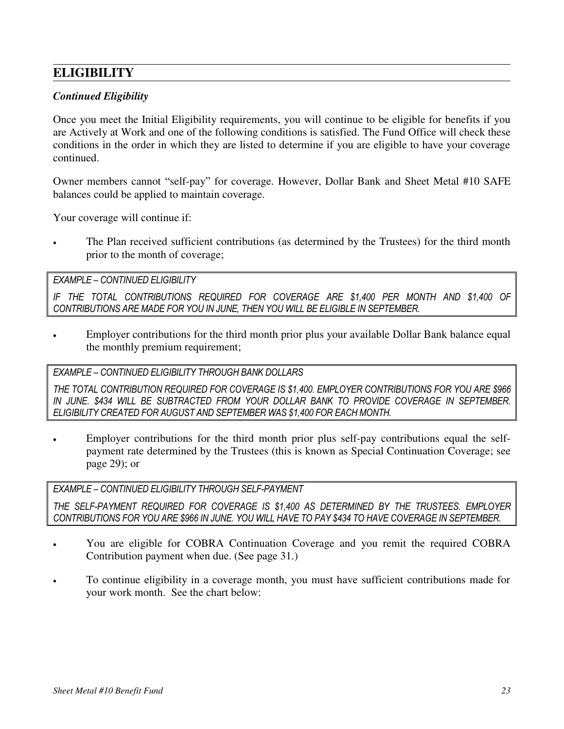#### *Continued Eligibility*

Once you meet the Initial Eligibility requirements, you will continue to be eligible for benefits if you are Actively at Work and one of the following conditions is satisfied. The Fund Office will check these conditions in the order in which they are listed to determine if you are eligible to have your coverage continued.

Owner members cannot "self-pay" for coverage. However, Dollar Bank and Sheet Metal #10 SAFE balances could be applied to maintain coverage.

Your coverage will continue if:

 The Plan received sufficient contributions (as determined by the Trustees) for the third month prior to the month of coverage;

*EXAMPLE – CONTINUED ELIGIBILITY* 

IF THE TOTAL CONTRIBUTIONS REQUIRED FOR COVERAGE ARE \$1,400 PER MONTH AND \$1,400 OF *CONTRIBUTIONS ARE MADE FOR YOU IN JUNE, THEN YOU WILL BE ELIGIBLE IN SEPTEMBER.*

 Employer contributions for the third month prior plus your available Dollar Bank balance equal the monthly premium requirement;

*EXAMPLE – CONTINUED ELIGIBILITY THROUGH BANK DOLLARS*

*THE TOTAL CONTRIBUTION REQUIRED FOR COVERAGE IS \$1,400. EMPLOYER CONTRIBUTIONS FOR YOU ARE \$966 IN JUNE. \$434 WILL BE SUBTRACTED FROM YOUR DOLLAR BANK TO PROVIDE COVERAGE IN SEPTEMBER. ELIGIBILITY CREATED FOR AUGUST AND SEPTEMBER WAS \$1,400 FOR EACH MONTH.* 

 Employer contributions for the third month prior plus self-pay contributions equal the selfpayment rate determined by the Trustees (this is known as Special Continuation Coverage; see page [29\)](#page-36-0); or

*EXAMPLE – CONTINUED ELIGIBILITY THROUGH SELF-PAYMENT* 

*THE SELF-PAYMENT REQUIRED FOR COVERAGE IS \$1,400 AS DETERMINED BY THE TRUSTEES. EMPLOYER CONTRIBUTIONS FOR YOU ARE \$966 IN JUNE. YOU WILL HAVE TO PAY \$434 TO HAVE COVERAGE IN SEPTEMBER.* 

- You are eligible for COBRA Continuation Coverage and you remit the required COBRA Contribution payment when due. (See page [31.](#page-38-0))
- To continue eligibility in a coverage month, you must have sufficient contributions made for your work month. See the chart below: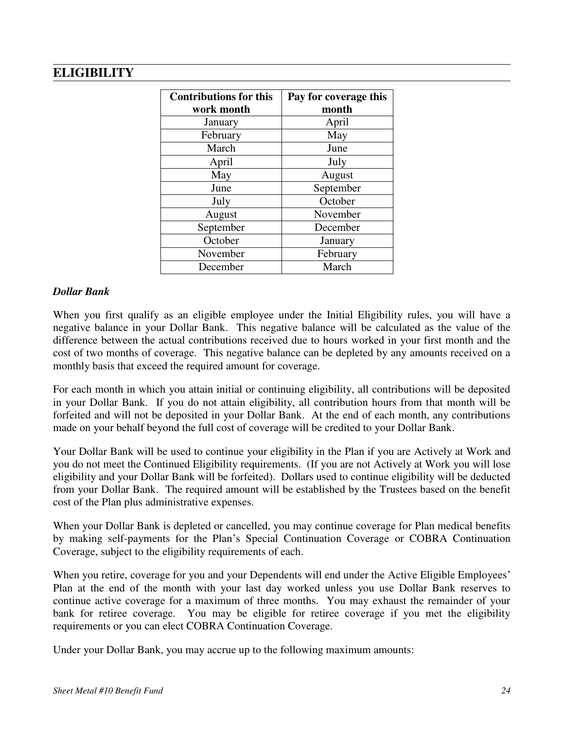| <b>Contributions for this</b> | Pay for coverage this |
|-------------------------------|-----------------------|
|                               |                       |
| work month                    | month                 |
| January                       | April                 |
| February                      | May                   |
| March                         | June                  |
| April                         | July                  |
| May                           | August                |
| June                          | September             |
| July                          | October               |
| August                        | November              |
| September                     | December              |
| October                       | January               |
| November                      | February              |
| December                      | March                 |

#### *Dollar Bank*

When you first qualify as an eligible employee under the Initial Eligibility rules, you will have a negative balance in your Dollar Bank. This negative balance will be calculated as the value of the difference between the actual contributions received due to hours worked in your first month and the cost of two months of coverage. This negative balance can be depleted by any amounts received on a monthly basis that exceed the required amount for coverage.

For each month in which you attain initial or continuing eligibility, all contributions will be deposited in your Dollar Bank. If you do not attain eligibility, all contribution hours from that month will be forfeited and will not be deposited in your Dollar Bank. At the end of each month, any contributions made on your behalf beyond the full cost of coverage will be credited to your Dollar Bank.

Your Dollar Bank will be used to continue your eligibility in the Plan if you are Actively at Work and you do not meet the Continued Eligibility requirements. (If you are not Actively at Work you will lose eligibility and your Dollar Bank will be forfeited). Dollars used to continue eligibility will be deducted from your Dollar Bank. The required amount will be established by the Trustees based on the benefit cost of the Plan plus administrative expenses.

When your Dollar Bank is depleted or cancelled, you may continue coverage for Plan medical benefits by making self-payments for the Plan's Special Continuation Coverage or COBRA Continuation Coverage, subject to the eligibility requirements of each.

When you retire, coverage for you and your Dependents will end under the Active Eligible Employees' Plan at the end of the month with your last day worked unless you use Dollar Bank reserves to continue active coverage for a maximum of three months. You may exhaust the remainder of your bank for retiree coverage. You may be eligible for retiree coverage if you met the eligibility requirements or you can elect COBRA Continuation Coverage.

Under your Dollar Bank, you may accrue up to the following maximum amounts: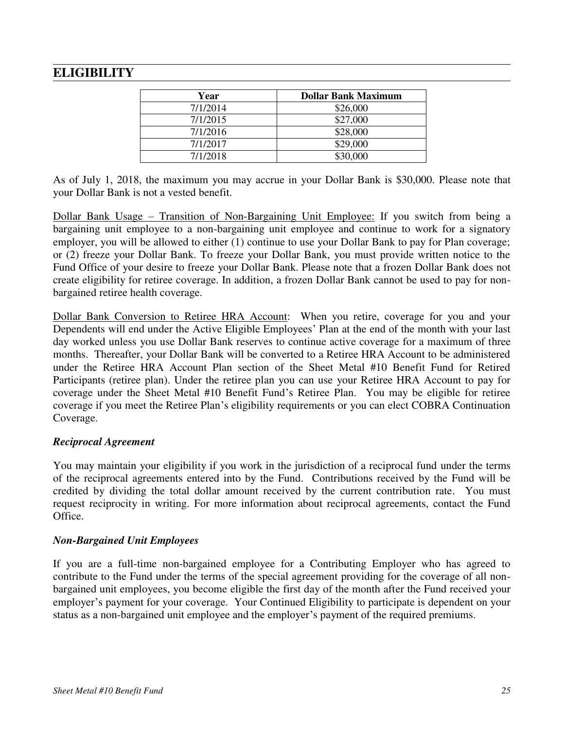| Year     | <b>Dollar Bank Maximum</b> |
|----------|----------------------------|
| 7/1/2014 | \$26,000                   |
| 7/1/2015 | \$27,000                   |
| 7/1/2016 | \$28,000                   |
| 7/1/2017 | \$29,000                   |
| 7/1/2018 | \$30,000                   |

As of July 1, 2018, the maximum you may accrue in your Dollar Bank is \$30,000. Please note that your Dollar Bank is not a vested benefit.

Dollar Bank Usage – Transition of Non-Bargaining Unit Employee: If you switch from being a bargaining unit employee to a non-bargaining unit employee and continue to work for a signatory employer, you will be allowed to either (1) continue to use your Dollar Bank to pay for Plan coverage; or (2) freeze your Dollar Bank. To freeze your Dollar Bank, you must provide written notice to the Fund Office of your desire to freeze your Dollar Bank. Please note that a frozen Dollar Bank does not create eligibility for retiree coverage. In addition, a frozen Dollar Bank cannot be used to pay for nonbargained retiree health coverage.

Dollar Bank Conversion to Retiree HRA Account: When you retire, coverage for you and your Dependents will end under the Active Eligible Employees' Plan at the end of the month with your last day worked unless you use Dollar Bank reserves to continue active coverage for a maximum of three months. Thereafter, your Dollar Bank will be converted to a Retiree HRA Account to be administered under the Retiree HRA Account Plan section of the Sheet Metal #10 Benefit Fund for Retired Participants (retiree plan). Under the retiree plan you can use your Retiree HRA Account to pay for coverage under the Sheet Metal #10 Benefit Fund's Retiree Plan. You may be eligible for retiree coverage if you meet the Retiree Plan's eligibility requirements or you can elect COBRA Continuation Coverage.

#### *Reciprocal Agreement*

You may maintain your eligibility if you work in the jurisdiction of a reciprocal fund under the terms of the reciprocal agreements entered into by the Fund. Contributions received by the Fund will be credited by dividing the total dollar amount received by the current contribution rate. You must request reciprocity in writing. For more information about reciprocal agreements, contact the Fund Office.

#### *Non-Bargained Unit Employees*

If you are a full-time non-bargained employee for a Contributing Employer who has agreed to contribute to the Fund under the terms of the special agreement providing for the coverage of all nonbargained unit employees, you become eligible the first day of the month after the Fund received your employer's payment for your coverage. Your Continued Eligibility to participate is dependent on your status as a non-bargained unit employee and the employer's payment of the required premiums.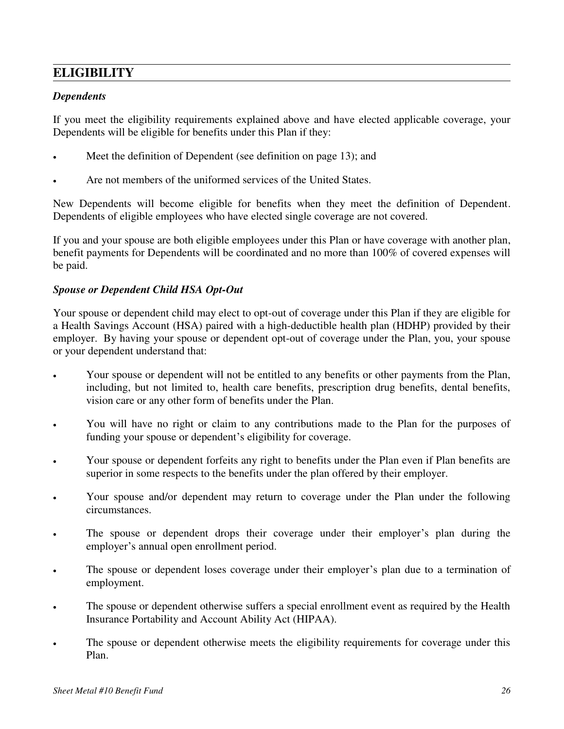#### *Dependents*

If you meet the eligibility requirements explained above and have elected applicable coverage, your Dependents will be eligible for benefits under this Plan if they:

- Meet the definition of Dependent (see definition on page [13\)](#page-20-0); and
- Are not members of the uniformed services of the United States.

New Dependents will become eligible for benefits when they meet the definition of Dependent. Dependents of eligible employees who have elected single coverage are not covered.

If you and your spouse are both eligible employees under this Plan or have coverage with another plan, benefit payments for Dependents will be coordinated and no more than 100% of covered expenses will be paid.

#### *Spouse or Dependent Child HSA Opt-Out*

Your spouse or dependent child may elect to opt-out of coverage under this Plan if they are eligible for a Health Savings Account (HSA) paired with a high-deductible health plan (HDHP) provided by their employer. By having your spouse or dependent opt-out of coverage under the Plan, you, your spouse or your dependent understand that:

- Your spouse or dependent will not be entitled to any benefits or other payments from the Plan, including, but not limited to, health care benefits, prescription drug benefits, dental benefits, vision care or any other form of benefits under the Plan.
- You will have no right or claim to any contributions made to the Plan for the purposes of funding your spouse or dependent's eligibility for coverage.
- Your spouse or dependent forfeits any right to benefits under the Plan even if Plan benefits are superior in some respects to the benefits under the plan offered by their employer.
- Your spouse and/or dependent may return to coverage under the Plan under the following circumstances.
- The spouse or dependent drops their coverage under their employer's plan during the employer's annual open enrollment period.
- The spouse or dependent loses coverage under their employer's plan due to a termination of employment.
- The spouse or dependent otherwise suffers a special enrollment event as required by the Health Insurance Portability and Account Ability Act (HIPAA).
- The spouse or dependent otherwise meets the eligibility requirements for coverage under this Plan.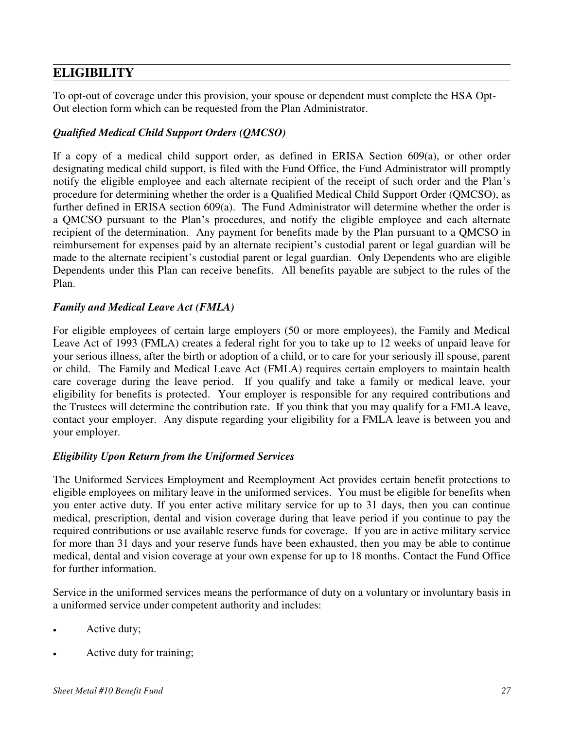To opt-out of coverage under this provision, your spouse or dependent must complete the HSA Opt-Out election form which can be requested from the Plan Administrator.

### *Qualified Medical Child Support Orders (QMCSO)*

If a copy of a medical child support order, as defined in ERISA Section 609(a), or other order designating medical child support, is filed with the Fund Office, the Fund Administrator will promptly notify the eligible employee and each alternate recipient of the receipt of such order and the Plan's procedure for determining whether the order is a Qualified Medical Child Support Order (QMCSO), as further defined in ERISA section 609(a). The Fund Administrator will determine whether the order is a QMCSO pursuant to the Plan's procedures, and notify the eligible employee and each alternate recipient of the determination. Any payment for benefits made by the Plan pursuant to a QMCSO in reimbursement for expenses paid by an alternate recipient's custodial parent or legal guardian will be made to the alternate recipient's custodial parent or legal guardian. Only Dependents who are eligible Dependents under this Plan can receive benefits. All benefits payable are subject to the rules of the Plan.

#### *Family and Medical Leave Act (FMLA)*

For eligible employees of certain large employers (50 or more employees), the Family and Medical Leave Act of 1993 (FMLA) creates a federal right for you to take up to 12 weeks of unpaid leave for your serious illness, after the birth or adoption of a child, or to care for your seriously ill spouse, parent or child. The Family and Medical Leave Act (FMLA) requires certain employers to maintain health care coverage during the leave period. If you qualify and take a family or medical leave, your eligibility for benefits is protected. Your employer is responsible for any required contributions and the Trustees will determine the contribution rate. If you think that you may qualify for a FMLA leave, contact your employer. Any dispute regarding your eligibility for a FMLA leave is between you and your employer.

#### *Eligibility Upon Return from the Uniformed Services*

The Uniformed Services Employment and Reemployment Act provides certain benefit protections to eligible employees on military leave in the uniformed services. You must be eligible for benefits when you enter active duty. If you enter active military service for up to 31 days, then you can continue medical, prescription, dental and vision coverage during that leave period if you continue to pay the required contributions or use available reserve funds for coverage. If you are in active military service for more than 31 days and your reserve funds have been exhausted, then you may be able to continue medical, dental and vision coverage at your own expense for up to 18 months. Contact the Fund Office for further information.

Service in the uniformed services means the performance of duty on a voluntary or involuntary basis in a uniformed service under competent authority and includes:

- Active duty;
- Active duty for training;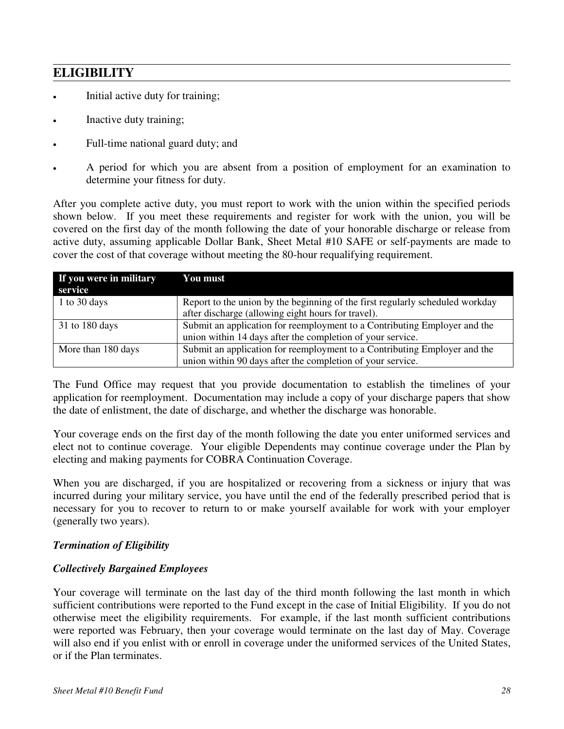- Initial active duty for training;
- Inactive duty training;
- Full-time national guard duty; and
- A period for which you are absent from a position of employment for an examination to determine your fitness for duty.

After you complete active duty, you must report to work with the union within the specified periods shown below. If you meet these requirements and register for work with the union, you will be covered on the first day of the month following the date of your honorable discharge or release from active duty, assuming applicable Dollar Bank, Sheet Metal #10 SAFE or self-payments are made to cover the cost of that coverage without meeting the 80-hour requalifying requirement.

| If you were in military | <b>You must</b>                                                               |
|-------------------------|-------------------------------------------------------------------------------|
| service                 |                                                                               |
| 1 to 30 days            | Report to the union by the beginning of the first regularly scheduled workday |
|                         | after discharge (allowing eight hours for travel).                            |
| 31 to 180 days          | Submit an application for reemployment to a Contributing Employer and the     |
|                         | union within 14 days after the completion of your service.                    |
| More than 180 days      | Submit an application for reemployment to a Contributing Employer and the     |
|                         | union within 90 days after the completion of your service.                    |

The Fund Office may request that you provide documentation to establish the timelines of your application for reemployment. Documentation may include a copy of your discharge papers that show the date of enlistment, the date of discharge, and whether the discharge was honorable.

Your coverage ends on the first day of the month following the date you enter uniformed services and elect not to continue coverage. Your eligible Dependents may continue coverage under the Plan by electing and making payments for COBRA Continuation Coverage.

When you are discharged, if you are hospitalized or recovering from a sickness or injury that was incurred during your military service, you have until the end of the federally prescribed period that is necessary for you to recover to return to or make yourself available for work with your employer (generally two years).

#### *Termination of Eligibility*

#### *Collectively Bargained Employees*

Your coverage will terminate on the last day of the third month following the last month in which sufficient contributions were reported to the Fund except in the case of Initial Eligibility. If you do not otherwise meet the eligibility requirements. For example, if the last month sufficient contributions were reported was February, then your coverage would terminate on the last day of May. Coverage will also end if you enlist with or enroll in coverage under the uniformed services of the United States, or if the Plan terminates.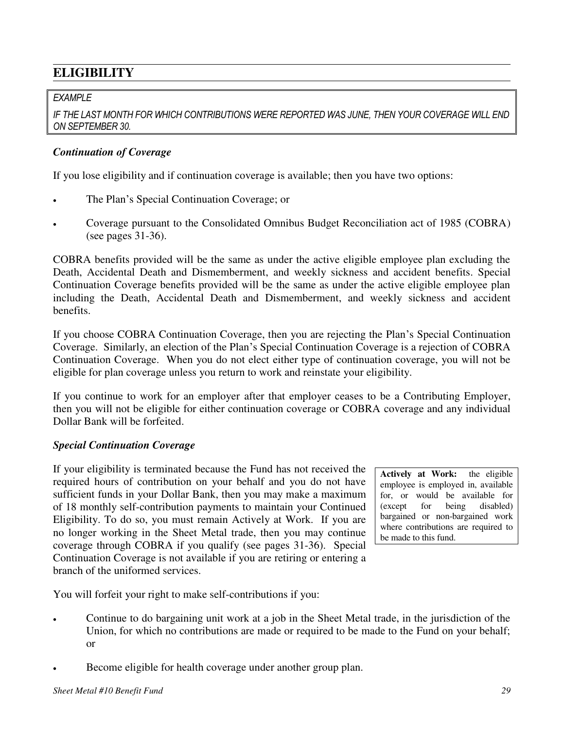### *EXAMPLE*

*IF THE LAST MONTH FOR WHICH CONTRIBUTIONS WERE REPORTED WAS JUNE, THEN YOUR COVERAGE WILL END ON SEPTEMBER 30.*

## *Continuation of Coverage*

If you lose eligibility and if continuation coverage is available; then you have two options:

- The Plan's Special Continuation Coverage; or
- Coverage pursuant to the Consolidated Omnibus Budget Reconciliation act of 1985 (COBRA) (see pages 31-36).

COBRA benefits provided will be the same as under the active eligible employee plan excluding the Death, Accidental Death and Dismemberment, and weekly sickness and accident benefits. Special Continuation Coverage benefits provided will be the same as under the active eligible employee plan including the Death, Accidental Death and Dismemberment, and weekly sickness and accident benefits.

If you choose COBRA Continuation Coverage, then you are rejecting the Plan's Special Continuation Coverage. Similarly, an election of the Plan's Special Continuation Coverage is a rejection of COBRA Continuation Coverage. When you do not elect either type of continuation coverage, you will not be eligible for plan coverage unless you return to work and reinstate your eligibility.

If you continue to work for an employer after that employer ceases to be a Contributing Employer, then you will not be eligible for either continuation coverage or COBRA coverage and any individual Dollar Bank will be forfeited.

### *Special Continuation Coverage*

If your eligibility is terminated because the Fund has not received the required hours of contribution on your behalf and you do not have sufficient funds in your Dollar Bank, then you may make a maximum of 18 monthly self-contribution payments to maintain your Continued Eligibility. To do so, you must remain Actively at Work. If you are no longer working in the Sheet Metal trade, then you may continue coverage through COBRA if you qualify (see pages 31-36). Special Continuation Coverage is not available if you are retiring or entering a branch of the uniformed services.

**Actively at Work:** the eligible employee is employed in, available for, or would be available for (except for being disabled) bargained or non-bargained work where contributions are required to be made to this fund.

You will forfeit your right to make self-contributions if you:

- Continue to do bargaining unit work at a job in the Sheet Metal trade, in the jurisdiction of the Union, for which no contributions are made or required to be made to the Fund on your behalf; or
- Become eligible for health coverage under another group plan.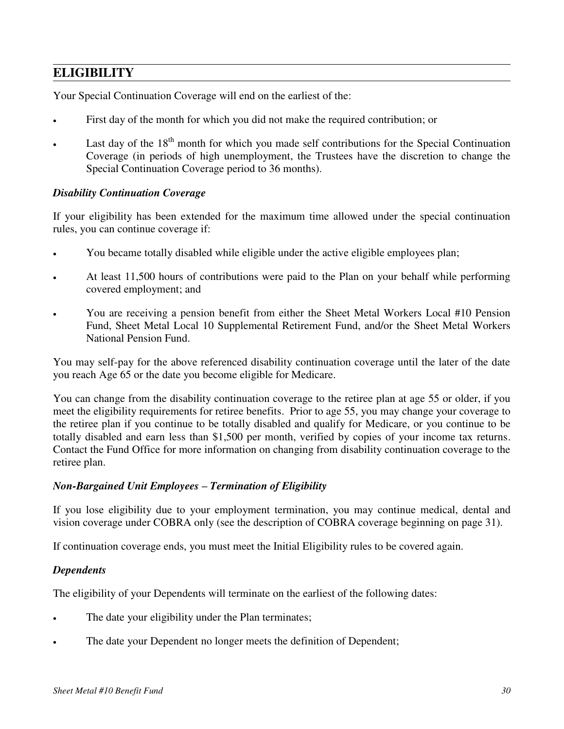Your Special Continuation Coverage will end on the earliest of the:

- First day of the month for which you did not make the required contribution; or
- Last day of the  $18<sup>th</sup>$  month for which you made self contributions for the Special Continuation Coverage (in periods of high unemployment, the Trustees have the discretion to change the Special Continuation Coverage period to 36 months).

#### *Disability Continuation Coverage*

If your eligibility has been extended for the maximum time allowed under the special continuation rules, you can continue coverage if:

- You became totally disabled while eligible under the active eligible employees plan;
- At least 11,500 hours of contributions were paid to the Plan on your behalf while performing covered employment; and
- You are receiving a pension benefit from either the Sheet Metal Workers Local #10 Pension Fund, Sheet Metal Local 10 Supplemental Retirement Fund, and/or the Sheet Metal Workers National Pension Fund.

You may self-pay for the above referenced disability continuation coverage until the later of the date you reach Age 65 or the date you become eligible for Medicare.

You can change from the disability continuation coverage to the retiree plan at age 55 or older, if you meet the eligibility requirements for retiree benefits. Prior to age 55, you may change your coverage to the retiree plan if you continue to be totally disabled and qualify for Medicare, or you continue to be totally disabled and earn less than \$1,500 per month, verified by copies of your income tax returns. Contact the Fund Office for more information on changing from disability continuation coverage to the retiree plan.

#### *Non-Bargained Unit Employees – Termination of Eligibility*

If you lose eligibility due to your employment termination, you may continue medical, dental and vision coverage under COBRA only (see the description of COBRA coverage beginning on page [31\)](#page-38-0).

If continuation coverage ends, you must meet the Initial Eligibility rules to be covered again.

### *Dependents*

The eligibility of your Dependents will terminate on the earliest of the following dates:

- The date your eligibility under the Plan terminates;
- The date your Dependent no longer meets the definition of Dependent;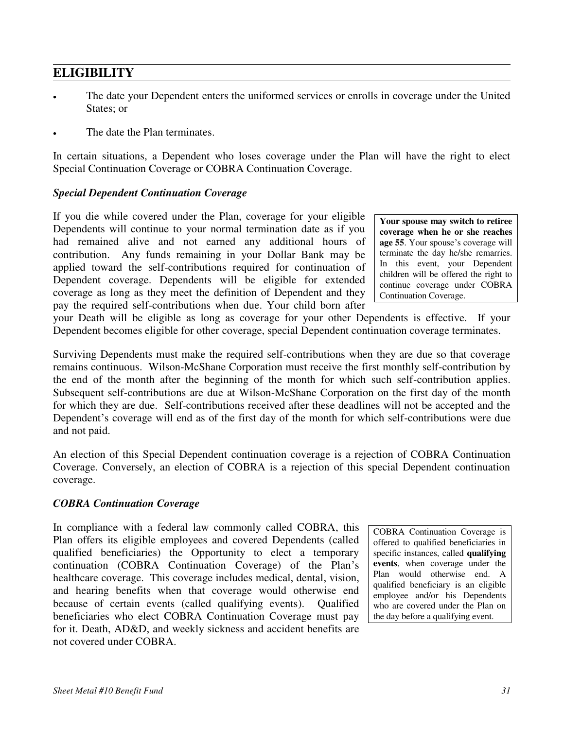- The date your Dependent enters the uniformed services or enrolls in coverage under the United States; or
- The date the Plan terminates.

In certain situations, a Dependent who loses coverage under the Plan will have the right to elect Special Continuation Coverage or COBRA Continuation Coverage.

#### *Special Dependent Continuation Coverage*

If you die while covered under the Plan, coverage for your eligible Dependents will continue to your normal termination date as if you had remained alive and not earned any additional hours of contribution. Any funds remaining in your Dollar Bank may be applied toward the self-contributions required for continuation of Dependent coverage. Dependents will be eligible for extended coverage as long as they meet the definition of Dependent and they pay the required self-contributions when due. Your child born after

**Your spouse may switch to retiree coverage when he or she reaches age 55**. Your spouse's coverage will terminate the day he/she remarries. In this event, your Dependent children will be offered the right to continue coverage under COBRA Continuation Coverage.

your Death will be eligible as long as coverage for your other Dependents is effective. If your Dependent becomes eligible for other coverage, special Dependent continuation coverage terminates.

Surviving Dependents must make the required self-contributions when they are due so that coverage remains continuous. Wilson-McShane Corporation must receive the first monthly self-contribution by the end of the month after the beginning of the month for which such self-contribution applies. Subsequent self-contributions are due at Wilson-McShane Corporation on the first day of the month for which they are due. Self-contributions received after these deadlines will not be accepted and the Dependent's coverage will end as of the first day of the month for which self-contributions were due and not paid.

An election of this Special Dependent continuation coverage is a rejection of COBRA Continuation Coverage. Conversely, an election of COBRA is a rejection of this special Dependent continuation coverage.

### <span id="page-38-0"></span>*COBRA Continuation Coverage*

In compliance with a federal law commonly called COBRA, this Plan offers its eligible employees and covered Dependents (called qualified beneficiaries) the Opportunity to elect a temporary continuation (COBRA Continuation Coverage) of the Plan's healthcare coverage. This coverage includes medical, dental, vision, and hearing benefits when that coverage would otherwise end because of certain events (called qualifying events). Qualified beneficiaries who elect COBRA Continuation Coverage must pay for it. Death, AD&D, and weekly sickness and accident benefits are not covered under COBRA.

COBRA Continuation Coverage is offered to qualified beneficiaries in specific instances, called **qualifying events**, when coverage under the Plan would otherwise end. A qualified beneficiary is an eligible employee and/or his Dependents who are covered under the Plan on the day before a qualifying event.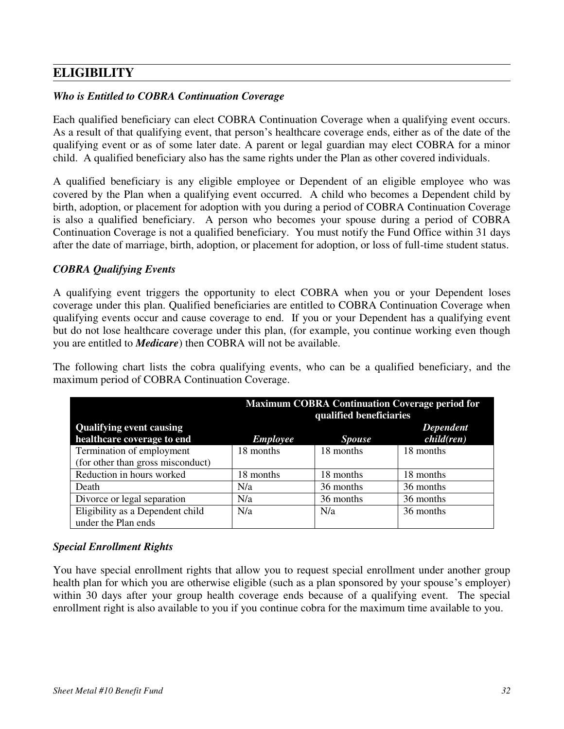#### *Who is Entitled to COBRA Continuation Coverage*

Each qualified beneficiary can elect COBRA Continuation Coverage when a qualifying event occurs. As a result of that qualifying event, that person's healthcare coverage ends, either as of the date of the qualifying event or as of some later date. A parent or legal guardian may elect COBRA for a minor child. A qualified beneficiary also has the same rights under the Plan as other covered individuals.

A qualified beneficiary is any eligible employee or Dependent of an eligible employee who was covered by the Plan when a qualifying event occurred. A child who becomes a Dependent child by birth, adoption, or placement for adoption with you during a period of COBRA Continuation Coverage is also a qualified beneficiary. A person who becomes your spouse during a period of COBRA Continuation Coverage is not a qualified beneficiary. You must notify the Fund Office within 31 days after the date of marriage, birth, adoption, or placement for adoption, or loss of full-time student status.

#### *COBRA Qualifying Events*

A qualifying event triggers the opportunity to elect COBRA when you or your Dependent loses coverage under this plan. Qualified beneficiaries are entitled to COBRA Continuation Coverage when qualifying events occur and cause coverage to end. If you or your Dependent has a qualifying event but do not lose healthcare coverage under this plan, (for example, you continue working even though you are entitled to *Medicare*) then COBRA will not be available.

The following chart lists the cobra qualifying events, who can be a qualified beneficiary, and the maximum period of COBRA Continuation Coverage.

|                                   | <b>Maximum COBRA Continuation Coverage period for</b><br>qualified beneficiaries |               |                  |
|-----------------------------------|----------------------------------------------------------------------------------|---------------|------------------|
| <b>Qualifying event causing</b>   |                                                                                  |               | <b>Dependent</b> |
| healthcare coverage to end        | <b>Employee</b>                                                                  | <b>Spouse</b> | child(ren)       |
| Termination of employment         | 18 months                                                                        | 18 months     | 18 months        |
| (for other than gross misconduct) |                                                                                  |               |                  |
| Reduction in hours worked         | 18 months                                                                        | 18 months     | 18 months        |
| Death                             | N/a                                                                              | 36 months     | 36 months        |
| Divorce or legal separation       | N/a                                                                              | 36 months     | 36 months        |
| Eligibility as a Dependent child  | N/a                                                                              | N/a           | 36 months        |
| under the Plan ends               |                                                                                  |               |                  |

#### *Special Enrollment Rights*

You have special enrollment rights that allow you to request special enrollment under another group health plan for which you are otherwise eligible (such as a plan sponsored by your spouse's employer) within 30 days after your group health coverage ends because of a qualifying event. The special enrollment right is also available to you if you continue cobra for the maximum time available to you.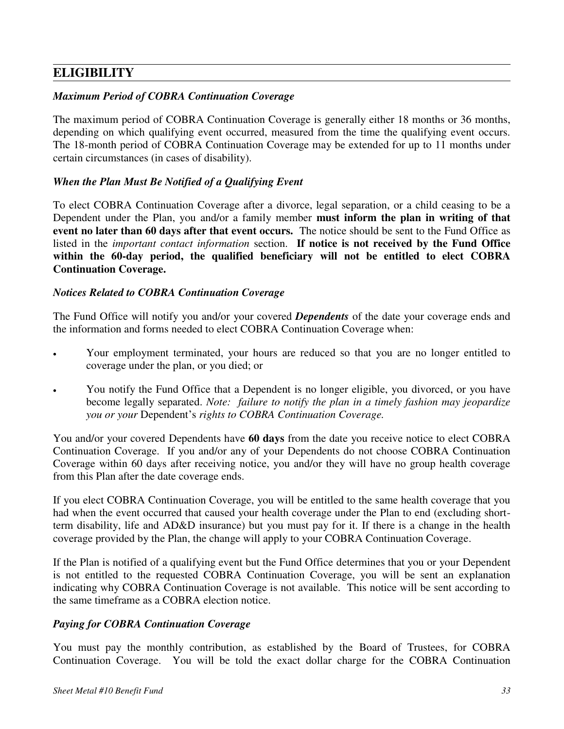## *Maximum Period of COBRA Continuation Coverage*

The maximum period of COBRA Continuation Coverage is generally either 18 months or 36 months, depending on which qualifying event occurred, measured from the time the qualifying event occurs. The 18-month period of COBRA Continuation Coverage may be extended for up to 11 months under certain circumstances (in cases of disability).

### *When the Plan Must Be Notified of a Qualifying Event*

To elect COBRA Continuation Coverage after a divorce, legal separation, or a child ceasing to be a Dependent under the Plan, you and/or a family member **must inform the plan in writing of that event no later than 60 days after that event occurs.** The notice should be sent to the Fund Office as listed in the *important contact information* section. **If notice is not received by the Fund Office within the 60-day period, the qualified beneficiary will not be entitled to elect COBRA Continuation Coverage.** 

### *Notices Related to COBRA Continuation Coverage*

The Fund Office will notify you and/or your covered *Dependents* of the date your coverage ends and the information and forms needed to elect COBRA Continuation Coverage when:

- Your employment terminated, your hours are reduced so that you are no longer entitled to coverage under the plan, or you died; or
- You notify the Fund Office that a Dependent is no longer eligible, you divorced, or you have become legally separated. *Note: failure to notify the plan in a timely fashion may jeopardize you or your* Dependent's *rights to COBRA Continuation Coverage.*

You and/or your covered Dependents have **60 days** from the date you receive notice to elect COBRA Continuation Coverage. If you and/or any of your Dependents do not choose COBRA Continuation Coverage within 60 days after receiving notice, you and/or they will have no group health coverage from this Plan after the date coverage ends.

If you elect COBRA Continuation Coverage, you will be entitled to the same health coverage that you had when the event occurred that caused your health coverage under the Plan to end (excluding shortterm disability, life and AD&D insurance) but you must pay for it. If there is a change in the health coverage provided by the Plan, the change will apply to your COBRA Continuation Coverage.

If the Plan is notified of a qualifying event but the Fund Office determines that you or your Dependent is not entitled to the requested COBRA Continuation Coverage, you will be sent an explanation indicating why COBRA Continuation Coverage is not available. This notice will be sent according to the same timeframe as a COBRA election notice.

### *Paying for COBRA Continuation Coverage*

You must pay the monthly contribution, as established by the Board of Trustees, for COBRA Continuation Coverage. You will be told the exact dollar charge for the COBRA Continuation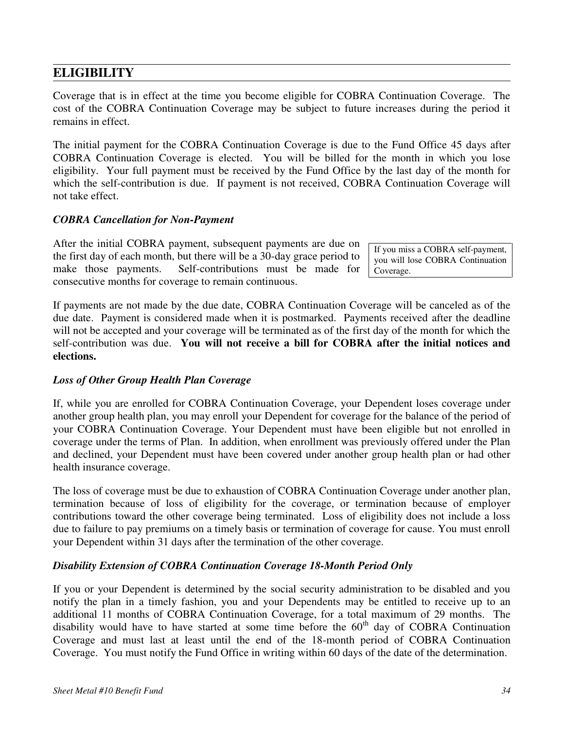Coverage that is in effect at the time you become eligible for COBRA Continuation Coverage. The cost of the COBRA Continuation Coverage may be subject to future increases during the period it remains in effect.

The initial payment for the COBRA Continuation Coverage is due to the Fund Office 45 days after COBRA Continuation Coverage is elected. You will be billed for the month in which you lose eligibility. Your full payment must be received by the Fund Office by the last day of the month for which the self-contribution is due. If payment is not received, COBRA Continuation Coverage will not take effect.

#### *COBRA Cancellation for Non-Payment*

After the initial COBRA payment, subsequent payments are due on the first day of each month, but there will be a 30-day grace period to make those payments. Self-contributions must be made for consecutive months for coverage to remain continuous.

you will lose COBRA Continuation Coverage.

If you miss a COBRA self-payment,

If payments are not made by the due date, COBRA Continuation Coverage will be canceled as of the due date. Payment is considered made when it is postmarked. Payments received after the deadline will not be accepted and your coverage will be terminated as of the first day of the month for which the self-contribution was due. **You will not receive a bill for COBRA after the initial notices and elections.** 

### *Loss of Other Group Health Plan Coverage*

If, while you are enrolled for COBRA Continuation Coverage, your Dependent loses coverage under another group health plan, you may enroll your Dependent for coverage for the balance of the period of your COBRA Continuation Coverage. Your Dependent must have been eligible but not enrolled in coverage under the terms of Plan. In addition, when enrollment was previously offered under the Plan and declined, your Dependent must have been covered under another group health plan or had other health insurance coverage.

The loss of coverage must be due to exhaustion of COBRA Continuation Coverage under another plan, termination because of loss of eligibility for the coverage, or termination because of employer contributions toward the other coverage being terminated. Loss of eligibility does not include a loss due to failure to pay premiums on a timely basis or termination of coverage for cause. You must enroll your Dependent within 31 days after the termination of the other coverage.

### *Disability Extension of COBRA Continuation Coverage 18-Month Period Only*

If you or your Dependent is determined by the social security administration to be disabled and you notify the plan in a timely fashion, you and your Dependents may be entitled to receive up to an additional 11 months of COBRA Continuation Coverage, for a total maximum of 29 months. The disability would have to have started at some time before the  $60<sup>th</sup>$  day of COBRA Continuation Coverage and must last at least until the end of the 18-month period of COBRA Continuation Coverage. You must notify the Fund Office in writing within 60 days of the date of the determination.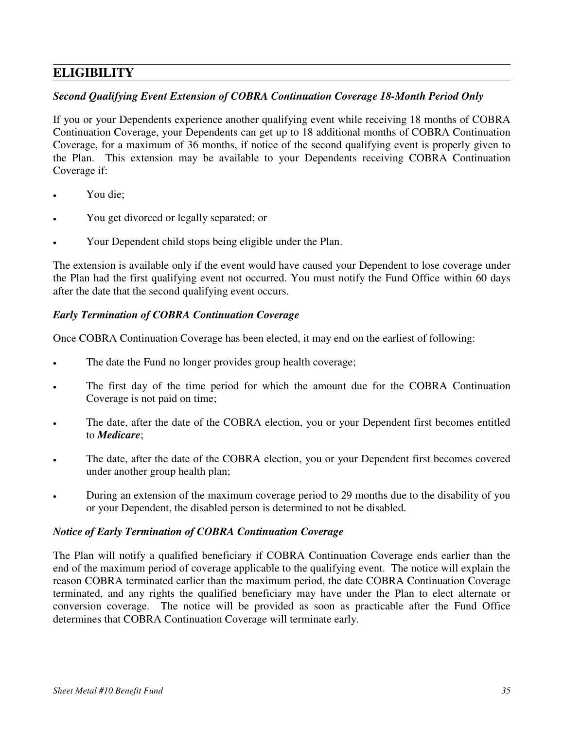## *Second Qualifying Event Extension of COBRA Continuation Coverage 18-Month Period Only*

If you or your Dependents experience another qualifying event while receiving 18 months of COBRA Continuation Coverage, your Dependents can get up to 18 additional months of COBRA Continuation Coverage, for a maximum of 36 months, if notice of the second qualifying event is properly given to the Plan. This extension may be available to your Dependents receiving COBRA Continuation Coverage if:

- You die;
- You get divorced or legally separated; or
- Your Dependent child stops being eligible under the Plan.

The extension is available only if the event would have caused your Dependent to lose coverage under the Plan had the first qualifying event not occurred. You must notify the Fund Office within 60 days after the date that the second qualifying event occurs.

## *Early Termination of COBRA Continuation Coverage*

Once COBRA Continuation Coverage has been elected, it may end on the earliest of following:

- The date the Fund no longer provides group health coverage;
- The first day of the time period for which the amount due for the COBRA Continuation Coverage is not paid on time;
- The date, after the date of the COBRA election, you or your Dependent first becomes entitled to *Medicare*;
- The date, after the date of the COBRA election, you or your Dependent first becomes covered under another group health plan;
- During an extension of the maximum coverage period to 29 months due to the disability of you or your Dependent, the disabled person is determined to not be disabled.

### *Notice of Early Termination of COBRA Continuation Coverage*

The Plan will notify a qualified beneficiary if COBRA Continuation Coverage ends earlier than the end of the maximum period of coverage applicable to the qualifying event. The notice will explain the reason COBRA terminated earlier than the maximum period, the date COBRA Continuation Coverage terminated, and any rights the qualified beneficiary may have under the Plan to elect alternate or conversion coverage. The notice will be provided as soon as practicable after the Fund Office determines that COBRA Continuation Coverage will terminate early.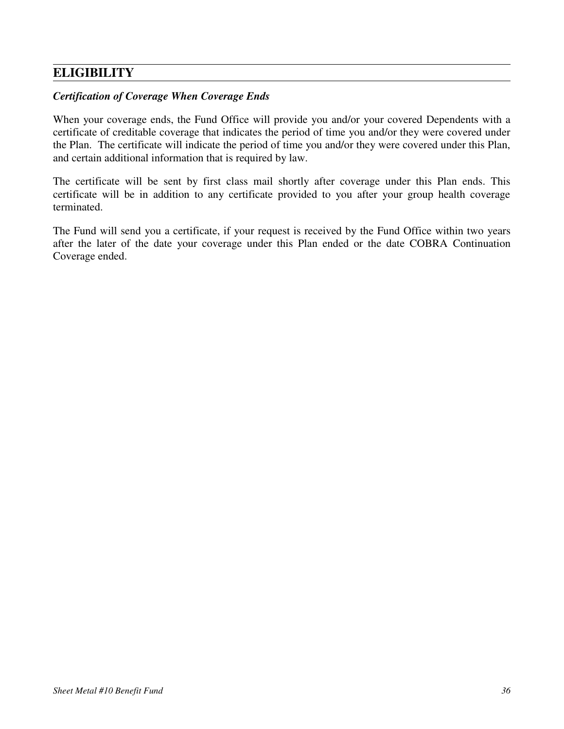## *Certification of Coverage When Coverage Ends*

When your coverage ends, the Fund Office will provide you and/or your covered Dependents with a certificate of creditable coverage that indicates the period of time you and/or they were covered under the Plan. The certificate will indicate the period of time you and/or they were covered under this Plan, and certain additional information that is required by law.

The certificate will be sent by first class mail shortly after coverage under this Plan ends. This certificate will be in addition to any certificate provided to you after your group health coverage terminated.

The Fund will send you a certificate, if your request is received by the Fund Office within two years after the later of the date your coverage under this Plan ended or the date COBRA Continuation Coverage ended.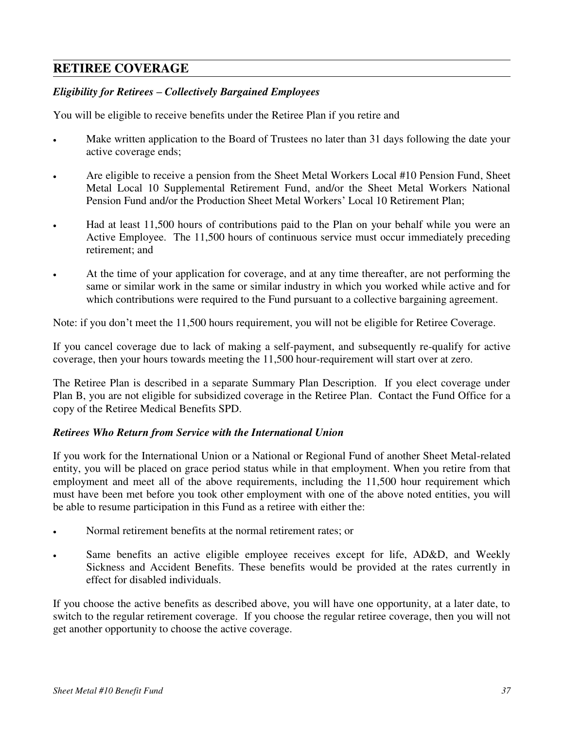## **RETIREE COVERAGE**

## *Eligibility for Retirees – Collectively Bargained Employees*

You will be eligible to receive benefits under the Retiree Plan if you retire and

- Make written application to the Board of Trustees no later than 31 days following the date your active coverage ends;
- Are eligible to receive a pension from the Sheet Metal Workers Local #10 Pension Fund, Sheet Metal Local 10 Supplemental Retirement Fund, and/or the Sheet Metal Workers National Pension Fund and/or the Production Sheet Metal Workers' Local 10 Retirement Plan;
- Had at least 11,500 hours of contributions paid to the Plan on your behalf while you were an Active Employee. The 11,500 hours of continuous service must occur immediately preceding retirement; and
- At the time of your application for coverage, and at any time thereafter, are not performing the same or similar work in the same or similar industry in which you worked while active and for which contributions were required to the Fund pursuant to a collective bargaining agreement.

Note: if you don't meet the 11,500 hours requirement, you will not be eligible for Retiree Coverage.

If you cancel coverage due to lack of making a self-payment, and subsequently re-qualify for active coverage, then your hours towards meeting the 11,500 hour-requirement will start over at zero.

The Retiree Plan is described in a separate Summary Plan Description. If you elect coverage under Plan B, you are not eligible for subsidized coverage in the Retiree Plan. Contact the Fund Office for a copy of the Retiree Medical Benefits SPD.

### *Retirees Who Return from Service with the International Union*

If you work for the International Union or a National or Regional Fund of another Sheet Metal-related entity, you will be placed on grace period status while in that employment. When you retire from that employment and meet all of the above requirements, including the 11,500 hour requirement which must have been met before you took other employment with one of the above noted entities, you will be able to resume participation in this Fund as a retiree with either the:

- Normal retirement benefits at the normal retirement rates; or
- Same benefits an active eligible employee receives except for life, AD&D, and Weekly Sickness and Accident Benefits. These benefits would be provided at the rates currently in effect for disabled individuals.

If you choose the active benefits as described above, you will have one opportunity, at a later date, to switch to the regular retirement coverage. If you choose the regular retiree coverage, then you will not get another opportunity to choose the active coverage.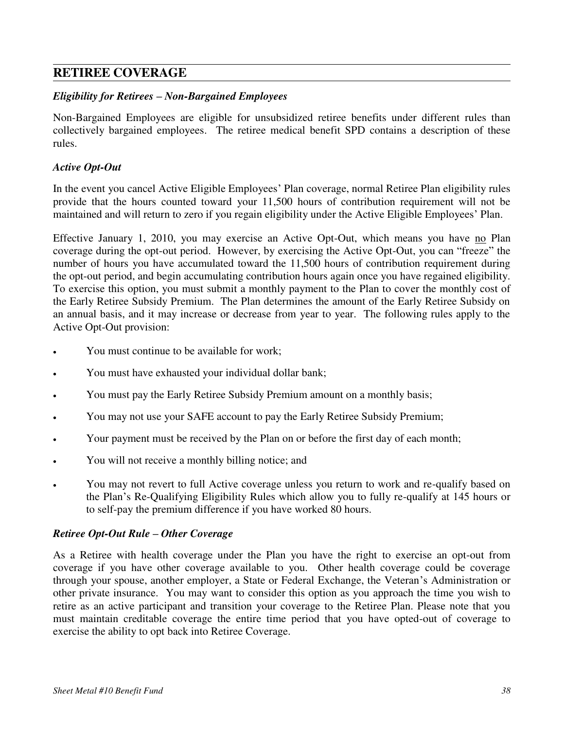## **RETIREE COVERAGE**

#### *Eligibility for Retirees – Non-Bargained Employees*

Non-Bargained Employees are eligible for unsubsidized retiree benefits under different rules than collectively bargained employees. The retiree medical benefit SPD contains a description of these rules.

#### *Active Opt-Out*

In the event you cancel Active Eligible Employees' Plan coverage, normal Retiree Plan eligibility rules provide that the hours counted toward your 11,500 hours of contribution requirement will not be maintained and will return to zero if you regain eligibility under the Active Eligible Employees' Plan.

Effective January 1, 2010, you may exercise an Active Opt-Out, which means you have no Plan coverage during the opt-out period. However, by exercising the Active Opt-Out, you can "freeze" the number of hours you have accumulated toward the 11,500 hours of contribution requirement during the opt-out period, and begin accumulating contribution hours again once you have regained eligibility. To exercise this option, you must submit a monthly payment to the Plan to cover the monthly cost of the Early Retiree Subsidy Premium. The Plan determines the amount of the Early Retiree Subsidy on an annual basis, and it may increase or decrease from year to year. The following rules apply to the Active Opt-Out provision:

- You must continue to be available for work;
- You must have exhausted your individual dollar bank;
- You must pay the Early Retiree Subsidy Premium amount on a monthly basis;
- You may not use your SAFE account to pay the Early Retiree Subsidy Premium;
- Your payment must be received by the Plan on or before the first day of each month;
- You will not receive a monthly billing notice; and
- You may not revert to full Active coverage unless you return to work and re-qualify based on the Plan's Re-Qualifying Eligibility Rules which allow you to fully re-qualify at 145 hours or to self-pay the premium difference if you have worked 80 hours.

### *Retiree Opt-Out Rule – Other Coverage*

As a Retiree with health coverage under the Plan you have the right to exercise an opt-out from coverage if you have other coverage available to you. Other health coverage could be coverage through your spouse, another employer, a State or Federal Exchange, the Veteran's Administration or other private insurance. You may want to consider this option as you approach the time you wish to retire as an active participant and transition your coverage to the Retiree Plan. Please note that you must maintain creditable coverage the entire time period that you have opted-out of coverage to exercise the ability to opt back into Retiree Coverage.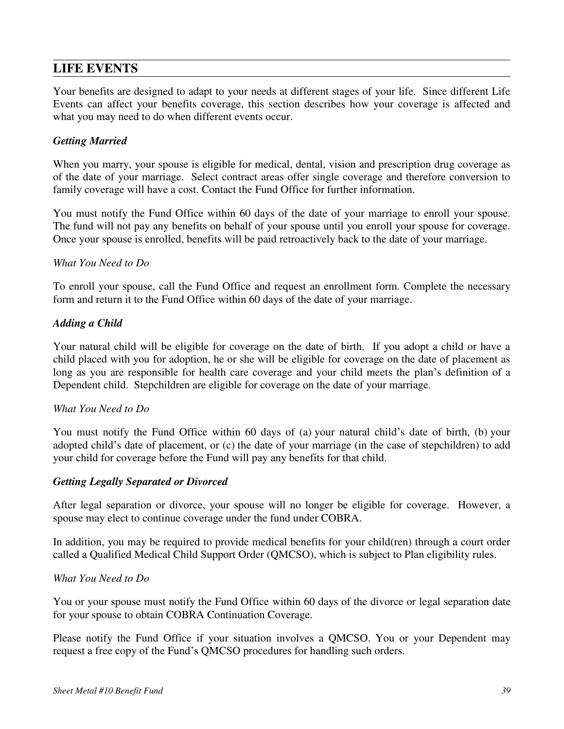Your benefits are designed to adapt to your needs at different stages of your life. Since different Life Events can affect your benefits coverage, this section describes how your coverage is affected and what you may need to do when different events occur.

### *Getting Married*

When you marry, your spouse is eligible for medical, dental, vision and prescription drug coverage as of the date of your marriage. Select contract areas offer single coverage and therefore conversion to family coverage will have a cost. Contact the Fund Office for further information.

You must notify the Fund Office within 60 days of the date of your marriage to enroll your spouse. The fund will not pay any benefits on behalf of your spouse until you enroll your spouse for coverage. Once your spouse is enrolled, benefits will be paid retroactively back to the date of your marriage.

#### *What You Need to Do*

To enroll your spouse, call the Fund Office and request an enrollment form. Complete the necessary form and return it to the Fund Office within 60 days of the date of your marriage.

#### *Adding a Child*

Your natural child will be eligible for coverage on the date of birth. If you adopt a child or have a child placed with you for adoption, he or she will be eligible for coverage on the date of placement as long as you are responsible for health care coverage and your child meets the plan's definition of a Dependent child. Stepchildren are eligible for coverage on the date of your marriage.

#### *What You Need to Do*

You must notify the Fund Office within 60 days of (a) your natural child's date of birth, (b) your adopted child's date of placement, or (c) the date of your marriage (in the case of stepchildren) to add your child for coverage before the Fund will pay any benefits for that child.

#### *Getting Legally Separated or Divorced*

After legal separation or divorce, your spouse will no longer be eligible for coverage. However, a spouse may elect to continue coverage under the fund under COBRA.

In addition, you may be required to provide medical benefits for your child(ren) through a court order called a Qualified Medical Child Support Order (QMCSO), which is subject to Plan eligibility rules.

#### *What You Need to Do*

You or your spouse must notify the Fund Office within 60 days of the divorce or legal separation date for your spouse to obtain COBRA Continuation Coverage.

Please notify the Fund Office if your situation involves a QMCSO. You or your Dependent may request a free copy of the Fund's QMCSO procedures for handling such orders.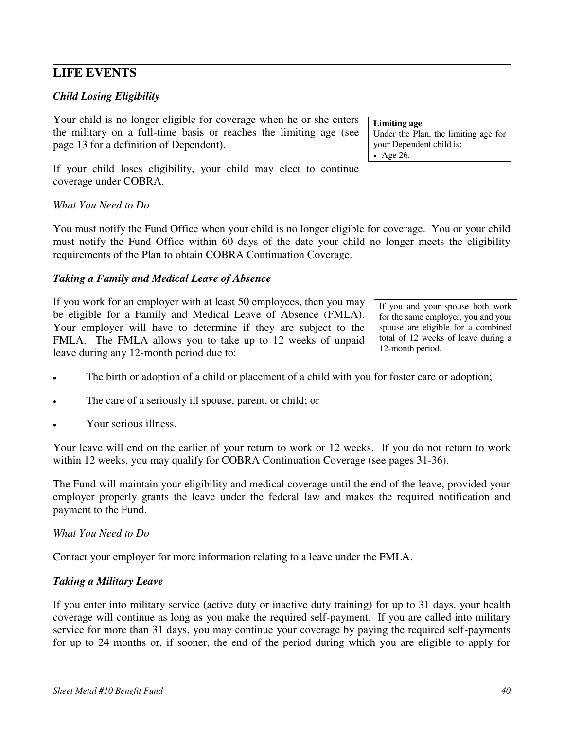#### *Child Losing Eligibility*

Your child is no longer eligible for coverage when he or she enters the military on a full-time basis or reaches the limiting age (see page [13](#page-20-0) for a definition of Dependent).

**Limiting age** 

Under the Plan, the limiting age for your Dependent child is: • Age 26.

If your child loses eligibility, your child may elect to continue coverage under COBRA.

#### *What You Need to Do*

You must notify the Fund Office when your child is no longer eligible for coverage. You or your child must notify the Fund Office within 60 days of the date your child no longer meets the eligibility requirements of the Plan to obtain COBRA Continuation Coverage.

#### *Taking a Family and Medical Leave of Absence*

If you work for an employer with at least 50 employees, then you may be eligible for a Family and Medical Leave of Absence (FMLA). Your employer will have to determine if they are subject to the FMLA. The FMLA allows you to take up to 12 weeks of unpaid leave during any 12-month period due to:

- The birth or adoption of a child or placement of a child with you for foster care or adoption;
- The care of a seriously ill spouse, parent, or child; or
- Your serious illness.

Your leave will end on the earlier of your return to work or 12 weeks. If you do not return to work within 12 weeks, you may qualify for COBRA Continuation Coverage (see pages 31-36).

The Fund will maintain your eligibility and medical coverage until the end of the leave, provided your employer properly grants the leave under the federal law and makes the required notification and payment to the Fund.

#### *What You Need to Do*

Contact your employer for more information relating to a leave under the FMLA.

#### <span id="page-47-0"></span>*Taking a Military Leave*

If you enter into military service (active duty or inactive duty training) for up to 31 days, your health coverage will continue as long as you make the required self-payment. If you are called into military service for more than 31 days, you may continue your coverage by paying the required self-payments for up to 24 months or, if sooner, the end of the period during which you are eligible to apply for

If you and your spouse both work for the same employer, you and your spouse are eligible for a combined total of 12 weeks of leave during a 12-month period.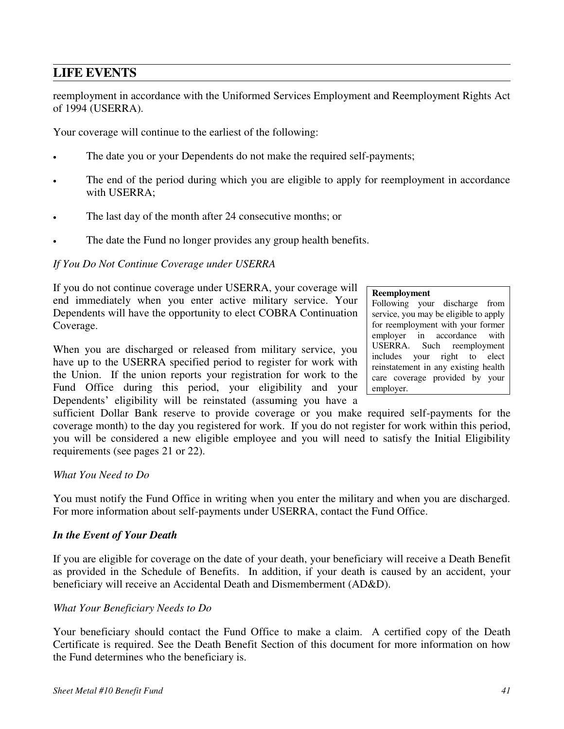reemployment in accordance with the Uniformed Services Employment and Reemployment Rights Act of 1994 (USERRA).

Your coverage will continue to the earliest of the following:

- The date you or your Dependents do not make the required self-payments;
- The end of the period during which you are eligible to apply for reemployment in accordance with USERRA;
- The last day of the month after 24 consecutive months; or
- The date the Fund no longer provides any group health benefits.

#### *If You Do Not Continue Coverage under USERRA*

If you do not continue coverage under USERRA, your coverage will end immediately when you enter active military service. Your Dependents will have the opportunity to elect COBRA Continuation Coverage.

When you are discharged or released from military service, you have up to the USERRA specified period to register for work with the Union. If the union reports your registration for work to the Fund Office during this period, your eligibility and your Dependents' eligibility will be reinstated (assuming you have a

**Reemployment** 

Following your discharge from service, you may be eligible to apply for reemployment with your former employer in accordance with USERRA. Such reemployment includes your right to elect reinstatement in any existing health care coverage provided by your employer.

sufficient Dollar Bank reserve to provide coverage or you make required self-payments for the coverage month) to the day you registered for work. If you do not register for work within this period, you will be considered a new eligible employee and you will need to satisfy the Initial Eligibility requirements (see pages 21 or 22).

#### *What You Need to Do*

You must notify the Fund Office in writing when you enter the military and when you are discharged. For more information about self-payments under USERRA, contact the Fund Office.

### *In the Event of Your Death*

If you are eligible for coverage on the date of your death, your beneficiary will receive a Death Benefit as provided in the Schedule of Benefits. In addition, if your death is caused by an accident, your beneficiary will receive an Accidental Death and Dismemberment (AD&D).

#### *What Your Beneficiary Needs to Do*

Your beneficiary should contact the Fund Office to make a claim. A certified copy of the Death Certificate is required. See the Death Benefit Section of this document for more information on how the Fund determines who the beneficiary is.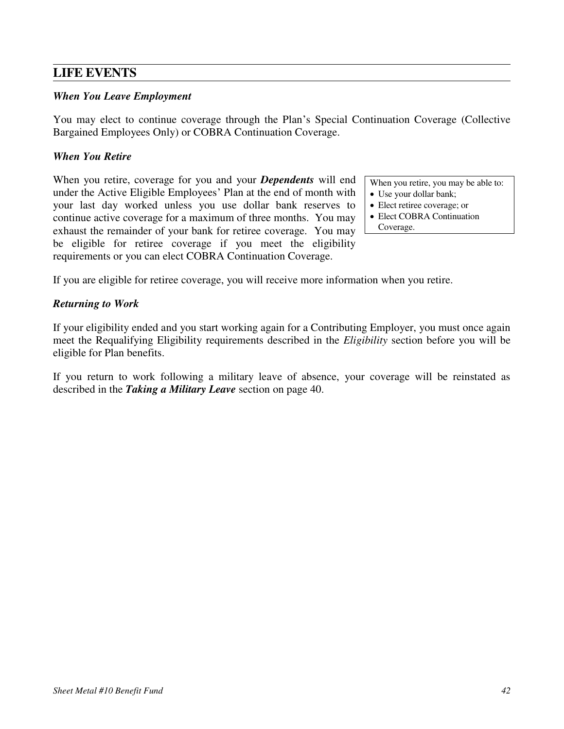#### *When You Leave Employment*

You may elect to continue coverage through the Plan's Special Continuation Coverage (Collective Bargained Employees Only) or COBRA Continuation Coverage.

#### *When You Retire*

When you retire, coverage for you and your *Dependents* will end under the Active Eligible Employees' Plan at the end of month with your last day worked unless you use dollar bank reserves to continue active coverage for a maximum of three months. You may exhaust the remainder of your bank for retiree coverage. You may be eligible for retiree coverage if you meet the eligibility requirements or you can elect COBRA Continuation Coverage.

When you retire, you may be able to:

- Use your dollar bank;
- Elect retiree coverage; or
- Elect COBRA Continuation Coverage.

If you are eligible for retiree coverage, you will receive more information when you retire.

#### *Returning to Work*

If your eligibility ended and you start working again for a Contributing Employer, you must once again meet the Requalifying Eligibility requirements described in the *Eligibility* section before you will be eligible for Plan benefits.

If you return to work following a military leave of absence, your coverage will be reinstated as described in the *Taking a Military Leave* section on page [40.](#page-47-0)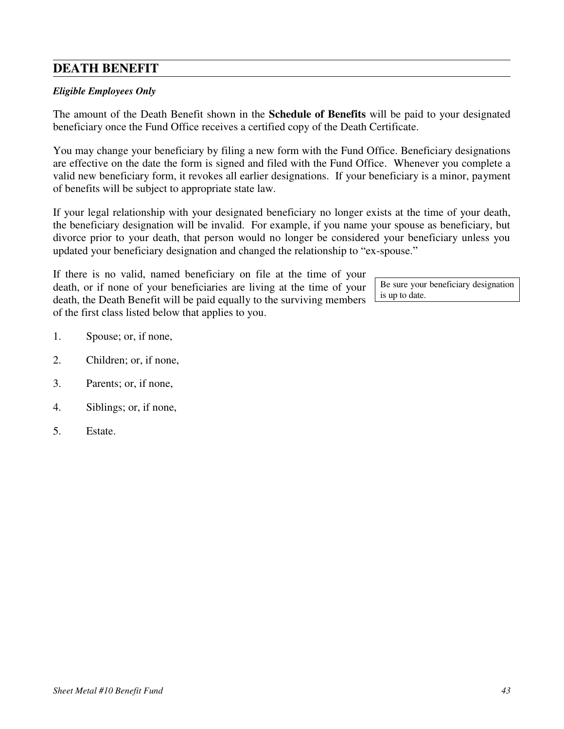# **DEATH BENEFIT**

### *Eligible Employees Only*

The amount of the Death Benefit shown in the **Schedule of Benefits** will be paid to your designated beneficiary once the Fund Office receives a certified copy of the Death Certificate.

You may change your beneficiary by filing a new form with the Fund Office. Beneficiary designations are effective on the date the form is signed and filed with the Fund Office. Whenever you complete a valid new beneficiary form, it revokes all earlier designations. If your beneficiary is a minor, payment of benefits will be subject to appropriate state law.

If your legal relationship with your designated beneficiary no longer exists at the time of your death, the beneficiary designation will be invalid. For example, if you name your spouse as beneficiary, but divorce prior to your death, that person would no longer be considered your beneficiary unless you updated your beneficiary designation and changed the relationship to "ex-spouse."

If there is no valid, named beneficiary on file at the time of your death, or if none of your beneficiaries are living at the time of your death, the Death Benefit will be paid equally to the surviving members of the first class listed below that applies to you.

Be sure your beneficiary designation is up to date.

- 1. Spouse; or, if none,
- 2. Children; or, if none,
- 3. Parents; or, if none,
- 4. Siblings; or, if none,
- 5. Estate.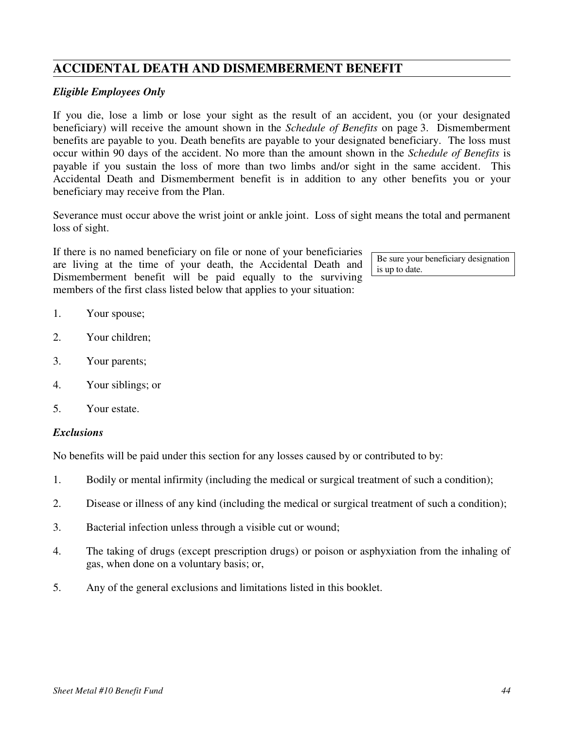# **ACCIDENTAL DEATH AND DISMEMBERMENT BENEFIT**

## *Eligible Employees Only*

If you die, lose a limb or lose your sight as the result of an accident, you (or your designated beneficiary) will receive the amount shown in the *Schedule of Benefits* on page [3.](#page-10-0) Dismemberment benefits are payable to you. Death benefits are payable to your designated beneficiary. The loss must occur within 90 days of the accident. No more than the amount shown in the *Schedule of Benefits* is payable if you sustain the loss of more than two limbs and/or sight in the same accident. This Accidental Death and Dismemberment benefit is in addition to any other benefits you or your beneficiary may receive from the Plan.

Severance must occur above the wrist joint or ankle joint. Loss of sight means the total and permanent loss of sight.

If there is no named beneficiary on file or none of your beneficiaries are living at the time of your death, the Accidental Death and Dismemberment benefit will be paid equally to the surviving members of the first class listed below that applies to your situation:

Be sure your beneficiary designation is up to date.

- 1. Your spouse;
- 2. Your children;
- 3. Your parents;
- 4. Your siblings; or
- 5. Your estate.

#### *Exclusions*

No benefits will be paid under this section for any losses caused by or contributed to by:

- 1. Bodily or mental infirmity (including the medical or surgical treatment of such a condition);
- 2. Disease or illness of any kind (including the medical or surgical treatment of such a condition);
- 3. Bacterial infection unless through a visible cut or wound;
- 4. The taking of drugs (except prescription drugs) or poison or asphyxiation from the inhaling of gas, when done on a voluntary basis; or,
- 5. Any of the general exclusions and limitations listed in this booklet.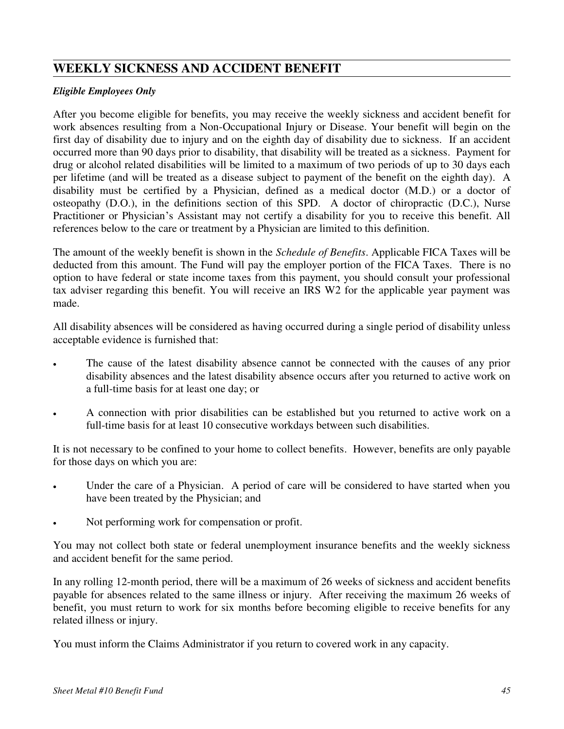# **WEEKLY SICKNESS AND ACCIDENT BENEFIT**

#### *Eligible Employees Only*

After you become eligible for benefits, you may receive the weekly sickness and accident benefit for work absences resulting from a Non-Occupational Injury or Disease. Your benefit will begin on the first day of disability due to injury and on the eighth day of disability due to sickness. If an accident occurred more than 90 days prior to disability, that disability will be treated as a sickness. Payment for drug or alcohol related disabilities will be limited to a maximum of two periods of up to 30 days each per lifetime (and will be treated as a disease subject to payment of the benefit on the eighth day). A disability must be certified by a Physician, defined as a medical doctor (M.D.) or a doctor of osteopathy (D.O.), in the definitions section of this SPD. A doctor of chiropractic (D.C.), Nurse Practitioner or Physician's Assistant may not certify a disability for you to receive this benefit. All references below to the care or treatment by a Physician are limited to this definition.

The amount of the weekly benefit is shown in the *Schedule of Benefits*. Applicable FICA Taxes will be deducted from this amount. The Fund will pay the employer portion of the FICA Taxes. There is no option to have federal or state income taxes from this payment, you should consult your professional tax adviser regarding this benefit. You will receive an IRS W2 for the applicable year payment was made.

All disability absences will be considered as having occurred during a single period of disability unless acceptable evidence is furnished that:

- The cause of the latest disability absence cannot be connected with the causes of any prior disability absences and the latest disability absence occurs after you returned to active work on a full-time basis for at least one day; or
- A connection with prior disabilities can be established but you returned to active work on a full-time basis for at least 10 consecutive workdays between such disabilities.

It is not necessary to be confined to your home to collect benefits. However, benefits are only payable for those days on which you are:

- Under the care of a Physician. A period of care will be considered to have started when you have been treated by the Physician; and
- Not performing work for compensation or profit.

You may not collect both state or federal unemployment insurance benefits and the weekly sickness and accident benefit for the same period.

In any rolling 12-month period, there will be a maximum of 26 weeks of sickness and accident benefits payable for absences related to the same illness or injury. After receiving the maximum 26 weeks of benefit, you must return to work for six months before becoming eligible to receive benefits for any related illness or injury.

You must inform the Claims Administrator if you return to covered work in any capacity.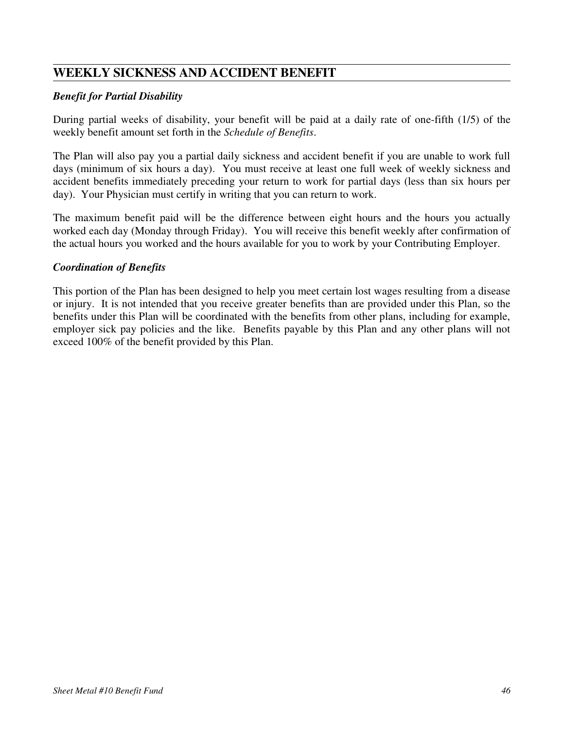# **WEEKLY SICKNESS AND ACCIDENT BENEFIT**

#### *Benefit for Partial Disability*

During partial weeks of disability, your benefit will be paid at a daily rate of one-fifth (1/5) of the weekly benefit amount set forth in the *Schedule of Benefits*.

The Plan will also pay you a partial daily sickness and accident benefit if you are unable to work full days (minimum of six hours a day). You must receive at least one full week of weekly sickness and accident benefits immediately preceding your return to work for partial days (less than six hours per day). Your Physician must certify in writing that you can return to work.

The maximum benefit paid will be the difference between eight hours and the hours you actually worked each day (Monday through Friday). You will receive this benefit weekly after confirmation of the actual hours you worked and the hours available for you to work by your Contributing Employer.

#### *Coordination of Benefits*

This portion of the Plan has been designed to help you meet certain lost wages resulting from a disease or injury. It is not intended that you receive greater benefits than are provided under this Plan, so the benefits under this Plan will be coordinated with the benefits from other plans, including for example, employer sick pay policies and the like. Benefits payable by this Plan and any other plans will not exceed 100% of the benefit provided by this Plan.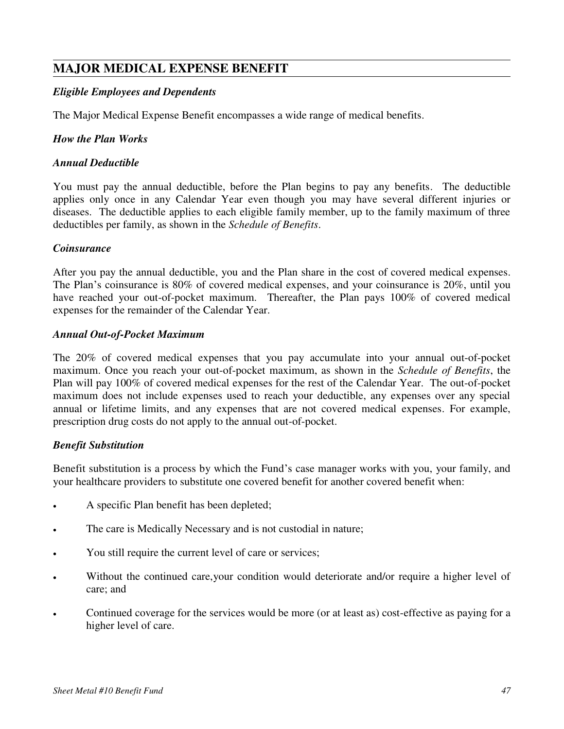### *Eligible Employees and Dependents*

The Major Medical Expense Benefit encompasses a wide range of medical benefits.

#### *How the Plan Works*

#### *Annual Deductible*

You must pay the annual deductible, before the Plan begins to pay any benefits. The deductible applies only once in any Calendar Year even though you may have several different injuries or diseases. The deductible applies to each eligible family member, up to the family maximum of three deductibles per family, as shown in the *Schedule of Benefits*.

#### *Coinsurance*

After you pay the annual deductible, you and the Plan share in the cost of covered medical expenses. The Plan's coinsurance is 80% of covered medical expenses, and your coinsurance is 20%, until you have reached your out-of-pocket maximum. Thereafter, the Plan pays 100% of covered medical expenses for the remainder of the Calendar Year.

#### *Annual Out-of-Pocket Maximum*

The 20% of covered medical expenses that you pay accumulate into your annual out-of-pocket maximum. Once you reach your out-of-pocket maximum, as shown in the *Schedule of Benefits*, the Plan will pay 100% of covered medical expenses for the rest of the Calendar Year. The out-of-pocket maximum does not include expenses used to reach your deductible, any expenses over any special annual or lifetime limits, and any expenses that are not covered medical expenses. For example, prescription drug costs do not apply to the annual out-of-pocket.

### *Benefit Substitution*

Benefit substitution is a process by which the Fund's case manager works with you, your family, and your healthcare providers to substitute one covered benefit for another covered benefit when:

- A specific Plan benefit has been depleted;
- The care is Medically Necessary and is not custodial in nature;
- You still require the current level of care or services;
- Without the continued care,your condition would deteriorate and/or require a higher level of care; and
- Continued coverage for the services would be more (or at least as) cost-effective as paying for a higher level of care.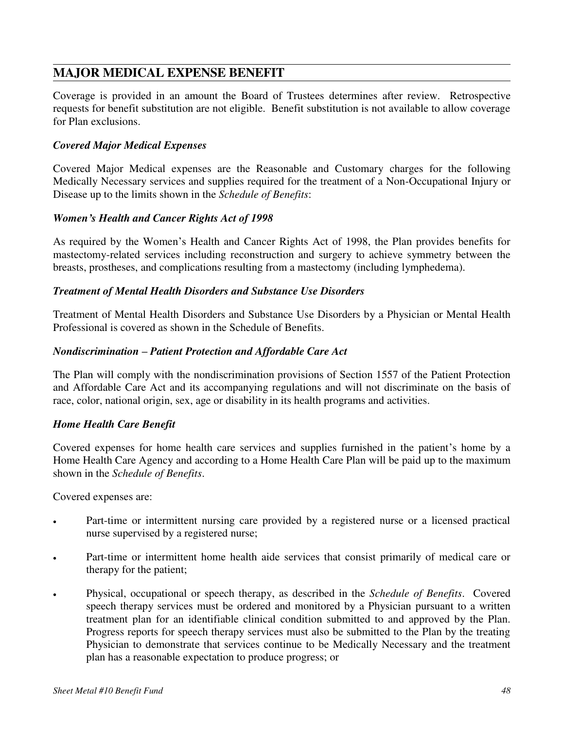Coverage is provided in an amount the Board of Trustees determines after review. Retrospective requests for benefit substitution are not eligible. Benefit substitution is not available to allow coverage for Plan exclusions.

### *Covered Major Medical Expenses*

Covered Major Medical expenses are the Reasonable and Customary charges for the following Medically Necessary services and supplies required for the treatment of a Non-Occupational Injury or Disease up to the limits shown in the *Schedule of Benefits*:

### *Women's Health and Cancer Rights Act of 1998*

As required by the Women's Health and Cancer Rights Act of 1998, the Plan provides benefits for mastectomy-related services including reconstruction and surgery to achieve symmetry between the breasts, prostheses, and complications resulting from a mastectomy (including lymphedema).

### *Treatment of Mental Health Disorders and Substance Use Disorders*

Treatment of Mental Health Disorders and Substance Use Disorders by a Physician or Mental Health Professional is covered as shown in the Schedule of Benefits.

### *Nondiscrimination – Patient Protection and Affordable Care Act*

The Plan will comply with the nondiscrimination provisions of Section 1557 of the Patient Protection and Affordable Care Act and its accompanying regulations and will not discriminate on the basis of race, color, national origin, sex, age or disability in its health programs and activities.

### *Home Health Care Benefit*

Covered expenses for home health care services and supplies furnished in the patient's home by a Home Health Care Agency and according to a Home Health Care Plan will be paid up to the maximum shown in the *Schedule of Benefits*.

Covered expenses are:

- Part-time or intermittent nursing care provided by a registered nurse or a licensed practical nurse supervised by a registered nurse;
- Part-time or intermittent home health aide services that consist primarily of medical care or therapy for the patient;
- Physical, occupational or speech therapy, as described in the *Schedule of Benefits*. Covered speech therapy services must be ordered and monitored by a Physician pursuant to a written treatment plan for an identifiable clinical condition submitted to and approved by the Plan. Progress reports for speech therapy services must also be submitted to the Plan by the treating Physician to demonstrate that services continue to be Medically Necessary and the treatment plan has a reasonable expectation to produce progress; or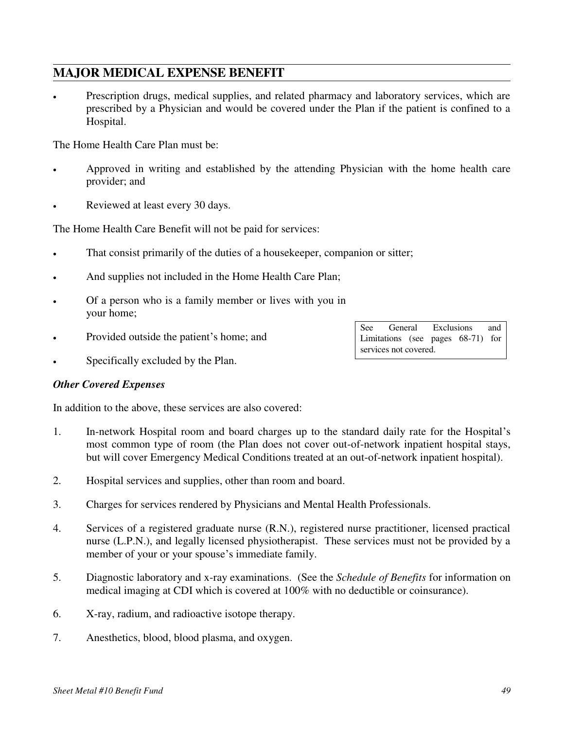Prescription drugs, medical supplies, and related pharmacy and laboratory services, which are prescribed by a Physician and would be covered under the Plan if the patient is confined to a Hospital.

The Home Health Care Plan must be:

- Approved in writing and established by the attending Physician with the home health care provider; and
- Reviewed at least every 30 days.

The Home Health Care Benefit will not be paid for services:

- That consist primarily of the duties of a housekeeper, companion or sitter;
- And supplies not included in the Home Health Care Plan;
- Of a person who is a family member or lives with you in your home;
- Provided outside the patient's home; and
- Specifically excluded by the Plan.

#### *Other Covered Expenses*

In addition to the above, these services are also covered:

- 1. In-network Hospital room and board charges up to the standard daily rate for the Hospital's most common type of room (the Plan does not cover out-of-network inpatient hospital stays, but will cover Emergency Medical Conditions treated at an out-of-network inpatient hospital).
- 2. Hospital services and supplies, other than room and board.
- 3. Charges for services rendered by Physicians and Mental Health Professionals.
- 4. Services of a registered graduate nurse (R.N.), registered nurse practitioner, licensed practical nurse (L.P.N.), and legally licensed physiotherapist. These services must not be provided by a member of your or your spouse's immediate family.
- 5. Diagnostic laboratory and x-ray examinations. (See the *Schedule of Benefits* for information on medical imaging at CDI which is covered at 100% with no deductible or coinsurance).
- 6. X-ray, radium, and radioactive isotope therapy.
- 7. Anesthetics, blood, blood plasma, and oxygen.

See General Exclusions and Limitations (see pages 68-71) for services not covered.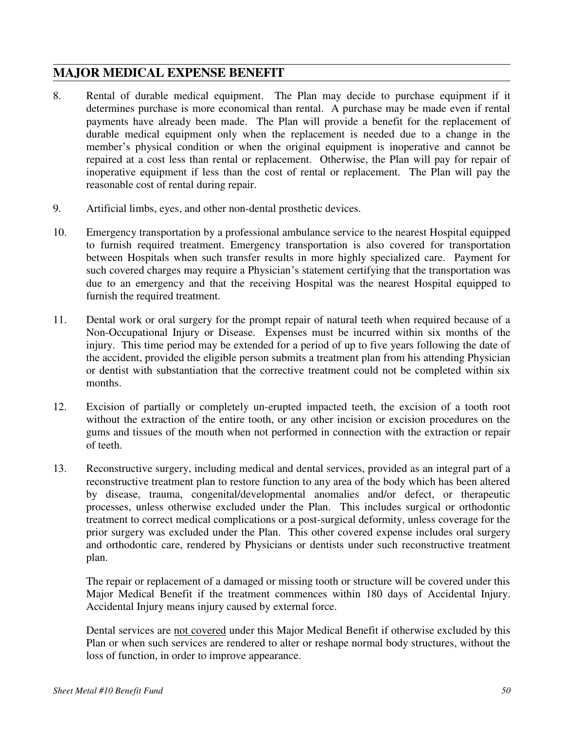- 8. Rental of durable medical equipment. The Plan may decide to purchase equipment if it determines purchase is more economical than rental. A purchase may be made even if rental payments have already been made. The Plan will provide a benefit for the replacement of durable medical equipment only when the replacement is needed due to a change in the member's physical condition or when the original equipment is inoperative and cannot be repaired at a cost less than rental or replacement. Otherwise, the Plan will pay for repair of inoperative equipment if less than the cost of rental or replacement. The Plan will pay the reasonable cost of rental during repair.
- 9. Artificial limbs, eyes, and other non-dental prosthetic devices.
- 10. Emergency transportation by a professional ambulance service to the nearest Hospital equipped to furnish required treatment. Emergency transportation is also covered for transportation between Hospitals when such transfer results in more highly specialized care. Payment for such covered charges may require a Physician's statement certifying that the transportation was due to an emergency and that the receiving Hospital was the nearest Hospital equipped to furnish the required treatment.
- 11. Dental work or oral surgery for the prompt repair of natural teeth when required because of a Non-Occupational Injury or Disease. Expenses must be incurred within six months of the injury. This time period may be extended for a period of up to five years following the date of the accident, provided the eligible person submits a treatment plan from his attending Physician or dentist with substantiation that the corrective treatment could not be completed within six months.
- 12. Excision of partially or completely un-erupted impacted teeth, the excision of a tooth root without the extraction of the entire tooth, or any other incision or excision procedures on the gums and tissues of the mouth when not performed in connection with the extraction or repair of teeth.
- 13. Reconstructive surgery, including medical and dental services, provided as an integral part of a reconstructive treatment plan to restore function to any area of the body which has been altered by disease, trauma, congenital/developmental anomalies and/or defect, or therapeutic processes, unless otherwise excluded under the Plan. This includes surgical or orthodontic treatment to correct medical complications or a post-surgical deformity, unless coverage for the prior surgery was excluded under the Plan. This other covered expense includes oral surgery and orthodontic care, rendered by Physicians or dentists under such reconstructive treatment plan.

The repair or replacement of a damaged or missing tooth or structure will be covered under this Major Medical Benefit if the treatment commences within 180 days of Accidental Injury. Accidental Injury means injury caused by external force.

Dental services are not covered under this Major Medical Benefit if otherwise excluded by this Plan or when such services are rendered to alter or reshape normal body structures, without the loss of function, in order to improve appearance.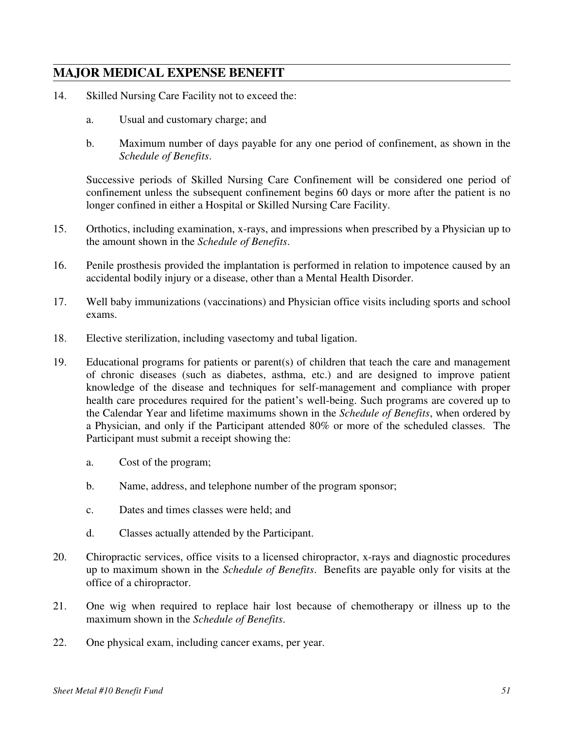- 14. Skilled Nursing Care Facility not to exceed the:
	- a. Usual and customary charge; and
	- b. Maximum number of days payable for any one period of confinement, as shown in the *Schedule of Benefits*.

Successive periods of Skilled Nursing Care Confinement will be considered one period of confinement unless the subsequent confinement begins 60 days or more after the patient is no longer confined in either a Hospital or Skilled Nursing Care Facility.

- 15. Orthotics, including examination, x-rays, and impressions when prescribed by a Physician up to the amount shown in the *Schedule of Benefits*.
- 16. Penile prosthesis provided the implantation is performed in relation to impotence caused by an accidental bodily injury or a disease, other than a Mental Health Disorder.
- 17. Well baby immunizations (vaccinations) and Physician office visits including sports and school exams.
- 18. Elective sterilization, including vasectomy and tubal ligation.
- 19. Educational programs for patients or parent(s) of children that teach the care and management of chronic diseases (such as diabetes, asthma, etc.) and are designed to improve patient knowledge of the disease and techniques for self-management and compliance with proper health care procedures required for the patient's well-being. Such programs are covered up to the Calendar Year and lifetime maximums shown in the *Schedule of Benefits*, when ordered by a Physician, and only if the Participant attended 80% or more of the scheduled classes. The Participant must submit a receipt showing the:
	- a. Cost of the program;
	- b. Name, address, and telephone number of the program sponsor;
	- c. Dates and times classes were held; and
	- d. Classes actually attended by the Participant.
- 20. Chiropractic services, office visits to a licensed chiropractor, x-rays and diagnostic procedures up to maximum shown in the *Schedule of Benefits*. Benefits are payable only for visits at the office of a chiropractor.
- 21. One wig when required to replace hair lost because of chemotherapy or illness up to the maximum shown in the *Schedule of Benefits*.
- 22. One physical exam, including cancer exams, per year.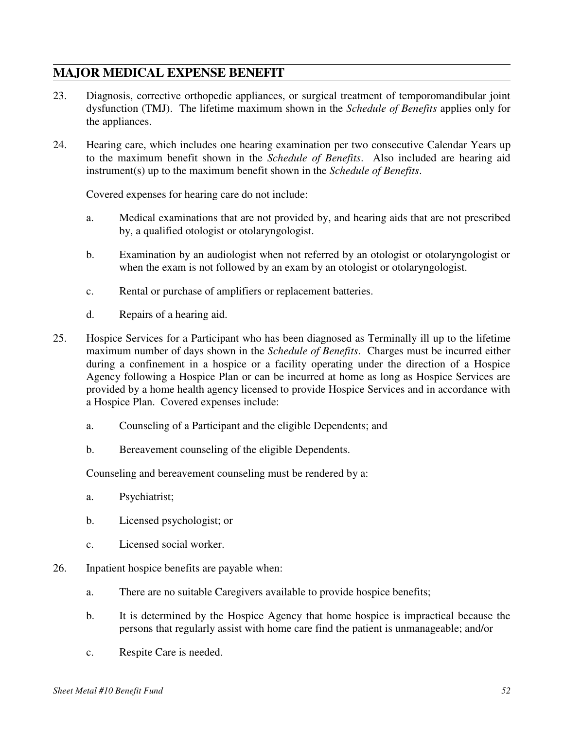- 23. Diagnosis, corrective orthopedic appliances, or surgical treatment of temporomandibular joint dysfunction (TMJ). The lifetime maximum shown in the *Schedule of Benefits* applies only for the appliances.
- 24. Hearing care, which includes one hearing examination per two consecutive Calendar Years up to the maximum benefit shown in the *Schedule of Benefits*. Also included are hearing aid instrument(s) up to the maximum benefit shown in the *Schedule of Benefits*.

Covered expenses for hearing care do not include:

- a. Medical examinations that are not provided by, and hearing aids that are not prescribed by, a qualified otologist or otolaryngologist.
- b. Examination by an audiologist when not referred by an otologist or otolaryngologist or when the exam is not followed by an exam by an otologist or otolaryngologist.
- c. Rental or purchase of amplifiers or replacement batteries.
- d. Repairs of a hearing aid.
- 25. Hospice Services for a Participant who has been diagnosed as Terminally ill up to the lifetime maximum number of days shown in the *Schedule of Benefits*. Charges must be incurred either during a confinement in a hospice or a facility operating under the direction of a Hospice Agency following a Hospice Plan or can be incurred at home as long as Hospice Services are provided by a home health agency licensed to provide Hospice Services and in accordance with a Hospice Plan. Covered expenses include:
	- a. Counseling of a Participant and the eligible Dependents; and
	- b. Bereavement counseling of the eligible Dependents.

Counseling and bereavement counseling must be rendered by a:

- a. Psychiatrist;
- b. Licensed psychologist; or
- c. Licensed social worker.
- 26. Inpatient hospice benefits are payable when:
	- a. There are no suitable Caregivers available to provide hospice benefits;
	- b. It is determined by the Hospice Agency that home hospice is impractical because the persons that regularly assist with home care find the patient is unmanageable; and/or
	- c. Respite Care is needed.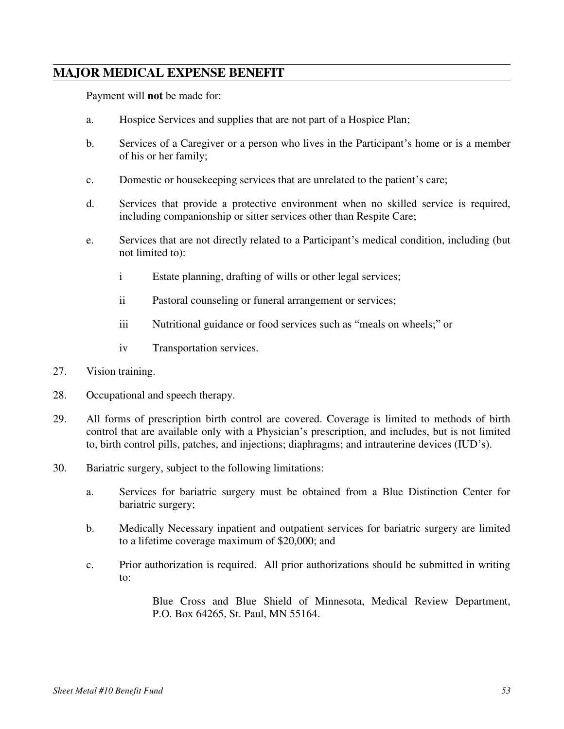Payment will **not** be made for:

- a. Hospice Services and supplies that are not part of a Hospice Plan;
- b. Services of a Caregiver or a person who lives in the Participant's home or is a member of his or her family;
- c. Domestic or housekeeping services that are unrelated to the patient's care;
- d. Services that provide a protective environment when no skilled service is required, including companionship or sitter services other than Respite Care;
- e. Services that are not directly related to a Participant's medical condition, including (but not limited to):
	- i Estate planning, drafting of wills or other legal services;
	- ii Pastoral counseling or funeral arrangement or services;
	- iii Nutritional guidance or food services such as "meals on wheels;" or
	- iv Transportation services.
- 27. Vision training.
- 28. Occupational and speech therapy.
- 29. All forms of prescription birth control are covered. Coverage is limited to methods of birth control that are available only with a Physician's prescription, and includes, but is not limited to, birth control pills, patches, and injections; diaphragms; and intrauterine devices (IUD's).
- 30. Bariatric surgery, subject to the following limitations:
	- a. Services for bariatric surgery must be obtained from a Blue Distinction Center for bariatric surgery;
	- b. Medically Necessary inpatient and outpatient services for bariatric surgery are limited to a lifetime coverage maximum of \$20,000; and
	- c. Prior authorization is required. All prior authorizations should be submitted in writing to:

Blue Cross and Blue Shield of Minnesota, Medical Review Department, P.O. Box 64265, St. Paul, MN 55164.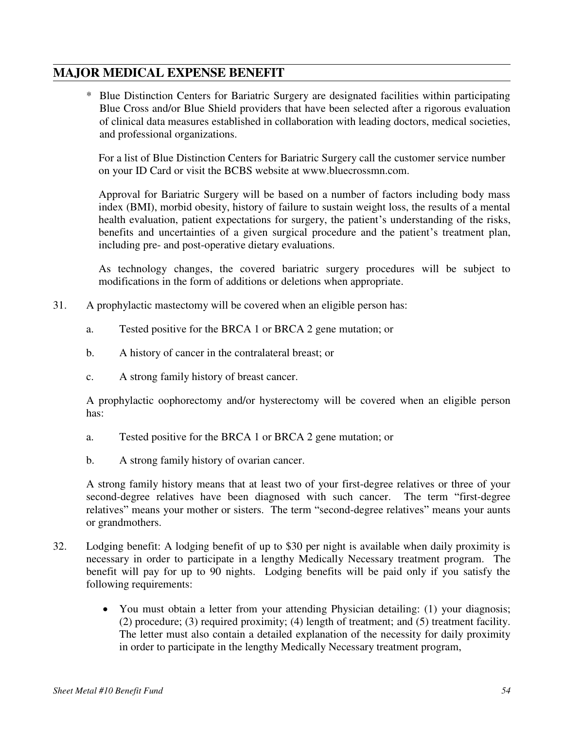\* Blue Distinction Centers for Bariatric Surgery are designated facilities within participating Blue Cross and/or Blue Shield providers that have been selected after a rigorous evaluation of clinical data measures established in collaboration with leading doctors, medical societies, and professional organizations.

For a list of Blue Distinction Centers for Bariatric Surgery call the customer service number on your ID Card or visit the BCBS website at www.bluecrossmn.com.

Approval for Bariatric Surgery will be based on a number of factors including body mass index (BMI), morbid obesity, history of failure to sustain weight loss, the results of a mental health evaluation, patient expectations for surgery, the patient's understanding of the risks, benefits and uncertainties of a given surgical procedure and the patient's treatment plan, including pre- and post-operative dietary evaluations.

As technology changes, the covered bariatric surgery procedures will be subject to modifications in the form of additions or deletions when appropriate.

- 31. A prophylactic mastectomy will be covered when an eligible person has:
	- a. Tested positive for the BRCA 1 or BRCA 2 gene mutation; or
	- b. A history of cancer in the contralateral breast; or
	- c. A strong family history of breast cancer.

A prophylactic oophorectomy and/or hysterectomy will be covered when an eligible person has:

- a. Tested positive for the BRCA 1 or BRCA 2 gene mutation; or
- b. A strong family history of ovarian cancer.

A strong family history means that at least two of your first-degree relatives or three of your second-degree relatives have been diagnosed with such cancer. The term "first-degree relatives" means your mother or sisters. The term "second-degree relatives" means your aunts or grandmothers.

- 32. Lodging benefit: A lodging benefit of up to \$30 per night is available when daily proximity is necessary in order to participate in a lengthy Medically Necessary treatment program. The benefit will pay for up to 90 nights. Lodging benefits will be paid only if you satisfy the following requirements:
	- You must obtain a letter from your attending Physician detailing: (1) your diagnosis; (2) procedure; (3) required proximity; (4) length of treatment; and (5) treatment facility. The letter must also contain a detailed explanation of the necessity for daily proximity in order to participate in the lengthy Medically Necessary treatment program,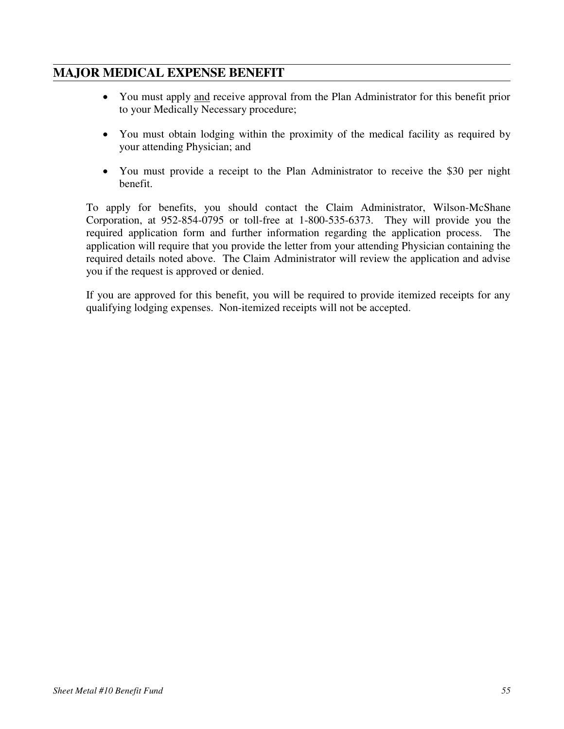- You must apply and receive approval from the Plan Administrator for this benefit prior to your Medically Necessary procedure;
- You must obtain lodging within the proximity of the medical facility as required by your attending Physician; and
- You must provide a receipt to the Plan Administrator to receive the \$30 per night benefit.

To apply for benefits, you should contact the Claim Administrator, Wilson-McShane Corporation, at 952-854-0795 or toll-free at 1-800-535-6373. They will provide you the required application form and further information regarding the application process. The application will require that you provide the letter from your attending Physician containing the required details noted above. The Claim Administrator will review the application and advise you if the request is approved or denied.

If you are approved for this benefit, you will be required to provide itemized receipts for any qualifying lodging expenses. Non-itemized receipts will not be accepted.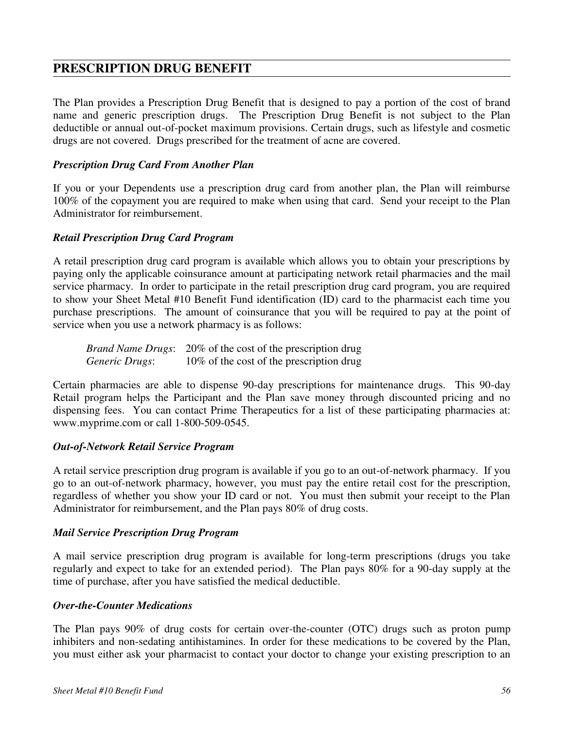## **PRESCRIPTION DRUG BENEFIT**

The Plan provides a Prescription Drug Benefit that is designed to pay a portion of the cost of brand name and generic prescription drugs. The Prescription Drug Benefit is not subject to the Plan deductible or annual out-of-pocket maximum provisions. Certain drugs, such as lifestyle and cosmetic drugs are not covered. Drugs prescribed for the treatment of acne are covered.

#### *Prescription Drug Card From Another Plan*

If you or your Dependents use a prescription drug card from another plan, the Plan will reimburse 100% of the copayment you are required to make when using that card. Send your receipt to the Plan Administrator for reimbursement.

#### *Retail Prescription Drug Card Program*

A retail prescription drug card program is available which allows you to obtain your prescriptions by paying only the applicable coinsurance amount at participating network retail pharmacies and the mail service pharmacy. In order to participate in the retail prescription drug card program, you are required to show your Sheet Metal #10 Benefit Fund identification (ID) card to the pharmacist each time you purchase prescriptions. The amount of coinsurance that you will be required to pay at the point of service when you use a network pharmacy is as follows:

*Brand Name Drugs*: 20% of the cost of the prescription drug *Generic Drugs*: 10% of the cost of the prescription drug

Certain pharmacies are able to dispense 90-day prescriptions for maintenance drugs. This 90-day Retail program helps the Participant and the Plan save money through discounted pricing and no dispensing fees. You can contact Prime Therapeutics for a list of these participating pharmacies at: www.myprime.com or call 1-800-509-0545.

#### *Out-of-Network Retail Service Program*

A retail service prescription drug program is available if you go to an out-of-network pharmacy. If you go to an out-of-network pharmacy, however, you must pay the entire retail cost for the prescription, regardless of whether you show your ID card or not. You must then submit your receipt to the Plan Administrator for reimbursement, and the Plan pays 80% of drug costs.

#### *Mail Service Prescription Drug Program*

A mail service prescription drug program is available for long-term prescriptions (drugs you take regularly and expect to take for an extended period). The Plan pays 80% for a 90-day supply at the time of purchase, after you have satisfied the medical deductible.

#### *Over-the-Counter Medications*

The Plan pays 90% of drug costs for certain over-the-counter (OTC) drugs such as proton pump inhibiters and non-sedating antihistamines. In order for these medications to be covered by the Plan, you must either ask your pharmacist to contact your doctor to change your existing prescription to an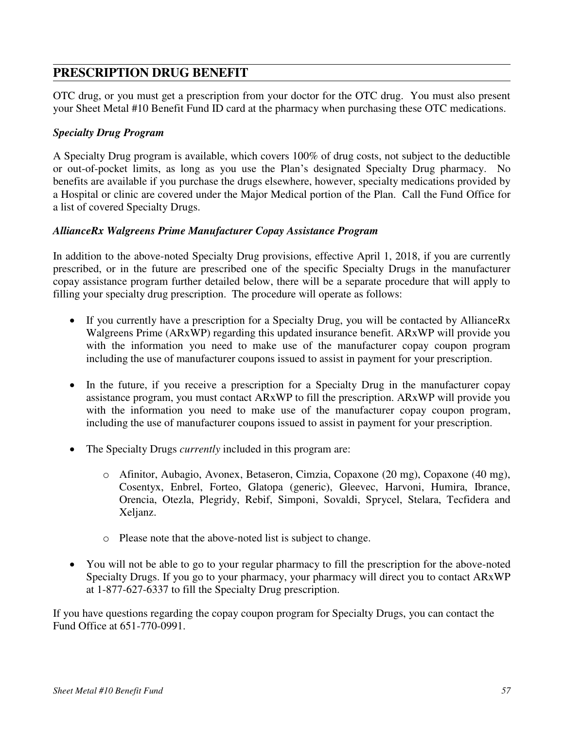# **PRESCRIPTION DRUG BENEFIT**

OTC drug, or you must get a prescription from your doctor for the OTC drug. You must also present your Sheet Metal #10 Benefit Fund ID card at the pharmacy when purchasing these OTC medications.

## *Specialty Drug Program*

A Specialty Drug program is available, which covers 100% of drug costs, not subject to the deductible or out-of-pocket limits, as long as you use the Plan's designated Specialty Drug pharmacy. No benefits are available if you purchase the drugs elsewhere, however, specialty medications provided by a Hospital or clinic are covered under the Major Medical portion of the Plan. Call the Fund Office for a list of covered Specialty Drugs.

### *AllianceRx Walgreens Prime Manufacturer Copay Assistance Program*

In addition to the above-noted Specialty Drug provisions, effective April 1, 2018, if you are currently prescribed, or in the future are prescribed one of the specific Specialty Drugs in the manufacturer copay assistance program further detailed below, there will be a separate procedure that will apply to filling your specialty drug prescription. The procedure will operate as follows:

- If you currently have a prescription for a Specialty Drug, you will be contacted by AllianceRx Walgreens Prime (ARxWP) regarding this updated insurance benefit. ARxWP will provide you with the information you need to make use of the manufacturer copay coupon program including the use of manufacturer coupons issued to assist in payment for your prescription.
- In the future, if you receive a prescription for a Specialty Drug in the manufacturer copay assistance program, you must contact ARxWP to fill the prescription. ARxWP will provide you with the information you need to make use of the manufacturer copay coupon program, including the use of manufacturer coupons issued to assist in payment for your prescription.
- The Specialty Drugs *currently* included in this program are:
	- o Afinitor, Aubagio, Avonex, Betaseron, Cimzia, Copaxone (20 mg), Copaxone (40 mg), Cosentyx, Enbrel, Forteo, Glatopa (generic), Gleevec, Harvoni, Humira, Ibrance, Orencia, Otezla, Plegridy, Rebif, Simponi, Sovaldi, Sprycel, Stelara, Tecfidera and Xeljanz.
	- o Please note that the above-noted list is subject to change.
- You will not be able to go to your regular pharmacy to fill the prescription for the above-noted Specialty Drugs. If you go to your pharmacy, your pharmacy will direct you to contact ARxWP at 1-877-627-6337 to fill the Specialty Drug prescription.

If you have questions regarding the copay coupon program for Specialty Drugs, you can contact the Fund Office at 651-770-0991.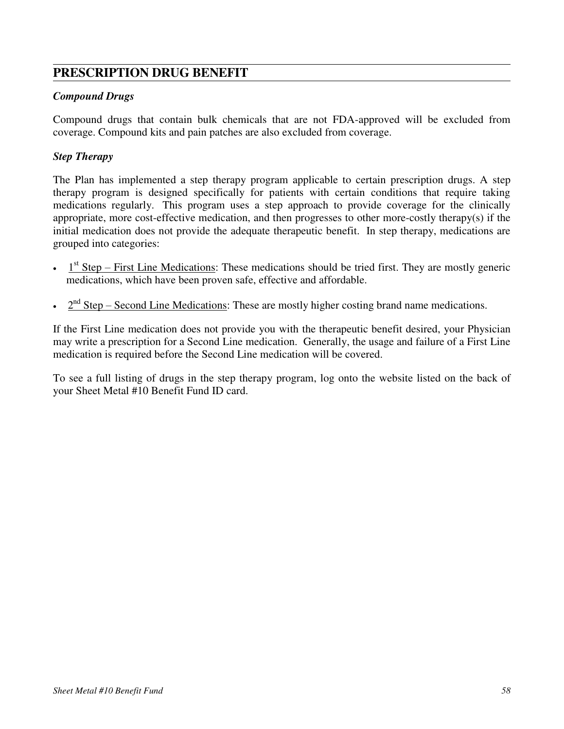# **PRESCRIPTION DRUG BENEFIT**

### *Compound Drugs*

Compound drugs that contain bulk chemicals that are not FDA-approved will be excluded from coverage. Compound kits and pain patches are also excluded from coverage.

## *Step Therapy*

The Plan has implemented a step therapy program applicable to certain prescription drugs. A step therapy program is designed specifically for patients with certain conditions that require taking medications regularly. This program uses a step approach to provide coverage for the clinically appropriate, more cost-effective medication, and then progresses to other more-costly therapy(s) if the initial medication does not provide the adequate therapeutic benefit. In step therapy, medications are grouped into categories:

- $\cdot$  1<sup>st</sup> Step First Line Medications: These medications should be tried first. They are mostly generic medications, which have been proven safe, effective and affordable.
- $\cdot$   $2<sup>nd</sup>$  Step Second Line Medications: These are mostly higher costing brand name medications.

If the First Line medication does not provide you with the therapeutic benefit desired, your Physician may write a prescription for a Second Line medication. Generally, the usage and failure of a First Line medication is required before the Second Line medication will be covered.

To see a full listing of drugs in the step therapy program, log onto the website listed on the back of your Sheet Metal #10 Benefit Fund ID card.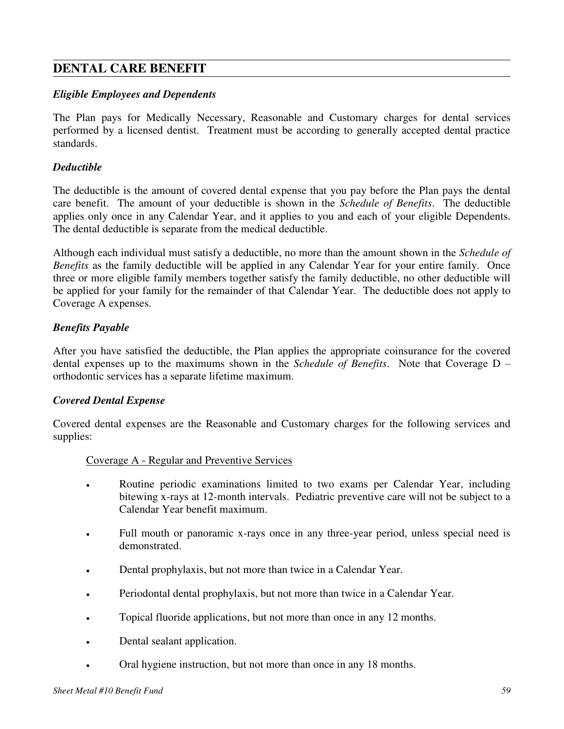#### *Eligible Employees and Dependents*

The Plan pays for Medically Necessary, Reasonable and Customary charges for dental services performed by a licensed dentist. Treatment must be according to generally accepted dental practice standards.

#### *Deductible*

The deductible is the amount of covered dental expense that you pay before the Plan pays the dental care benefit. The amount of your deductible is shown in the *Schedule of Benefits*. The deductible applies only once in any Calendar Year, and it applies to you and each of your eligible Dependents. The dental deductible is separate from the medical deductible.

Although each individual must satisfy a deductible, no more than the amount shown in the *Schedule of Benefits* as the family deductible will be applied in any Calendar Year for your entire family. Once three or more eligible family members together satisfy the family deductible, no other deductible will be applied for your family for the remainder of that Calendar Year. The deductible does not apply to Coverage A expenses.

### *Benefits Payable*

After you have satisfied the deductible, the Plan applies the appropriate coinsurance for the covered dental expenses up to the maximums shown in the *Schedule of Benefits*. Note that Coverage D – orthodontic services has a separate lifetime maximum.

#### *Covered Dental Expense*

Covered dental expenses are the Reasonable and Customary charges for the following services and supplies:

#### Coverage A - Regular and Preventive Services

- Routine periodic examinations limited to two exams per Calendar Year, including bitewing x-rays at 12-month intervals. Pediatric preventive care will not be subject to a Calendar Year benefit maximum.
- Full mouth or panoramic x-rays once in any three-year period, unless special need is demonstrated.
- Dental prophylaxis, but not more than twice in a Calendar Year.
- Periodontal dental prophylaxis, but not more than twice in a Calendar Year.
- Topical fluoride applications, but not more than once in any 12 months.
- Dental sealant application.
- Oral hygiene instruction, but not more than once in any 18 months.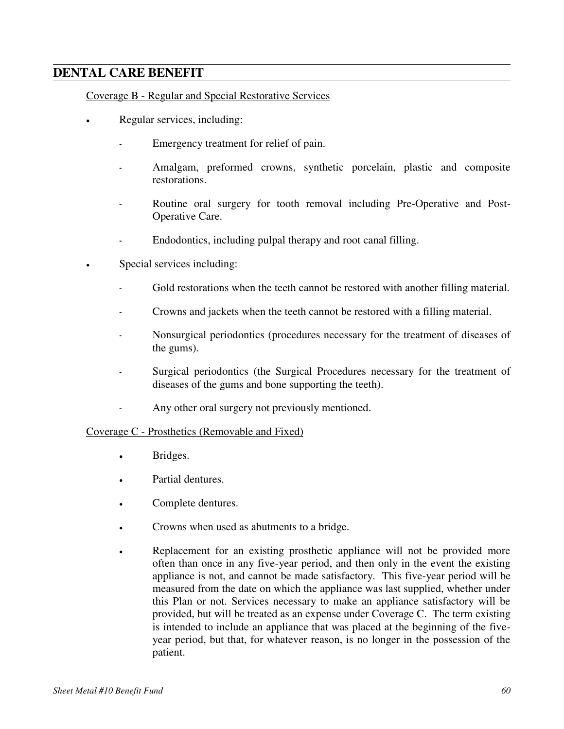#### Coverage B - Regular and Special Restorative Services

- Regular services, including:
	- Emergency treatment for relief of pain.
	- Amalgam, preformed crowns, synthetic porcelain, plastic and composite restorations.
	- Routine oral surgery for tooth removal including Pre-Operative and Post-Operative Care.
	- Endodontics, including pulpal therapy and root canal filling.
	- Special services including:
		- Gold restorations when the teeth cannot be restored with another filling material.
		- Crowns and jackets when the teeth cannot be restored with a filling material.
		- Nonsurgical periodontics (procedures necessary for the treatment of diseases of the gums).
		- Surgical periodontics (the Surgical Procedures necessary for the treatment of diseases of the gums and bone supporting the teeth).
		- Any other oral surgery not previously mentioned.

#### Coverage C - Prosthetics (Removable and Fixed)

- Bridges.
- Partial dentures.
- Complete dentures.
- Crowns when used as abutments to a bridge.
- Replacement for an existing prosthetic appliance will not be provided more often than once in any five-year period, and then only in the event the existing appliance is not, and cannot be made satisfactory. This five-year period will be measured from the date on which the appliance was last supplied, whether under this Plan or not. Services necessary to make an appliance satisfactory will be provided, but will be treated as an expense under Coverage C. The term existing is intended to include an appliance that was placed at the beginning of the fiveyear period, but that, for whatever reason, is no longer in the possession of the patient.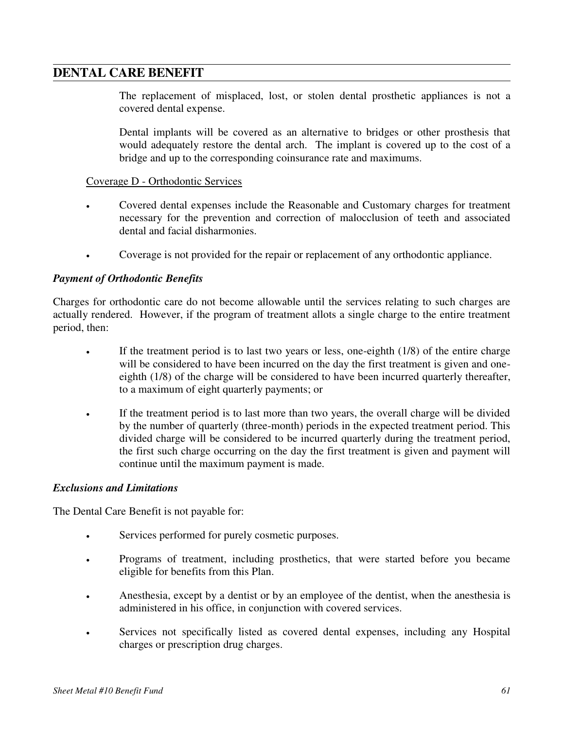The replacement of misplaced, lost, or stolen dental prosthetic appliances is not a covered dental expense.

Dental implants will be covered as an alternative to bridges or other prosthesis that would adequately restore the dental arch. The implant is covered up to the cost of a bridge and up to the corresponding coinsurance rate and maximums.

#### Coverage D - Orthodontic Services

- Covered dental expenses include the Reasonable and Customary charges for treatment necessary for the prevention and correction of malocclusion of teeth and associated dental and facial disharmonies.
- Coverage is not provided for the repair or replacement of any orthodontic appliance.

#### *Payment of Orthodontic Benefits*

Charges for orthodontic care do not become allowable until the services relating to such charges are actually rendered. However, if the program of treatment allots a single charge to the entire treatment period, then:

- If the treatment period is to last two years or less, one-eighth (1/8) of the entire charge will be considered to have been incurred on the day the first treatment is given and oneeighth (1/8) of the charge will be considered to have been incurred quarterly thereafter, to a maximum of eight quarterly payments; or
- If the treatment period is to last more than two years, the overall charge will be divided by the number of quarterly (three-month) periods in the expected treatment period. This divided charge will be considered to be incurred quarterly during the treatment period, the first such charge occurring on the day the first treatment is given and payment will continue until the maximum payment is made.

#### *Exclusions and Limitations*

The Dental Care Benefit is not payable for:

- Services performed for purely cosmetic purposes.
- Programs of treatment, including prosthetics, that were started before you became eligible for benefits from this Plan.
- Anesthesia, except by a dentist or by an employee of the dentist, when the anesthesia is administered in his office, in conjunction with covered services.
- Services not specifically listed as covered dental expenses, including any Hospital charges or prescription drug charges.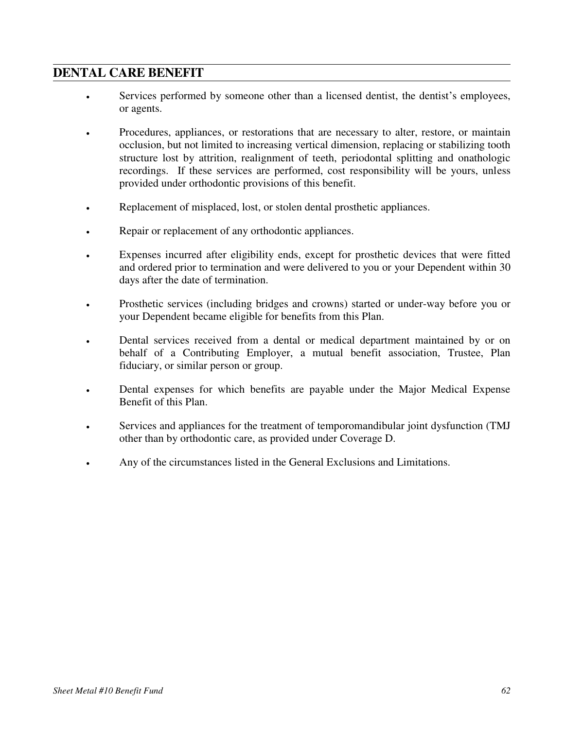- Services performed by someone other than a licensed dentist, the dentist's employees, or agents.
- Procedures, appliances, or restorations that are necessary to alter, restore, or maintain occlusion, but not limited to increasing vertical dimension, replacing or stabilizing tooth structure lost by attrition, realignment of teeth, periodontal splitting and onathologic recordings. If these services are performed, cost responsibility will be yours, unless provided under orthodontic provisions of this benefit.
- Replacement of misplaced, lost, or stolen dental prosthetic appliances.
- Repair or replacement of any orthodontic appliances.
- Expenses incurred after eligibility ends, except for prosthetic devices that were fitted and ordered prior to termination and were delivered to you or your Dependent within 30 days after the date of termination.
- Prosthetic services (including bridges and crowns) started or under-way before you or your Dependent became eligible for benefits from this Plan.
- Dental services received from a dental or medical department maintained by or on behalf of a Contributing Employer, a mutual benefit association, Trustee, Plan fiduciary, or similar person or group.
- Dental expenses for which benefits are payable under the Major Medical Expense Benefit of this Plan.
- Services and appliances for the treatment of temporomandibular joint dysfunction (TMJ other than by orthodontic care, as provided under Coverage D.
- Any of the circumstances listed in the General Exclusions and Limitations.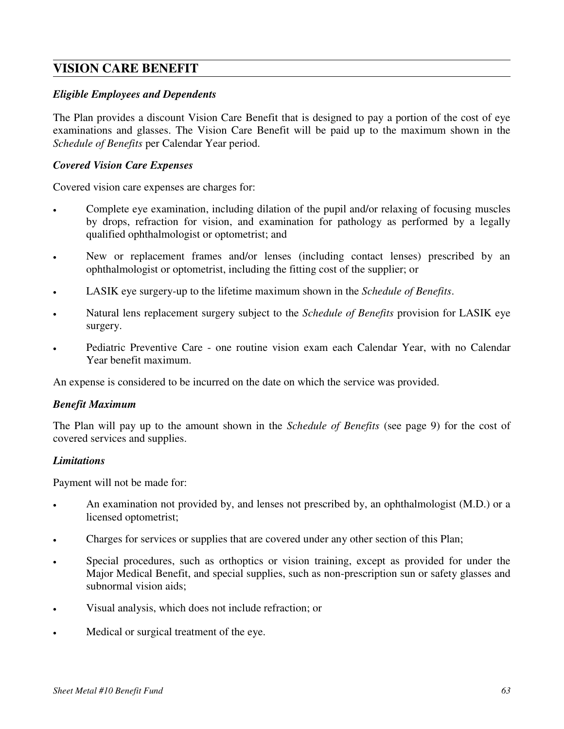## **VISION CARE BENEFIT**

### *Eligible Employees and Dependents*

The Plan provides a discount Vision Care Benefit that is designed to pay a portion of the cost of eye examinations and glasses. The Vision Care Benefit will be paid up to the maximum shown in the *Schedule of Benefits* per Calendar Year period.

### *Covered Vision Care Expenses*

Covered vision care expenses are charges for:

- Complete eye examination, including dilation of the pupil and/or relaxing of focusing muscles by drops, refraction for vision, and examination for pathology as performed by a legally qualified ophthalmologist or optometrist; and
- New or replacement frames and/or lenses (including contact lenses) prescribed by an ophthalmologist or optometrist, including the fitting cost of the supplier; or
- LASIK eye surgery-up to the lifetime maximum shown in the *Schedule of Benefits*.
- Natural lens replacement surgery subject to the *Schedule of Benefits* provision for LASIK eye surgery.
- Pediatric Preventive Care one routine vision exam each Calendar Year, with no Calendar Year benefit maximum.

An expense is considered to be incurred on the date on which the service was provided.

### *Benefit Maximum*

The Plan will pay up to the amount shown in the *Schedule of Benefits* (see page 9) for the cost of covered services and supplies.

### *Limitations*

Payment will not be made for:

- An examination not provided by, and lenses not prescribed by, an ophthalmologist (M.D.) or a licensed optometrist;
- Charges for services or supplies that are covered under any other section of this Plan;
- Special procedures, such as orthoptics or vision training, except as provided for under the Major Medical Benefit, and special supplies, such as non-prescription sun or safety glasses and subnormal vision aids;
- Visual analysis, which does not include refraction; or
- Medical or surgical treatment of the eye.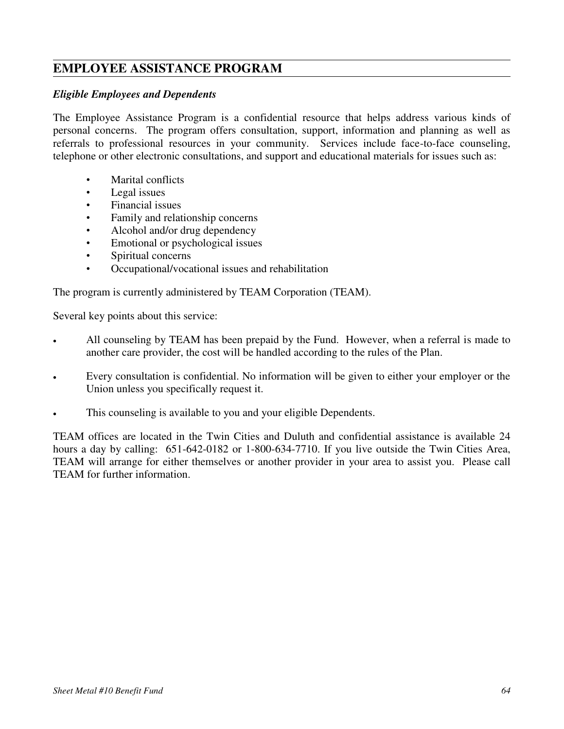# **EMPLOYEE ASSISTANCE PROGRAM**

#### *Eligible Employees and Dependents*

The Employee Assistance Program is a confidential resource that helps address various kinds of personal concerns. The program offers consultation, support, information and planning as well as referrals to professional resources in your community. Services include face-to-face counseling, telephone or other electronic consultations, and support and educational materials for issues such as:

- Marital conflicts
- Legal issues
- Financial issues
- Family and relationship concerns
- Alcohol and/or drug dependency
- Emotional or psychological issues
- Spiritual concerns
- Occupational/vocational issues and rehabilitation

The program is currently administered by TEAM Corporation (TEAM).

Several key points about this service:

- All counseling by TEAM has been prepaid by the Fund. However, when a referral is made to another care provider, the cost will be handled according to the rules of the Plan.
- Every consultation is confidential. No information will be given to either your employer or the Union unless you specifically request it.
- This counseling is available to you and your eligible Dependents.

TEAM offices are located in the Twin Cities and Duluth and confidential assistance is available 24 hours a day by calling: 651-642-0182 or 1-800-634-7710. If you live outside the Twin Cities Area, TEAM will arrange for either themselves or another provider in your area to assist you. Please call TEAM for further information.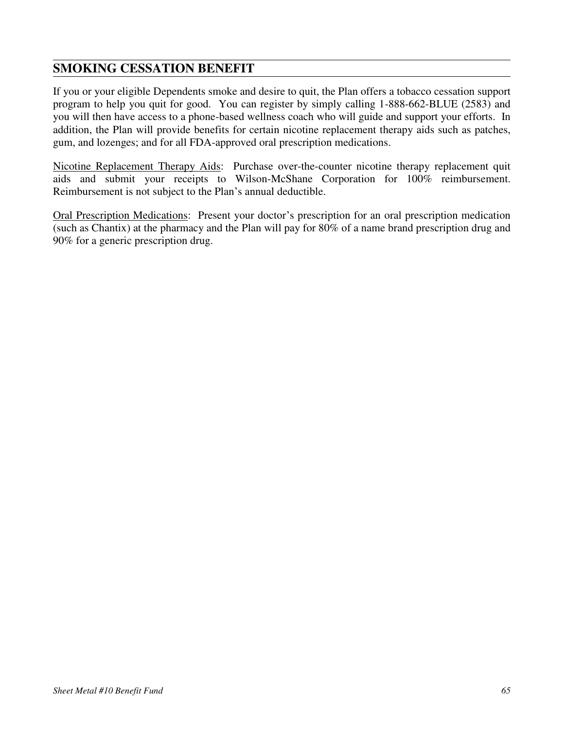## <span id="page-72-0"></span>**SMOKING CESSATION BENEFIT**

If you or your eligible Dependents smoke and desire to quit, the Plan offers a tobacco cessation support program to help you quit for good. You can register by simply calling 1-888-662-BLUE (2583) and you will then have access to a phone-based wellness coach who will guide and support your efforts. In addition, the Plan will provide benefits for certain nicotine replacement therapy aids such as patches, gum, and lozenges; and for all FDA-approved oral prescription medications.

Nicotine Replacement Therapy Aids: Purchase over-the-counter nicotine therapy replacement quit aids and submit your receipts to Wilson-McShane Corporation for 100% reimbursement. Reimbursement is not subject to the Plan's annual deductible.

Oral Prescription Medications: Present your doctor's prescription for an oral prescription medication (such as Chantix) at the pharmacy and the Plan will pay for 80% of a name brand prescription drug and 90% for a generic prescription drug.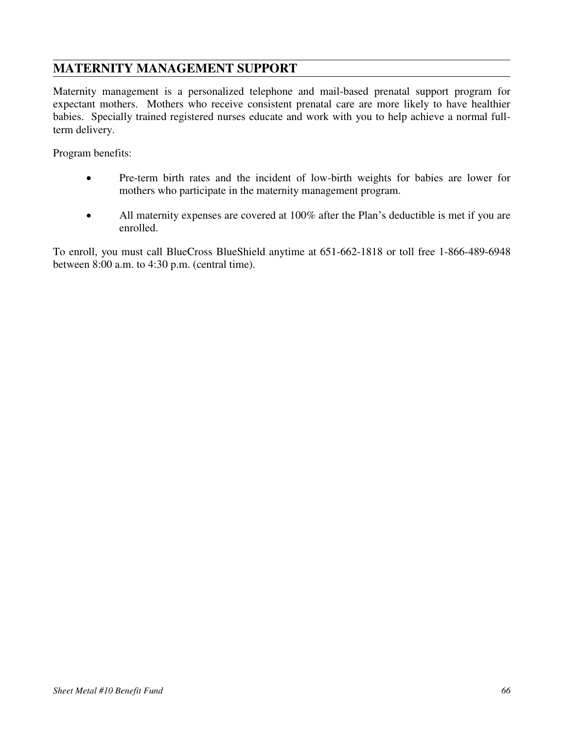# **MATERNITY MANAGEMENT SUPPORT**

Maternity management is a personalized telephone and mail-based prenatal support program for expectant mothers. Mothers who receive consistent prenatal care are more likely to have healthier babies. Specially trained registered nurses educate and work with you to help achieve a normal fullterm delivery.

Program benefits:

- Pre-term birth rates and the incident of low-birth weights for babies are lower for mothers who participate in the maternity management program.
- All maternity expenses are covered at 100% after the Plan's deductible is met if you are enrolled.

To enroll, you must call BlueCross BlueShield anytime at 651-662-1818 or toll free 1-866-489-6948 between 8:00 a.m. to 4:30 p.m. (central time).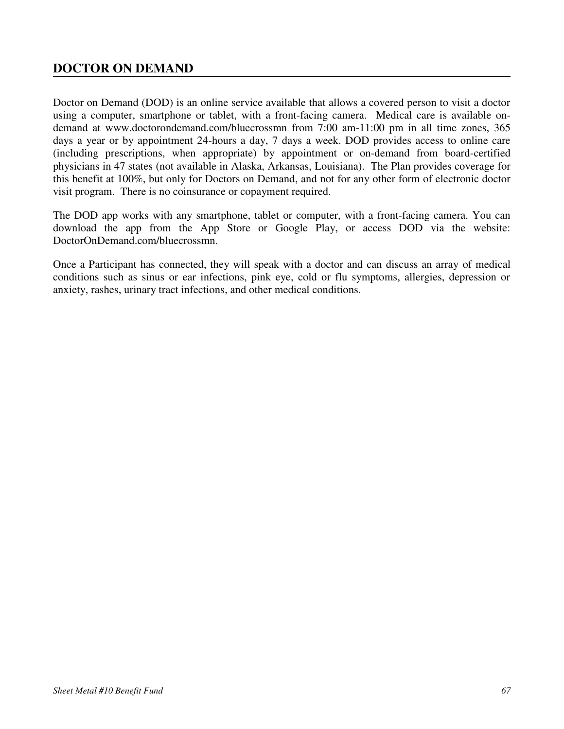## **DOCTOR ON DEMAND**

Doctor on Demand (DOD) is an online service available that allows a covered person to visit a doctor using a computer, smartphone or tablet, with a front-facing camera. Medical care is available ondemand at www.doctorondemand.com/bluecrossmn from 7:00 am-11:00 pm in all time zones, 365 days a year or by appointment 24-hours a day, 7 days a week. DOD provides access to online care (including prescriptions, when appropriate) by appointment or on-demand from board-certified physicians in 47 states (not available in Alaska, Arkansas, Louisiana). The Plan provides coverage for this benefit at 100%, but only for Doctors on Demand, and not for any other form of electronic doctor visit program. There is no coinsurance or copayment required.

The DOD app works with any smartphone, tablet or computer, with a front-facing camera. You can download the app from the App Store or Google Play, or access DOD via the website: DoctorOnDemand.com/bluecrossmn.

Once a Participant has connected, they will speak with a doctor and can discuss an array of medical conditions such as sinus or ear infections, pink eye, cold or flu symptoms, allergies, depression or anxiety, rashes, urinary tract infections, and other medical conditions.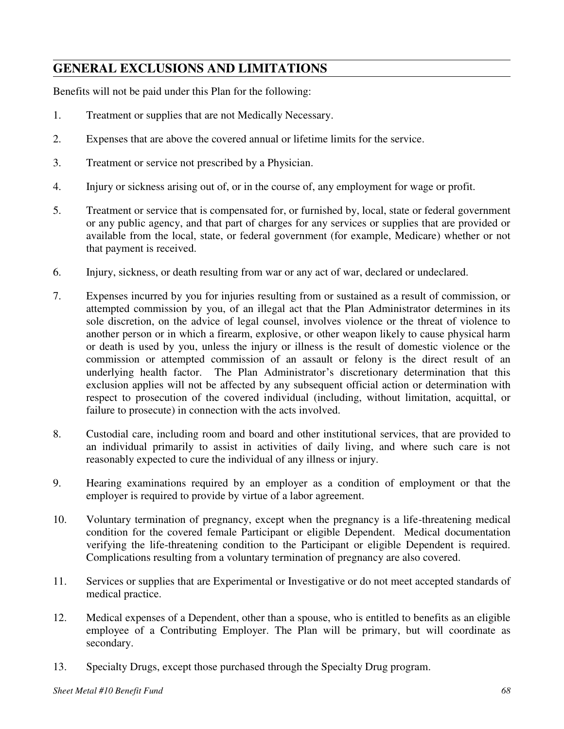Benefits will not be paid under this Plan for the following:

- 1. Treatment or supplies that are not Medically Necessary.
- 2. Expenses that are above the covered annual or lifetime limits for the service.
- 3. Treatment or service not prescribed by a Physician.
- 4. Injury or sickness arising out of, or in the course of, any employment for wage or profit.
- 5. Treatment or service that is compensated for, or furnished by, local, state or federal government or any public agency, and that part of charges for any services or supplies that are provided or available from the local, state, or federal government (for example, Medicare) whether or not that payment is received.
- 6. Injury, sickness, or death resulting from war or any act of war, declared or undeclared.
- 7. Expenses incurred by you for injuries resulting from or sustained as a result of commission, or attempted commission by you, of an illegal act that the Plan Administrator determines in its sole discretion, on the advice of legal counsel, involves violence or the threat of violence to another person or in which a firearm, explosive, or other weapon likely to cause physical harm or death is used by you, unless the injury or illness is the result of domestic violence or the commission or attempted commission of an assault or felony is the direct result of an underlying health factor. The Plan Administrator's discretionary determination that this exclusion applies will not be affected by any subsequent official action or determination with respect to prosecution of the covered individual (including, without limitation, acquittal, or failure to prosecute) in connection with the acts involved.
- 8. Custodial care, including room and board and other institutional services, that are provided to an individual primarily to assist in activities of daily living, and where such care is not reasonably expected to cure the individual of any illness or injury.
- 9. Hearing examinations required by an employer as a condition of employment or that the employer is required to provide by virtue of a labor agreement.
- 10. Voluntary termination of pregnancy, except when the pregnancy is a life-threatening medical condition for the covered female Participant or eligible Dependent. Medical documentation verifying the life-threatening condition to the Participant or eligible Dependent is required. Complications resulting from a voluntary termination of pregnancy are also covered.
- 11. Services or supplies that are Experimental or Investigative or do not meet accepted standards of medical practice.
- 12. Medical expenses of a Dependent, other than a spouse, who is entitled to benefits as an eligible employee of a Contributing Employer. The Plan will be primary, but will coordinate as secondary.
- 13. Specialty Drugs, except those purchased through the Specialty Drug program.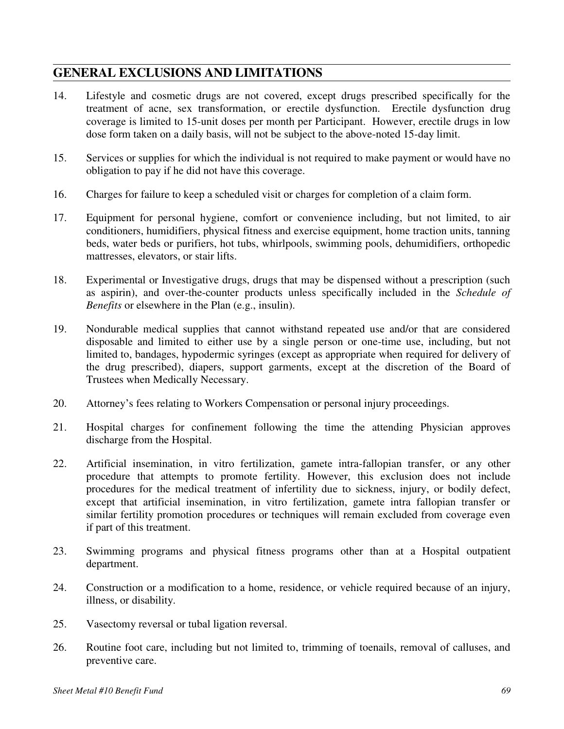- 14. Lifestyle and cosmetic drugs are not covered, except drugs prescribed specifically for the treatment of acne, sex transformation, or erectile dysfunction. Erectile dysfunction drug coverage is limited to 15-unit doses per month per Participant. However, erectile drugs in low dose form taken on a daily basis, will not be subject to the above-noted 15-day limit.
- 15. Services or supplies for which the individual is not required to make payment or would have no obligation to pay if he did not have this coverage.
- 16. Charges for failure to keep a scheduled visit or charges for completion of a claim form.
- 17. Equipment for personal hygiene, comfort or convenience including, but not limited, to air conditioners, humidifiers, physical fitness and exercise equipment, home traction units, tanning beds, water beds or purifiers, hot tubs, whirlpools, swimming pools, dehumidifiers, orthopedic mattresses, elevators, or stair lifts.
- 18. Experimental or Investigative drugs, drugs that may be dispensed without a prescription (such as aspirin), and over-the-counter products unless specifically included in the *Schedule of Benefits* or elsewhere in the Plan (e.g., insulin).
- 19. Nondurable medical supplies that cannot withstand repeated use and/or that are considered disposable and limited to either use by a single person or one-time use, including, but not limited to, bandages, hypodermic syringes (except as appropriate when required for delivery of the drug prescribed), diapers, support garments, except at the discretion of the Board of Trustees when Medically Necessary.
- 20. Attorney's fees relating to Workers Compensation or personal injury proceedings.
- 21. Hospital charges for confinement following the time the attending Physician approves discharge from the Hospital.
- 22. Artificial insemination, in vitro fertilization, gamete intra-fallopian transfer, or any other procedure that attempts to promote fertility. However, this exclusion does not include procedures for the medical treatment of infertility due to sickness, injury, or bodily defect, except that artificial insemination, in vitro fertilization, gamete intra fallopian transfer or similar fertility promotion procedures or techniques will remain excluded from coverage even if part of this treatment.
- 23. Swimming programs and physical fitness programs other than at a Hospital outpatient department.
- 24. Construction or a modification to a home, residence, or vehicle required because of an injury, illness, or disability.
- 25. Vasectomy reversal or tubal ligation reversal.
- 26. Routine foot care, including but not limited to, trimming of toenails, removal of calluses, and preventive care.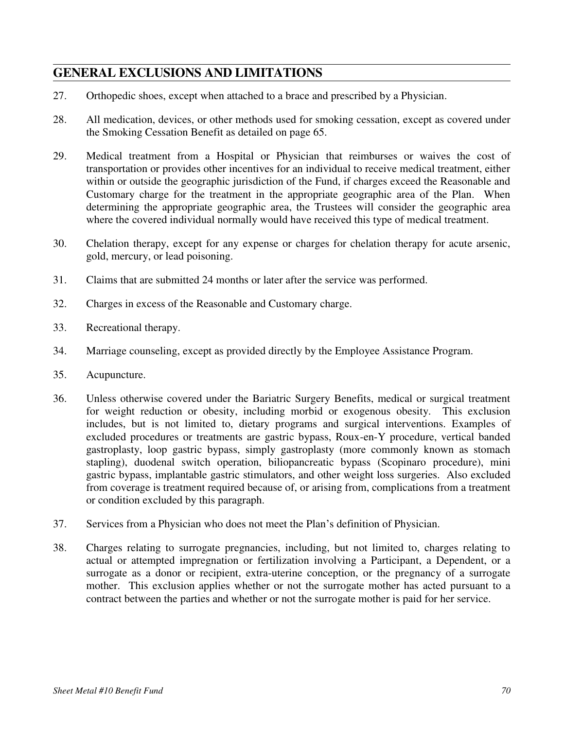- 27. Orthopedic shoes, except when attached to a brace and prescribed by a Physician.
- 28. All medication, devices, or other methods used for smoking cessation, except as covered under the Smoking Cessation Benefit as detailed on page [65.](#page-72-0)
- 29. Medical treatment from a Hospital or Physician that reimburses or waives the cost of transportation or provides other incentives for an individual to receive medical treatment, either within or outside the geographic jurisdiction of the Fund, if charges exceed the Reasonable and Customary charge for the treatment in the appropriate geographic area of the Plan. When determining the appropriate geographic area, the Trustees will consider the geographic area where the covered individual normally would have received this type of medical treatment.
- 30. Chelation therapy, except for any expense or charges for chelation therapy for acute arsenic, gold, mercury, or lead poisoning.
- 31. Claims that are submitted 24 months or later after the service was performed.
- 32. Charges in excess of the Reasonable and Customary charge.
- 33. Recreational therapy.
- 34. Marriage counseling, except as provided directly by the Employee Assistance Program.
- 35. Acupuncture.
- 36. Unless otherwise covered under the Bariatric Surgery Benefits, medical or surgical treatment for weight reduction or obesity, including morbid or exogenous obesity. This exclusion includes, but is not limited to, dietary programs and surgical interventions. Examples of excluded procedures or treatments are gastric bypass, Roux-en-Y procedure, vertical banded gastroplasty, loop gastric bypass, simply gastroplasty (more commonly known as stomach stapling), duodenal switch operation, biliopancreatic bypass (Scopinaro procedure), mini gastric bypass, implantable gastric stimulators, and other weight loss surgeries. Also excluded from coverage is treatment required because of, or arising from, complications from a treatment or condition excluded by this paragraph.
- 37. Services from a Physician who does not meet the Plan's definition of Physician.
- 38. Charges relating to surrogate pregnancies, including, but not limited to, charges relating to actual or attempted impregnation or fertilization involving a Participant, a Dependent, or a surrogate as a donor or recipient, extra-uterine conception, or the pregnancy of a surrogate mother. This exclusion applies whether or not the surrogate mother has acted pursuant to a contract between the parties and whether or not the surrogate mother is paid for her service.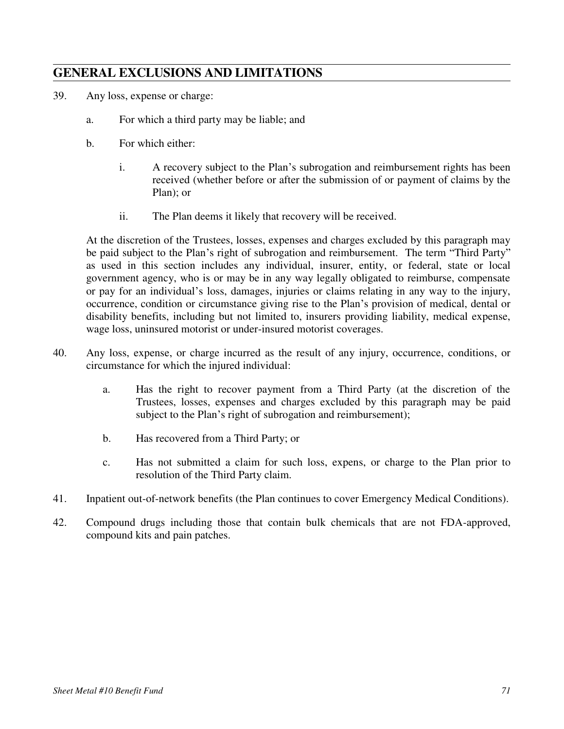- 39. Any loss, expense or charge:
	- a. For which a third party may be liable; and
	- b. For which either:
		- i. A recovery subject to the Plan's subrogation and reimbursement rights has been received (whether before or after the submission of or payment of claims by the Plan); or
		- ii. The Plan deems it likely that recovery will be received.

At the discretion of the Trustees, losses, expenses and charges excluded by this paragraph may be paid subject to the Plan's right of subrogation and reimbursement. The term "Third Party" as used in this section includes any individual, insurer, entity, or federal, state or local government agency, who is or may be in any way legally obligated to reimburse, compensate or pay for an individual's loss, damages, injuries or claims relating in any way to the injury, occurrence, condition or circumstance giving rise to the Plan's provision of medical, dental or disability benefits, including but not limited to, insurers providing liability, medical expense, wage loss, uninsured motorist or under-insured motorist coverages.

- 40. Any loss, expense, or charge incurred as the result of any injury, occurrence, conditions, or circumstance for which the injured individual:
	- a. Has the right to recover payment from a Third Party (at the discretion of the Trustees, losses, expenses and charges excluded by this paragraph may be paid subject to the Plan's right of subrogation and reimbursement);
	- b. Has recovered from a Third Party; or
	- c. Has not submitted a claim for such loss, expens, or charge to the Plan prior to resolution of the Third Party claim.
- 41. Inpatient out-of-network benefits (the Plan continues to cover Emergency Medical Conditions).
- 42. Compound drugs including those that contain bulk chemicals that are not FDA-approved, compound kits and pain patches.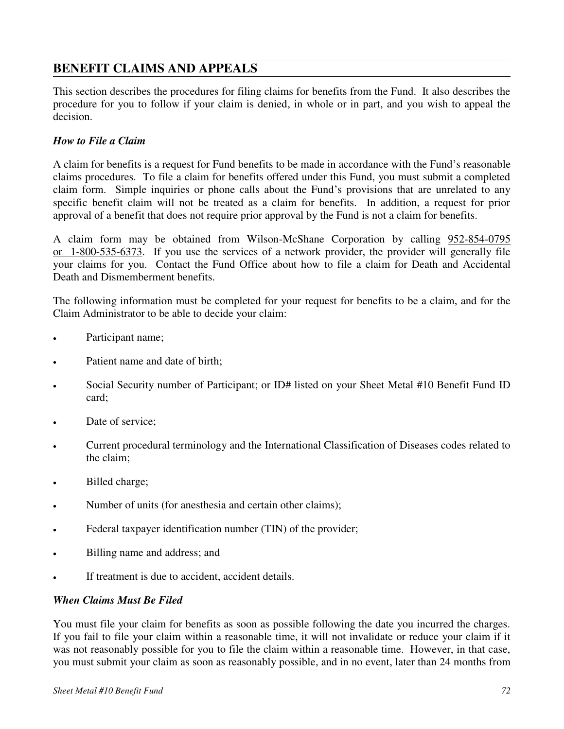This section describes the procedures for filing claims for benefits from the Fund. It also describes the procedure for you to follow if your claim is denied, in whole or in part, and you wish to appeal the decision.

## *How to File a Claim*

A claim for benefits is a request for Fund benefits to be made in accordance with the Fund's reasonable claims procedures. To file a claim for benefits offered under this Fund, you must submit a completed claim form. Simple inquiries or phone calls about the Fund's provisions that are unrelated to any specific benefit claim will not be treated as a claim for benefits. In addition, a request for prior approval of a benefit that does not require prior approval by the Fund is not a claim for benefits.

A claim form may be obtained from Wilson-McShane Corporation by calling 952-854-0795 or 1-800-535-6373. If you use the services of a network provider, the provider will generally file your claims for you. Contact the Fund Office about how to file a claim for Death and Accidental Death and Dismemberment benefits.

The following information must be completed for your request for benefits to be a claim, and for the Claim Administrator to be able to decide your claim:

- Participant name;
- Patient name and date of birth;
- Social Security number of Participant; or ID# listed on your Sheet Metal #10 Benefit Fund ID card;
- Date of service:
- Current procedural terminology and the International Classification of Diseases codes related to the claim;
- Billed charge;
- Number of units (for anesthesia and certain other claims);
- Federal taxpayer identification number (TIN) of the provider;
- Billing name and address; and
- If treatment is due to accident, accident details.

## *When Claims Must Be Filed*

You must file your claim for benefits as soon as possible following the date you incurred the charges. If you fail to file your claim within a reasonable time, it will not invalidate or reduce your claim if it was not reasonably possible for you to file the claim within a reasonable time. However, in that case, you must submit your claim as soon as reasonably possible, and in no event, later than 24 months from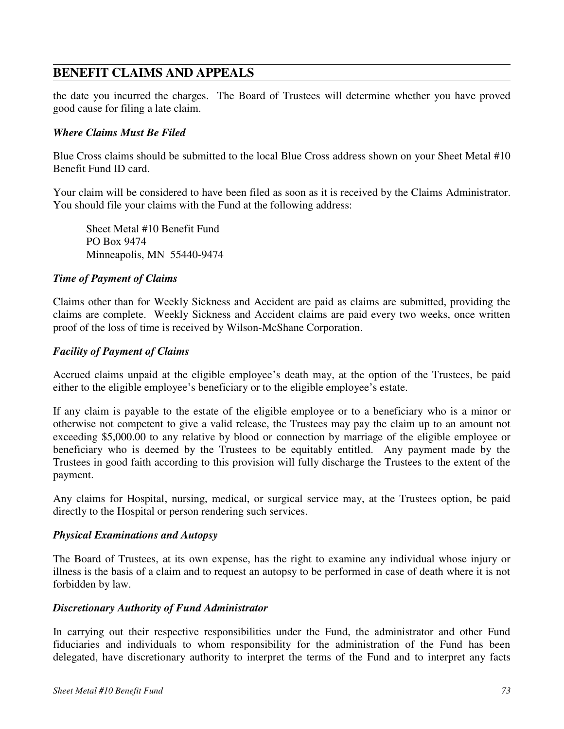the date you incurred the charges. The Board of Trustees will determine whether you have proved good cause for filing a late claim.

## *Where Claims Must Be Filed*

Blue Cross claims should be submitted to the local Blue Cross address shown on your Sheet Metal #10 Benefit Fund ID card.

Your claim will be considered to have been filed as soon as it is received by the Claims Administrator. You should file your claims with the Fund at the following address:

Sheet Metal #10 Benefit Fund PO Box 9474 Minneapolis, MN 55440-9474

#### *Time of Payment of Claims*

Claims other than for Weekly Sickness and Accident are paid as claims are submitted, providing the claims are complete. Weekly Sickness and Accident claims are paid every two weeks, once written proof of the loss of time is received by Wilson-McShane Corporation.

#### *Facility of Payment of Claims*

Accrued claims unpaid at the eligible employee's death may, at the option of the Trustees, be paid either to the eligible employee's beneficiary or to the eligible employee's estate.

If any claim is payable to the estate of the eligible employee or to a beneficiary who is a minor or otherwise not competent to give a valid release, the Trustees may pay the claim up to an amount not exceeding \$5,000.00 to any relative by blood or connection by marriage of the eligible employee or beneficiary who is deemed by the Trustees to be equitably entitled. Any payment made by the Trustees in good faith according to this provision will fully discharge the Trustees to the extent of the payment.

Any claims for Hospital, nursing, medical, or surgical service may, at the Trustees option, be paid directly to the Hospital or person rendering such services.

#### *Physical Examinations and Autopsy*

The Board of Trustees, at its own expense, has the right to examine any individual whose injury or illness is the basis of a claim and to request an autopsy to be performed in case of death where it is not forbidden by law.

#### *Discretionary Authority of Fund Administrator*

In carrying out their respective responsibilities under the Fund, the administrator and other Fund fiduciaries and individuals to whom responsibility for the administration of the Fund has been delegated, have discretionary authority to interpret the terms of the Fund and to interpret any facts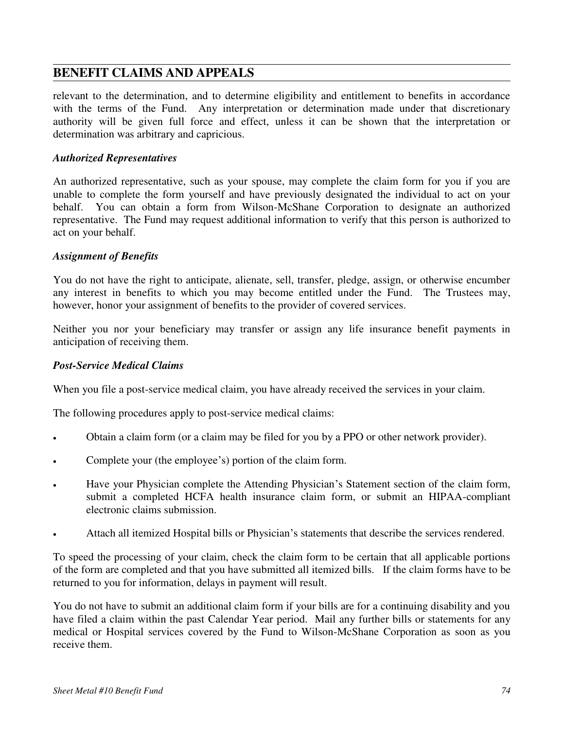relevant to the determination, and to determine eligibility and entitlement to benefits in accordance with the terms of the Fund. Any interpretation or determination made under that discretionary authority will be given full force and effect, unless it can be shown that the interpretation or determination was arbitrary and capricious.

#### *Authorized Representatives*

An authorized representative, such as your spouse, may complete the claim form for you if you are unable to complete the form yourself and have previously designated the individual to act on your behalf. You can obtain a form from Wilson-McShane Corporation to designate an authorized representative. The Fund may request additional information to verify that this person is authorized to act on your behalf.

#### *Assignment of Benefits*

You do not have the right to anticipate, alienate, sell, transfer, pledge, assign, or otherwise encumber any interest in benefits to which you may become entitled under the Fund. The Trustees may, however, honor your assignment of benefits to the provider of covered services.

Neither you nor your beneficiary may transfer or assign any life insurance benefit payments in anticipation of receiving them.

#### *Post-Service Medical Claims*

When you file a post-service medical claim, you have already received the services in your claim.

The following procedures apply to post-service medical claims:

- Obtain a claim form (or a claim may be filed for you by a PPO or other network provider).
- Complete your (the employee's) portion of the claim form.
- Have your Physician complete the Attending Physician's Statement section of the claim form, submit a completed HCFA health insurance claim form, or submit an HIPAA-compliant electronic claims submission.
- Attach all itemized Hospital bills or Physician's statements that describe the services rendered.

To speed the processing of your claim, check the claim form to be certain that all applicable portions of the form are completed and that you have submitted all itemized bills. If the claim forms have to be returned to you for information, delays in payment will result.

You do not have to submit an additional claim form if your bills are for a continuing disability and you have filed a claim within the past Calendar Year period. Mail any further bills or statements for any medical or Hospital services covered by the Fund to Wilson-McShane Corporation as soon as you receive them.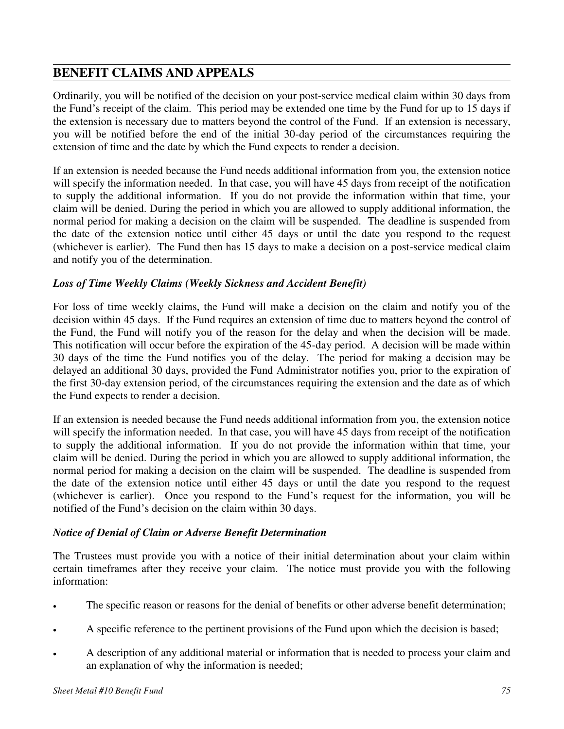Ordinarily, you will be notified of the decision on your post-service medical claim within 30 days from the Fund's receipt of the claim. This period may be extended one time by the Fund for up to 15 days if the extension is necessary due to matters beyond the control of the Fund. If an extension is necessary, you will be notified before the end of the initial 30-day period of the circumstances requiring the extension of time and the date by which the Fund expects to render a decision.

If an extension is needed because the Fund needs additional information from you, the extension notice will specify the information needed. In that case, you will have 45 days from receipt of the notification to supply the additional information. If you do not provide the information within that time, your claim will be denied. During the period in which you are allowed to supply additional information, the normal period for making a decision on the claim will be suspended. The deadline is suspended from the date of the extension notice until either 45 days or until the date you respond to the request (whichever is earlier). The Fund then has 15 days to make a decision on a post-service medical claim and notify you of the determination.

## *Loss of Time Weekly Claims (Weekly Sickness and Accident Benefit)*

For loss of time weekly claims, the Fund will make a decision on the claim and notify you of the decision within 45 days. If the Fund requires an extension of time due to matters beyond the control of the Fund, the Fund will notify you of the reason for the delay and when the decision will be made. This notification will occur before the expiration of the 45-day period. A decision will be made within 30 days of the time the Fund notifies you of the delay. The period for making a decision may be delayed an additional 30 days, provided the Fund Administrator notifies you, prior to the expiration of the first 30-day extension period, of the circumstances requiring the extension and the date as of which the Fund expects to render a decision.

If an extension is needed because the Fund needs additional information from you, the extension notice will specify the information needed. In that case, you will have 45 days from receipt of the notification to supply the additional information. If you do not provide the information within that time, your claim will be denied. During the period in which you are allowed to supply additional information, the normal period for making a decision on the claim will be suspended. The deadline is suspended from the date of the extension notice until either 45 days or until the date you respond to the request (whichever is earlier). Once you respond to the Fund's request for the information, you will be notified of the Fund's decision on the claim within 30 days.

## *Notice of Denial of Claim or Adverse Benefit Determination*

The Trustees must provide you with a notice of their initial determination about your claim within certain timeframes after they receive your claim. The notice must provide you with the following information:

- The specific reason or reasons for the denial of benefits or other adverse benefit determination;
- A specific reference to the pertinent provisions of the Fund upon which the decision is based;
- A description of any additional material or information that is needed to process your claim and an explanation of why the information is needed;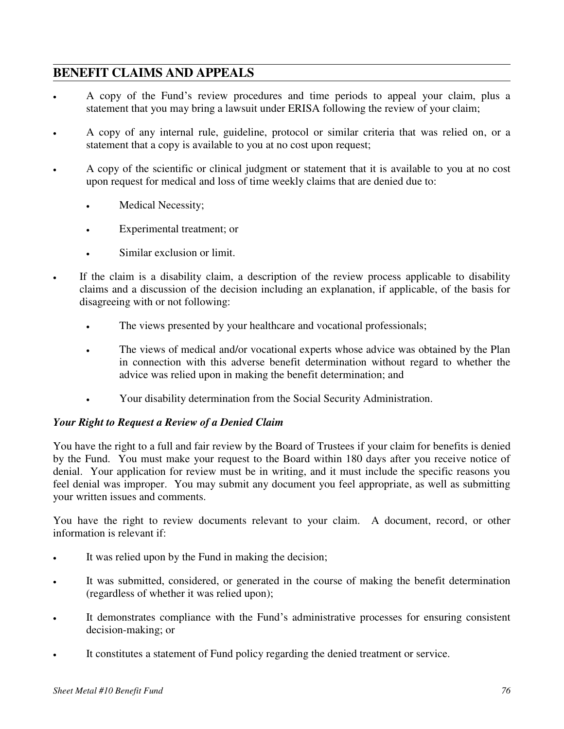- A copy of the Fund's review procedures and time periods to appeal your claim, plus a statement that you may bring a lawsuit under ERISA following the review of your claim;
- A copy of any internal rule, guideline, protocol or similar criteria that was relied on, or a statement that a copy is available to you at no cost upon request;
- A copy of the scientific or clinical judgment or statement that it is available to you at no cost upon request for medical and loss of time weekly claims that are denied due to:
	- Medical Necessity;
	- Experimental treatment; or
	- Similar exclusion or limit.
- If the claim is a disability claim, a description of the review process applicable to disability claims and a discussion of the decision including an explanation, if applicable, of the basis for disagreeing with or not following:
	- The views presented by your healthcare and vocational professionals;
	- The views of medical and/or vocational experts whose advice was obtained by the Plan in connection with this adverse benefit determination without regard to whether the advice was relied upon in making the benefit determination; and
	- Your disability determination from the Social Security Administration.

## *Your Right to Request a Review of a Denied Claim*

You have the right to a full and fair review by the Board of Trustees if your claim for benefits is denied by the Fund. You must make your request to the Board within 180 days after you receive notice of denial. Your application for review must be in writing, and it must include the specific reasons you feel denial was improper. You may submit any document you feel appropriate, as well as submitting your written issues and comments.

You have the right to review documents relevant to your claim. A document, record, or other information is relevant if:

- It was relied upon by the Fund in making the decision;
- It was submitted, considered, or generated in the course of making the benefit determination (regardless of whether it was relied upon);
- It demonstrates compliance with the Fund's administrative processes for ensuring consistent decision-making; or
- It constitutes a statement of Fund policy regarding the denied treatment or service.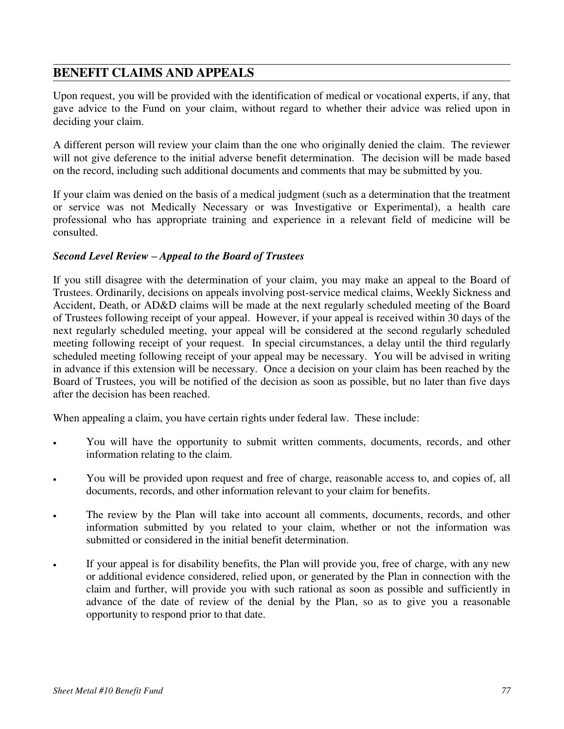Upon request, you will be provided with the identification of medical or vocational experts, if any, that gave advice to the Fund on your claim, without regard to whether their advice was relied upon in deciding your claim.

A different person will review your claim than the one who originally denied the claim. The reviewer will not give deference to the initial adverse benefit determination. The decision will be made based on the record, including such additional documents and comments that may be submitted by you.

If your claim was denied on the basis of a medical judgment (such as a determination that the treatment or service was not Medically Necessary or was Investigative or Experimental), a health care professional who has appropriate training and experience in a relevant field of medicine will be consulted.

## *Second Level Review – Appeal to the Board of Trustees*

If you still disagree with the determination of your claim, you may make an appeal to the Board of Trustees. Ordinarily, decisions on appeals involving post-service medical claims, Weekly Sickness and Accident, Death, or AD&D claims will be made at the next regularly scheduled meeting of the Board of Trustees following receipt of your appeal. However, if your appeal is received within 30 days of the next regularly scheduled meeting, your appeal will be considered at the second regularly scheduled meeting following receipt of your request. In special circumstances, a delay until the third regularly scheduled meeting following receipt of your appeal may be necessary. You will be advised in writing in advance if this extension will be necessary. Once a decision on your claim has been reached by the Board of Trustees, you will be notified of the decision as soon as possible, but no later than five days after the decision has been reached.

When appealing a claim, you have certain rights under federal law. These include:

- You will have the opportunity to submit written comments, documents, records, and other information relating to the claim.
- You will be provided upon request and free of charge, reasonable access to, and copies of, all documents, records, and other information relevant to your claim for benefits.
- The review by the Plan will take into account all comments, documents, records, and other information submitted by you related to your claim, whether or not the information was submitted or considered in the initial benefit determination.
- If your appeal is for disability benefits, the Plan will provide you, free of charge, with any new or additional evidence considered, relied upon, or generated by the Plan in connection with the claim and further, will provide you with such rational as soon as possible and sufficiently in advance of the date of review of the denial by the Plan, so as to give you a reasonable opportunity to respond prior to that date.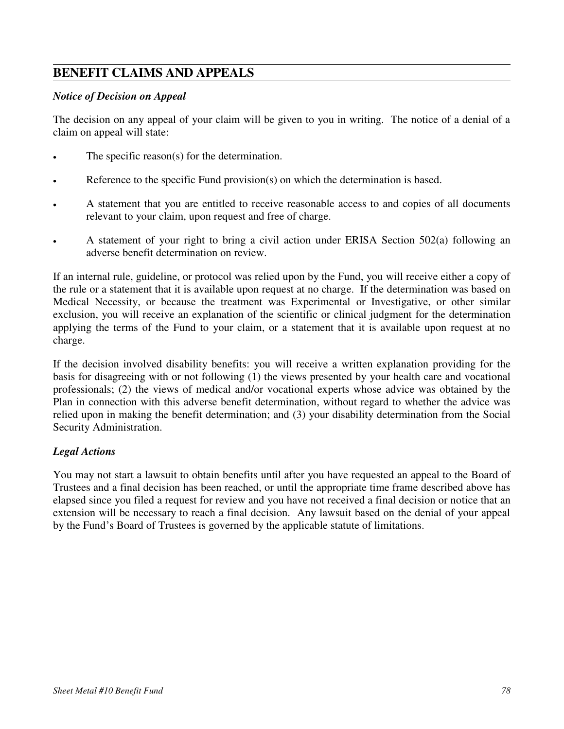#### *Notice of Decision on Appeal*

The decision on any appeal of your claim will be given to you in writing. The notice of a denial of a claim on appeal will state:

- The specific reason(s) for the determination.
- Reference to the specific Fund provision(s) on which the determination is based.
- A statement that you are entitled to receive reasonable access to and copies of all documents relevant to your claim, upon request and free of charge.
- A statement of your right to bring a civil action under ERISA Section 502(a) following an adverse benefit determination on review.

If an internal rule, guideline, or protocol was relied upon by the Fund, you will receive either a copy of the rule or a statement that it is available upon request at no charge. If the determination was based on Medical Necessity, or because the treatment was Experimental or Investigative, or other similar exclusion, you will receive an explanation of the scientific or clinical judgment for the determination applying the terms of the Fund to your claim, or a statement that it is available upon request at no charge.

If the decision involved disability benefits: you will receive a written explanation providing for the basis for disagreeing with or not following (1) the views presented by your health care and vocational professionals; (2) the views of medical and/or vocational experts whose advice was obtained by the Plan in connection with this adverse benefit determination, without regard to whether the advice was relied upon in making the benefit determination; and (3) your disability determination from the Social Security Administration.

## *Legal Actions*

You may not start a lawsuit to obtain benefits until after you have requested an appeal to the Board of Trustees and a final decision has been reached, or until the appropriate time frame described above has elapsed since you filed a request for review and you have not received a final decision or notice that an extension will be necessary to reach a final decision. Any lawsuit based on the denial of your appeal by the Fund's Board of Trustees is governed by the applicable statute of limitations.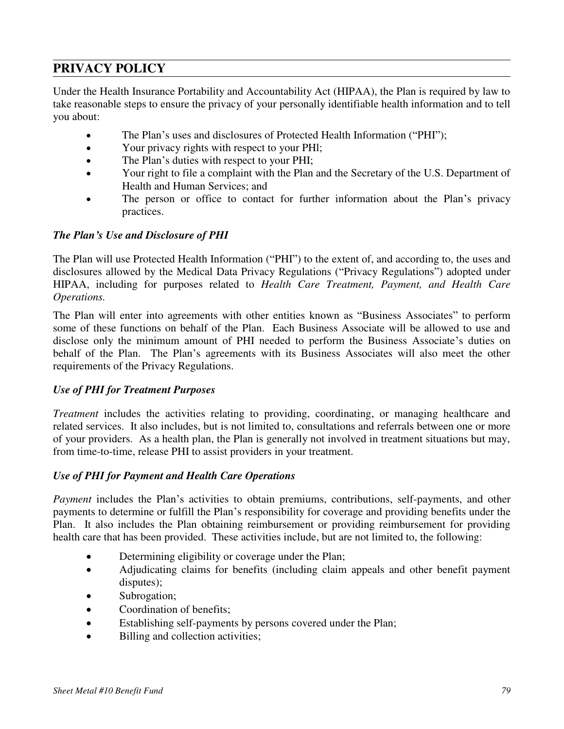Under the Health Insurance Portability and Accountability Act (HIPAA), the Plan is required by law to take reasonable steps to ensure the privacy of your personally identifiable health information and to tell you about:

- The Plan's uses and disclosures of Protected Health Information ("PHI");
- Your privacy rights with respect to your PHI;
- The Plan's duties with respect to your PHI;
- Your right to file a complaint with the Plan and the Secretary of the U.S. Department of Health and Human Services; and
- The person or office to contact for further information about the Plan's privacy practices.

## *The Plan's Use and Disclosure of PHI*

The Plan will use Protected Health Information ("PHI") to the extent of, and according to, the uses and disclosures allowed by the Medical Data Privacy Regulations ("Privacy Regulations") adopted under HIPAA, including for purposes related to *Health Care Treatment, Payment, and Health Care Operations.* 

The Plan will enter into agreements with other entities known as "Business Associates" to perform some of these functions on behalf of the Plan. Each Business Associate will be allowed to use and disclose only the minimum amount of PHI needed to perform the Business Associate's duties on behalf of the Plan. The Plan's agreements with its Business Associates will also meet the other requirements of the Privacy Regulations.

## *Use of PHI for Treatment Purposes*

*Treatment* includes the activities relating to providing, coordinating, or managing healthcare and related services. It also includes, but is not limited to, consultations and referrals between one or more of your providers. As a health plan, the Plan is generally not involved in treatment situations but may, from time-to-time, release PHI to assist providers in your treatment.

## *Use of PHI for Payment and Health Care Operations*

*Payment* includes the Plan's activities to obtain premiums, contributions, self-payments, and other payments to determine or fulfill the Plan's responsibility for coverage and providing benefits under the Plan. It also includes the Plan obtaining reimbursement or providing reimbursement for providing health care that has been provided. These activities include, but are not limited to, the following:

- Determining eligibility or coverage under the Plan;
- Adjudicating claims for benefits (including claim appeals and other benefit payment disputes);
- Subrogation;
- Coordination of benefits:
- Establishing self-payments by persons covered under the Plan;
- Billing and collection activities;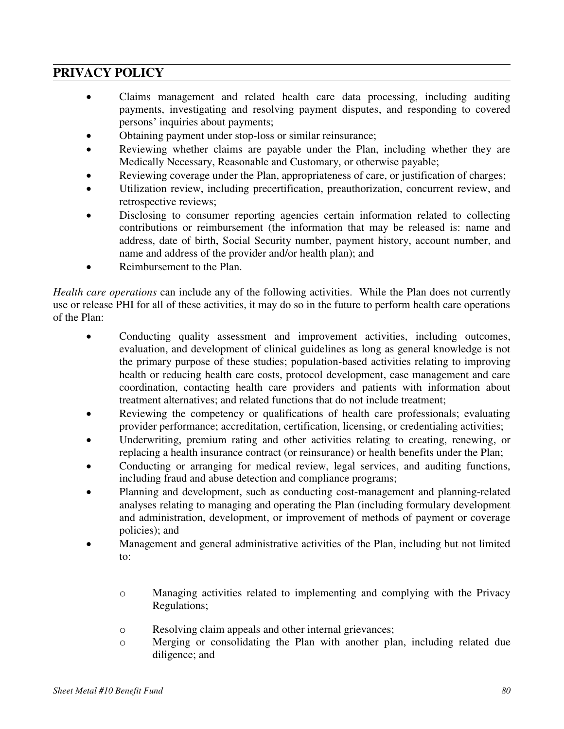- Claims management and related health care data processing, including auditing payments, investigating and resolving payment disputes, and responding to covered persons' inquiries about payments;
- Obtaining payment under stop-loss or similar reinsurance;
- Reviewing whether claims are payable under the Plan, including whether they are Medically Necessary, Reasonable and Customary, or otherwise payable;
- Reviewing coverage under the Plan, appropriateness of care, or justification of charges;
- Utilization review, including precertification, preauthorization, concurrent review, and retrospective reviews;
- Disclosing to consumer reporting agencies certain information related to collecting contributions or reimbursement (the information that may be released is: name and address, date of birth, Social Security number, payment history, account number, and name and address of the provider and/or health plan); and
- Reimbursement to the Plan.

*Health care operations* can include any of the following activities. While the Plan does not currently use or release PHI for all of these activities, it may do so in the future to perform health care operations of the Plan:

- Conducting quality assessment and improvement activities, including outcomes, evaluation, and development of clinical guidelines as long as general knowledge is not the primary purpose of these studies; population-based activities relating to improving health or reducing health care costs, protocol development, case management and care coordination, contacting health care providers and patients with information about treatment alternatives; and related functions that do not include treatment;
- Reviewing the competency or qualifications of health care professionals; evaluating provider performance; accreditation, certification, licensing, or credentialing activities;
- Underwriting, premium rating and other activities relating to creating, renewing, or replacing a health insurance contract (or reinsurance) or health benefits under the Plan;
- Conducting or arranging for medical review, legal services, and auditing functions, including fraud and abuse detection and compliance programs;
- Planning and development, such as conducting cost-management and planning-related analyses relating to managing and operating the Plan (including formulary development and administration, development, or improvement of methods of payment or coverage policies); and
- Management and general administrative activities of the Plan, including but not limited to:
	- o Managing activities related to implementing and complying with the Privacy Regulations;
	- o Resolving claim appeals and other internal grievances;
	- o Merging or consolidating the Plan with another plan, including related due diligence; and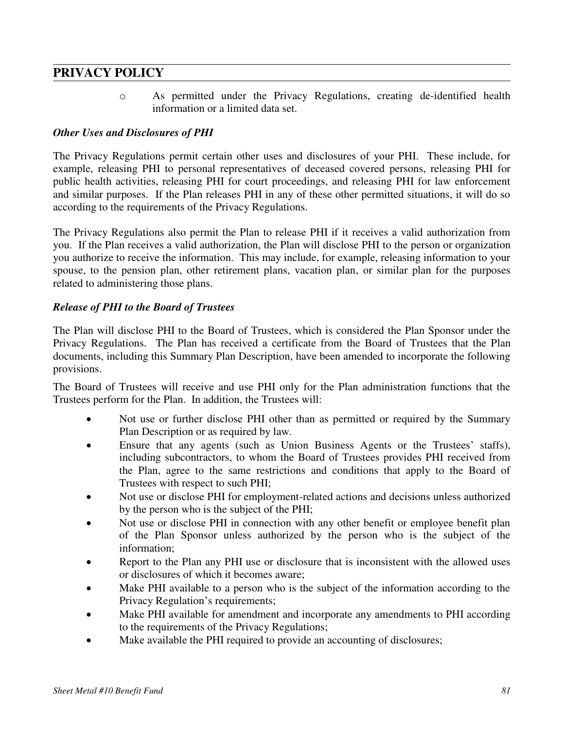o As permitted under the Privacy Regulations, creating de-identified health information or a limited data set.

## *Other Uses and Disclosures of PHI*

The Privacy Regulations permit certain other uses and disclosures of your PHI. These include, for example, releasing PHI to personal representatives of deceased covered persons, releasing PHI for public health activities, releasing PHI for court proceedings, and releasing PHI for law enforcement and similar purposes. If the Plan releases PHI in any of these other permitted situations, it will do so according to the requirements of the Privacy Regulations.

The Privacy Regulations also permit the Plan to release PHI if it receives a valid authorization from you. If the Plan receives a valid authorization, the Plan will disclose PHI to the person or organization you authorize to receive the information. This may include, for example, releasing information to your spouse, to the pension plan, other retirement plans, vacation plan, or similar plan for the purposes related to administering those plans.

## *Release of PHI to the Board of Trustees*

The Plan will disclose PHI to the Board of Trustees, which is considered the Plan Sponsor under the Privacy Regulations. The Plan has received a certificate from the Board of Trustees that the Plan documents, including this Summary Plan Description, have been amended to incorporate the following provisions.

The Board of Trustees will receive and use PHI only for the Plan administration functions that the Trustees perform for the Plan. In addition, the Trustees will:

- Not use or further disclose PHI other than as permitted or required by the Summary Plan Description or as required by law.
- Ensure that any agents (such as Union Business Agents or the Trustees' staffs), including subcontractors, to whom the Board of Trustees provides PHI received from the Plan, agree to the same restrictions and conditions that apply to the Board of Trustees with respect to such PHI;
- Not use or disclose PHI for employment-related actions and decisions unless authorized by the person who is the subject of the PHI;
- Not use or disclose PHI in connection with any other benefit or employee benefit plan of the Plan Sponsor unless authorized by the person who is the subject of the information;
- Report to the Plan any PHI use or disclosure that is inconsistent with the allowed uses or disclosures of which it becomes aware;
- Make PHI available to a person who is the subject of the information according to the Privacy Regulation's requirements;
- Make PHI available for amendment and incorporate any amendments to PHI according to the requirements of the Privacy Regulations;
- Make available the PHI required to provide an accounting of disclosures;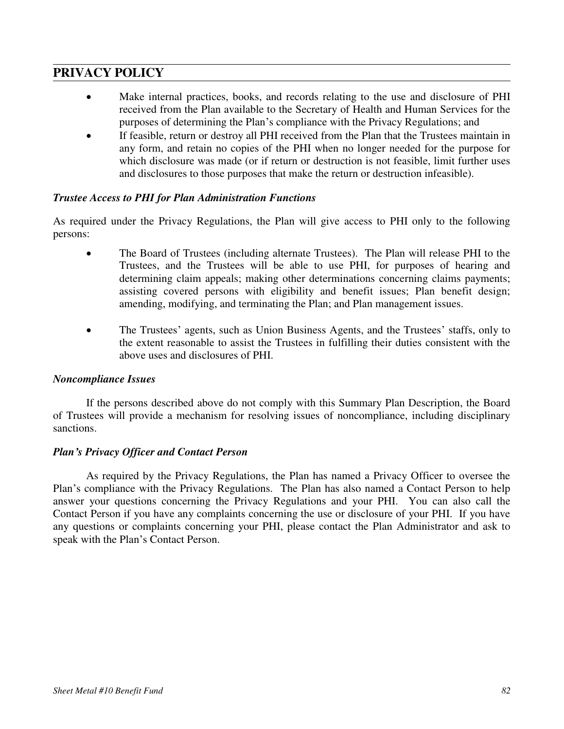- Make internal practices, books, and records relating to the use and disclosure of PHI received from the Plan available to the Secretary of Health and Human Services for the purposes of determining the Plan's compliance with the Privacy Regulations; and
- If feasible, return or destroy all PHI received from the Plan that the Trustees maintain in any form, and retain no copies of the PHI when no longer needed for the purpose for which disclosure was made (or if return or destruction is not feasible, limit further uses and disclosures to those purposes that make the return or destruction infeasible).

#### *Trustee Access to PHI for Plan Administration Functions*

As required under the Privacy Regulations, the Plan will give access to PHI only to the following persons:

- The Board of Trustees (including alternate Trustees). The Plan will release PHI to the Trustees, and the Trustees will be able to use PHI, for purposes of hearing and determining claim appeals; making other determinations concerning claims payments; assisting covered persons with eligibility and benefit issues; Plan benefit design; amending, modifying, and terminating the Plan; and Plan management issues.
- The Trustees' agents, such as Union Business Agents, and the Trustees' staffs, only to the extent reasonable to assist the Trustees in fulfilling their duties consistent with the above uses and disclosures of PHI.

#### *Noncompliance Issues*

If the persons described above do not comply with this Summary Plan Description, the Board of Trustees will provide a mechanism for resolving issues of noncompliance, including disciplinary sanctions.

## *Plan's Privacy Officer and Contact Person*

As required by the Privacy Regulations, the Plan has named a Privacy Officer to oversee the Plan's compliance with the Privacy Regulations. The Plan has also named a Contact Person to help answer your questions concerning the Privacy Regulations and your PHI. You can also call the Contact Person if you have any complaints concerning the use or disclosure of your PHI. If you have any questions or complaints concerning your PHI, please contact the Plan Administrator and ask to speak with the Plan's Contact Person.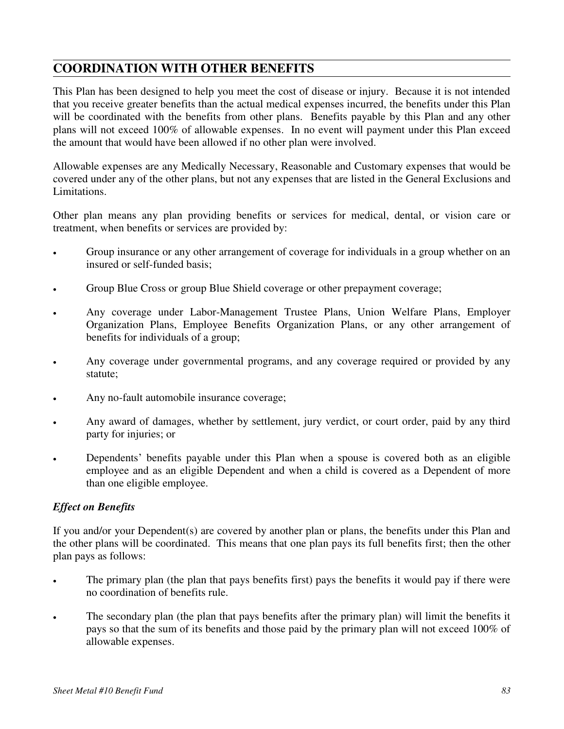## **COORDINATION WITH OTHER BENEFITS**

This Plan has been designed to help you meet the cost of disease or injury. Because it is not intended that you receive greater benefits than the actual medical expenses incurred, the benefits under this Plan will be coordinated with the benefits from other plans. Benefits payable by this Plan and any other plans will not exceed 100% of allowable expenses. In no event will payment under this Plan exceed the amount that would have been allowed if no other plan were involved.

Allowable expenses are any Medically Necessary, Reasonable and Customary expenses that would be covered under any of the other plans, but not any expenses that are listed in the General Exclusions and Limitations.

Other plan means any plan providing benefits or services for medical, dental, or vision care or treatment, when benefits or services are provided by:

- Group insurance or any other arrangement of coverage for individuals in a group whether on an insured or self-funded basis;
- Group Blue Cross or group Blue Shield coverage or other prepayment coverage;
- Any coverage under Labor-Management Trustee Plans, Union Welfare Plans, Employer Organization Plans, Employee Benefits Organization Plans, or any other arrangement of benefits for individuals of a group;
- Any coverage under governmental programs, and any coverage required or provided by any statute;
- Any no-fault automobile insurance coverage;
- Any award of damages, whether by settlement, jury verdict, or court order, paid by any third party for injuries; or
- Dependents' benefits payable under this Plan when a spouse is covered both as an eligible employee and as an eligible Dependent and when a child is covered as a Dependent of more than one eligible employee.

## *Effect on Benefits*

If you and/or your Dependent(s) are covered by another plan or plans, the benefits under this Plan and the other plans will be coordinated. This means that one plan pays its full benefits first; then the other plan pays as follows:

- The primary plan (the plan that pays benefits first) pays the benefits it would pay if there were no coordination of benefits rule.
- The secondary plan (the plan that pays benefits after the primary plan) will limit the benefits it pays so that the sum of its benefits and those paid by the primary plan will not exceed 100% of allowable expenses.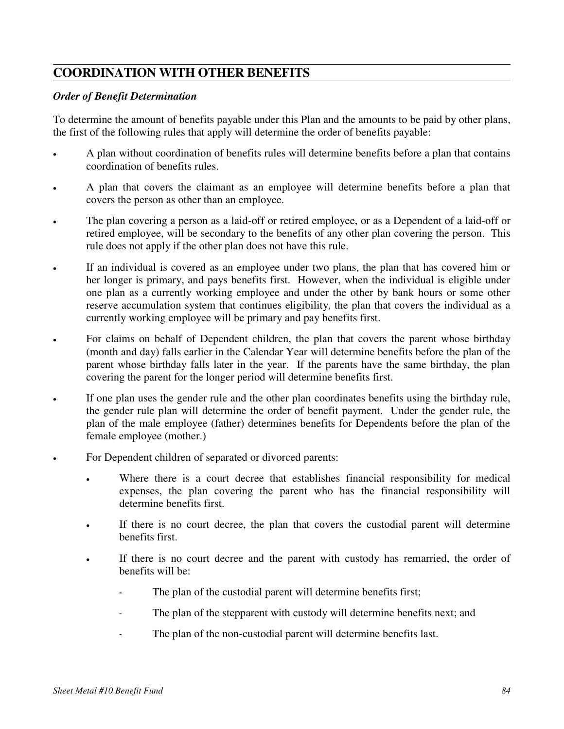## **COORDINATION WITH OTHER BENEFITS**

#### *Order of Benefit Determination*

To determine the amount of benefits payable under this Plan and the amounts to be paid by other plans, the first of the following rules that apply will determine the order of benefits payable:

- A plan without coordination of benefits rules will determine benefits before a plan that contains coordination of benefits rules.
- A plan that covers the claimant as an employee will determine benefits before a plan that covers the person as other than an employee.
- The plan covering a person as a laid-off or retired employee, or as a Dependent of a laid-off or retired employee, will be secondary to the benefits of any other plan covering the person. This rule does not apply if the other plan does not have this rule.
- If an individual is covered as an employee under two plans, the plan that has covered him or her longer is primary, and pays benefits first. However, when the individual is eligible under one plan as a currently working employee and under the other by bank hours or some other reserve accumulation system that continues eligibility, the plan that covers the individual as a currently working employee will be primary and pay benefits first.
- For claims on behalf of Dependent children, the plan that covers the parent whose birthday (month and day) falls earlier in the Calendar Year will determine benefits before the plan of the parent whose birthday falls later in the year. If the parents have the same birthday, the plan covering the parent for the longer period will determine benefits first.
- If one plan uses the gender rule and the other plan coordinates benefits using the birthday rule, the gender rule plan will determine the order of benefit payment. Under the gender rule, the plan of the male employee (father) determines benefits for Dependents before the plan of the female employee (mother.)
- For Dependent children of separated or divorced parents:
	- Where there is a court decree that establishes financial responsibility for medical expenses, the plan covering the parent who has the financial responsibility will determine benefits first.
	- If there is no court decree, the plan that covers the custodial parent will determine benefits first.
	- If there is no court decree and the parent with custody has remarried, the order of benefits will be:
		- The plan of the custodial parent will determine benefits first;
		- The plan of the stepparent with custody will determine benefits next; and
		- The plan of the non-custodial parent will determine benefits last.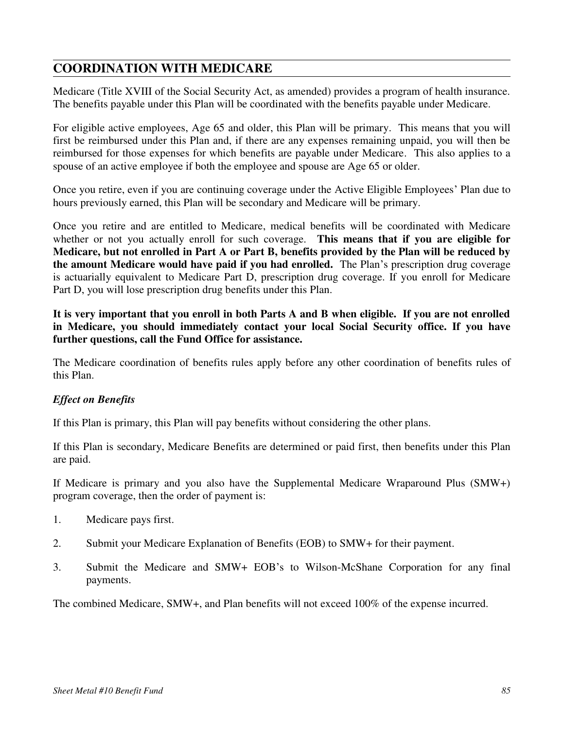## **COORDINATION WITH MEDICARE**

Medicare (Title XVIII of the Social Security Act, as amended) provides a program of health insurance. The benefits payable under this Plan will be coordinated with the benefits payable under Medicare.

For eligible active employees, Age 65 and older, this Plan will be primary. This means that you will first be reimbursed under this Plan and, if there are any expenses remaining unpaid, you will then be reimbursed for those expenses for which benefits are payable under Medicare. This also applies to a spouse of an active employee if both the employee and spouse are Age 65 or older.

Once you retire, even if you are continuing coverage under the Active Eligible Employees' Plan due to hours previously earned, this Plan will be secondary and Medicare will be primary.

Once you retire and are entitled to Medicare, medical benefits will be coordinated with Medicare whether or not you actually enroll for such coverage. **This means that if you are eligible for Medicare, but not enrolled in Part A or Part B, benefits provided by the Plan will be reduced by the amount Medicare would have paid if you had enrolled.** The Plan's prescription drug coverage is actuarially equivalent to Medicare Part D, prescription drug coverage. If you enroll for Medicare Part D, you will lose prescription drug benefits under this Plan.

**It is very important that you enroll in both Parts A and B when eligible. If you are not enrolled in Medicare, you should immediately contact your local Social Security office. If you have further questions, call the Fund Office for assistance.** 

The Medicare coordination of benefits rules apply before any other coordination of benefits rules of this Plan.

## *Effect on Benefits*

If this Plan is primary, this Plan will pay benefits without considering the other plans.

If this Plan is secondary, Medicare Benefits are determined or paid first, then benefits under this Plan are paid.

If Medicare is primary and you also have the Supplemental Medicare Wraparound Plus (SMW+) program coverage, then the order of payment is:

- 1. Medicare pays first.
- 2. Submit your Medicare Explanation of Benefits (EOB) to SMW+ for their payment.
- 3. Submit the Medicare and SMW+ EOB's to Wilson-McShane Corporation for any final payments.

The combined Medicare, SMW+, and Plan benefits will not exceed 100% of the expense incurred.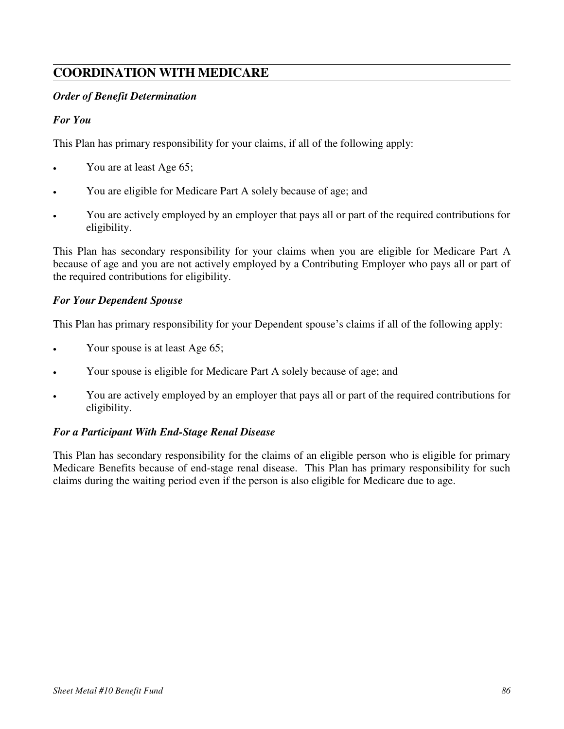# **COORDINATION WITH MEDICARE**

## *Order of Benefit Determination*

## *For You*

This Plan has primary responsibility for your claims, if all of the following apply:

- You are at least Age 65;
- You are eligible for Medicare Part A solely because of age; and
- You are actively employed by an employer that pays all or part of the required contributions for eligibility.

This Plan has secondary responsibility for your claims when you are eligible for Medicare Part A because of age and you are not actively employed by a Contributing Employer who pays all or part of the required contributions for eligibility.

## *For Your Dependent Spouse*

This Plan has primary responsibility for your Dependent spouse's claims if all of the following apply:

- Your spouse is at least Age 65;
- Your spouse is eligible for Medicare Part A solely because of age; and
- You are actively employed by an employer that pays all or part of the required contributions for eligibility.

## *For a Participant With End-Stage Renal Disease*

This Plan has secondary responsibility for the claims of an eligible person who is eligible for primary Medicare Benefits because of end-stage renal disease. This Plan has primary responsibility for such claims during the waiting period even if the person is also eligible for Medicare due to age.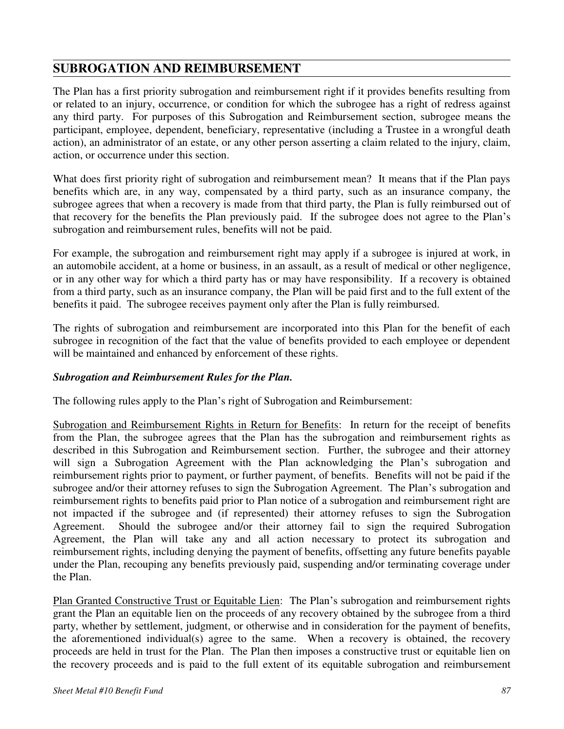## **SUBROGATION AND REIMBURSEMENT**

The Plan has a first priority subrogation and reimbursement right if it provides benefits resulting from or related to an injury, occurrence, or condition for which the subrogee has a right of redress against any third party. For purposes of this Subrogation and Reimbursement section, subrogee means the participant, employee, dependent, beneficiary, representative (including a Trustee in a wrongful death action), an administrator of an estate, or any other person asserting a claim related to the injury, claim, action, or occurrence under this section.

What does first priority right of subrogation and reimbursement mean? It means that if the Plan pays benefits which are, in any way, compensated by a third party, such as an insurance company, the subrogee agrees that when a recovery is made from that third party, the Plan is fully reimbursed out of that recovery for the benefits the Plan previously paid. If the subrogee does not agree to the Plan's subrogation and reimbursement rules, benefits will not be paid.

For example, the subrogation and reimbursement right may apply if a subrogee is injured at work, in an automobile accident, at a home or business, in an assault, as a result of medical or other negligence, or in any other way for which a third party has or may have responsibility. If a recovery is obtained from a third party, such as an insurance company, the Plan will be paid first and to the full extent of the benefits it paid. The subrogee receives payment only after the Plan is fully reimbursed.

The rights of subrogation and reimbursement are incorporated into this Plan for the benefit of each subrogee in recognition of the fact that the value of benefits provided to each employee or dependent will be maintained and enhanced by enforcement of these rights.

## *Subrogation and Reimbursement Rules for the Plan.*

The following rules apply to the Plan's right of Subrogation and Reimbursement:

Subrogation and Reimbursement Rights in Return for Benefits: In return for the receipt of benefits from the Plan, the subrogee agrees that the Plan has the subrogation and reimbursement rights as described in this Subrogation and Reimbursement section. Further, the subrogee and their attorney will sign a Subrogation Agreement with the Plan acknowledging the Plan's subrogation and reimbursement rights prior to payment, or further payment, of benefits. Benefits will not be paid if the subrogee and/or their attorney refuses to sign the Subrogation Agreement. The Plan's subrogation and reimbursement rights to benefits paid prior to Plan notice of a subrogation and reimbursement right are not impacted if the subrogee and (if represented) their attorney refuses to sign the Subrogation Agreement. Should the subrogee and/or their attorney fail to sign the required Subrogation Agreement, the Plan will take any and all action necessary to protect its subrogation and reimbursement rights, including denying the payment of benefits, offsetting any future benefits payable under the Plan, recouping any benefits previously paid, suspending and/or terminating coverage under the Plan.

Plan Granted Constructive Trust or Equitable Lien: The Plan's subrogation and reimbursement rights grant the Plan an equitable lien on the proceeds of any recovery obtained by the subrogee from a third party, whether by settlement, judgment, or otherwise and in consideration for the payment of benefits, the aforementioned individual(s) agree to the same. When a recovery is obtained, the recovery proceeds are held in trust for the Plan. The Plan then imposes a constructive trust or equitable lien on the recovery proceeds and is paid to the full extent of its equitable subrogation and reimbursement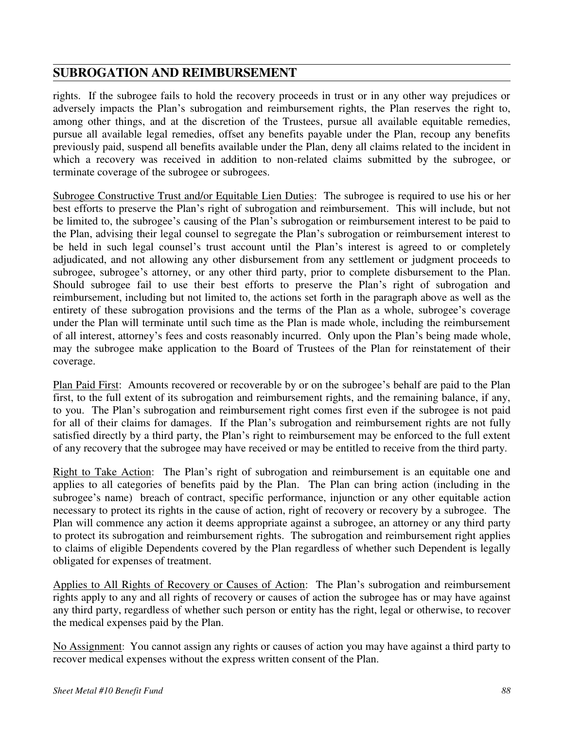## **SUBROGATION AND REIMBURSEMENT**

rights. If the subrogee fails to hold the recovery proceeds in trust or in any other way prejudices or adversely impacts the Plan's subrogation and reimbursement rights, the Plan reserves the right to, among other things, and at the discretion of the Trustees, pursue all available equitable remedies, pursue all available legal remedies, offset any benefits payable under the Plan, recoup any benefits previously paid, suspend all benefits available under the Plan, deny all claims related to the incident in which a recovery was received in addition to non-related claims submitted by the subrogee, or terminate coverage of the subrogee or subrogees.

Subrogee Constructive Trust and/or Equitable Lien Duties: The subrogee is required to use his or her best efforts to preserve the Plan's right of subrogation and reimbursement. This will include, but not be limited to, the subrogee's causing of the Plan's subrogation or reimbursement interest to be paid to the Plan, advising their legal counsel to segregate the Plan's subrogation or reimbursement interest to be held in such legal counsel's trust account until the Plan's interest is agreed to or completely adjudicated, and not allowing any other disbursement from any settlement or judgment proceeds to subrogee, subrogee's attorney, or any other third party, prior to complete disbursement to the Plan. Should subrogee fail to use their best efforts to preserve the Plan's right of subrogation and reimbursement, including but not limited to, the actions set forth in the paragraph above as well as the entirety of these subrogation provisions and the terms of the Plan as a whole, subrogee's coverage under the Plan will terminate until such time as the Plan is made whole, including the reimbursement of all interest, attorney's fees and costs reasonably incurred. Only upon the Plan's being made whole, may the subrogee make application to the Board of Trustees of the Plan for reinstatement of their coverage.

Plan Paid First: Amounts recovered or recoverable by or on the subrogee's behalf are paid to the Plan first, to the full extent of its subrogation and reimbursement rights, and the remaining balance, if any, to you. The Plan's subrogation and reimbursement right comes first even if the subrogee is not paid for all of their claims for damages. If the Plan's subrogation and reimbursement rights are not fully satisfied directly by a third party, the Plan's right to reimbursement may be enforced to the full extent of any recovery that the subrogee may have received or may be entitled to receive from the third party.

Right to Take Action: The Plan's right of subrogation and reimbursement is an equitable one and applies to all categories of benefits paid by the Plan. The Plan can bring action (including in the subrogee's name) breach of contract, specific performance, injunction or any other equitable action necessary to protect its rights in the cause of action, right of recovery or recovery by a subrogee. The Plan will commence any action it deems appropriate against a subrogee, an attorney or any third party to protect its subrogation and reimbursement rights. The subrogation and reimbursement right applies to claims of eligible Dependents covered by the Plan regardless of whether such Dependent is legally obligated for expenses of treatment.

Applies to All Rights of Recovery or Causes of Action: The Plan's subrogation and reimbursement rights apply to any and all rights of recovery or causes of action the subrogee has or may have against any third party, regardless of whether such person or entity has the right, legal or otherwise, to recover the medical expenses paid by the Plan.

No Assignment: You cannot assign any rights or causes of action you may have against a third party to recover medical expenses without the express written consent of the Plan.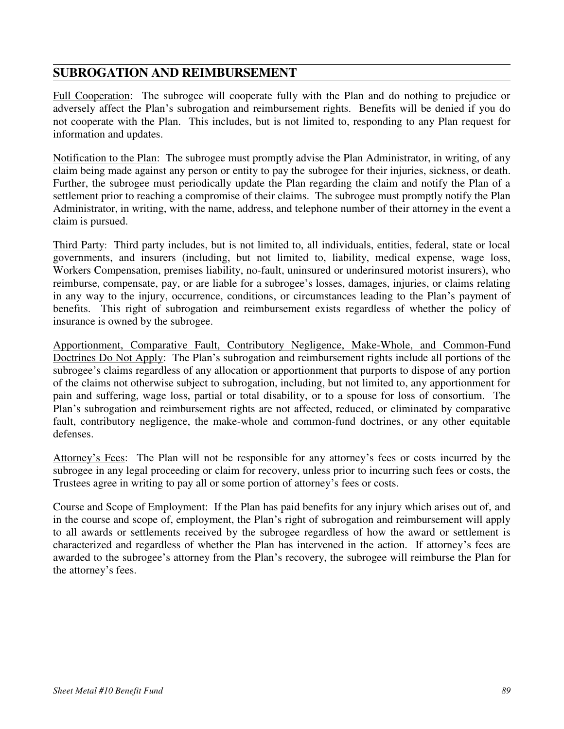## **SUBROGATION AND REIMBURSEMENT**

Full Cooperation: The subrogee will cooperate fully with the Plan and do nothing to prejudice or adversely affect the Plan's subrogation and reimbursement rights. Benefits will be denied if you do not cooperate with the Plan. This includes, but is not limited to, responding to any Plan request for information and updates.

Notification to the Plan: The subrogee must promptly advise the Plan Administrator, in writing, of any claim being made against any person or entity to pay the subrogee for their injuries, sickness, or death. Further, the subrogee must periodically update the Plan regarding the claim and notify the Plan of a settlement prior to reaching a compromise of their claims. The subrogee must promptly notify the Plan Administrator, in writing, with the name, address, and telephone number of their attorney in the event a claim is pursued.

Third Party: Third party includes, but is not limited to, all individuals, entities, federal, state or local governments, and insurers (including, but not limited to, liability, medical expense, wage loss, Workers Compensation, premises liability, no-fault, uninsured or underinsured motorist insurers), who reimburse, compensate, pay, or are liable for a subrogee's losses, damages, injuries, or claims relating in any way to the injury, occurrence, conditions, or circumstances leading to the Plan's payment of benefits. This right of subrogation and reimbursement exists regardless of whether the policy of insurance is owned by the subrogee.

Apportionment, Comparative Fault, Contributory Negligence, Make-Whole, and Common-Fund Doctrines Do Not Apply: The Plan's subrogation and reimbursement rights include all portions of the subrogee's claims regardless of any allocation or apportionment that purports to dispose of any portion of the claims not otherwise subject to subrogation, including, but not limited to, any apportionment for pain and suffering, wage loss, partial or total disability, or to a spouse for loss of consortium. The Plan's subrogation and reimbursement rights are not affected, reduced, or eliminated by comparative fault, contributory negligence, the make-whole and common-fund doctrines, or any other equitable defenses.

Attorney's Fees: The Plan will not be responsible for any attorney's fees or costs incurred by the subrogee in any legal proceeding or claim for recovery, unless prior to incurring such fees or costs, the Trustees agree in writing to pay all or some portion of attorney's fees or costs.

Course and Scope of Employment: If the Plan has paid benefits for any injury which arises out of, and in the course and scope of, employment, the Plan's right of subrogation and reimbursement will apply to all awards or settlements received by the subrogee regardless of how the award or settlement is characterized and regardless of whether the Plan has intervened in the action. If attorney's fees are awarded to the subrogee's attorney from the Plan's recovery, the subrogee will reimburse the Plan for the attorney's fees.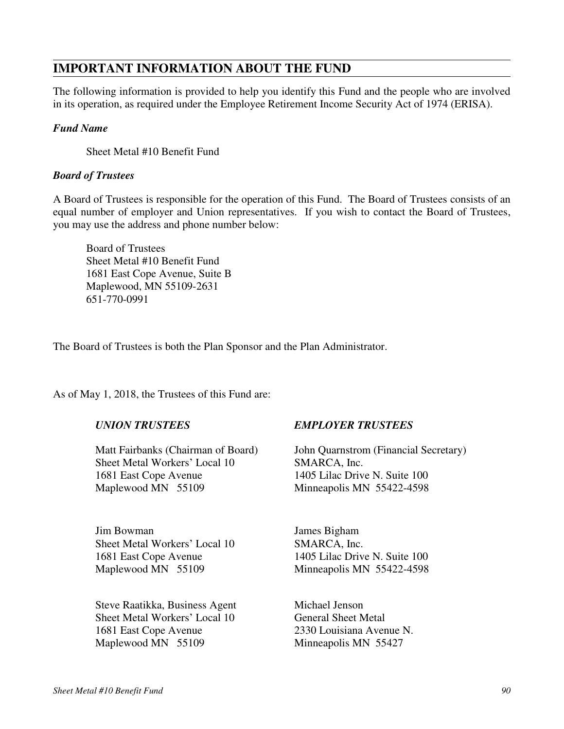## **IMPORTANT INFORMATION ABOUT THE FUND**

The following information is provided to help you identify this Fund and the people who are involved in its operation, as required under the Employee Retirement Income Security Act of 1974 (ERISA).

#### *Fund Name*

Sheet Metal #10 Benefit Fund

#### *Board of Trustees*

A Board of Trustees is responsible for the operation of this Fund. The Board of Trustees consists of an equal number of employer and Union representatives. If you wish to contact the Board of Trustees, you may use the address and phone number below:

Board of Trustees Sheet Metal #10 Benefit Fund 1681 East Cope Avenue, Suite B Maplewood, MN 55109-2631 651-770-0991

The Board of Trustees is both the Plan Sponsor and the Plan Administrator.

As of May 1, 2018, the Trustees of this Fund are:

Matt Fairbanks (Chairman of Board) Sheet Metal Workers' Local 10 1681 East Cope Avenue Maplewood MN 55109

Jim Bowman Sheet Metal Workers' Local 10 1681 East Cope Avenue Maplewood MN 55109

Steve Raatikka, Business Agent Sheet Metal Workers' Local 10 1681 East Cope Avenue Maplewood MN 55109

## *UNION TRUSTEES EMPLOYER TRUSTEES*

John Quarnstrom (Financial Secretary) SMARCA, Inc. 1405 Lilac Drive N. Suite 100 Minneapolis MN 55422-4598

James Bigham SMARCA, Inc. 1405 Lilac Drive N. Suite 100 Minneapolis MN 55422-4598

Michael Jenson General Sheet Metal 2330 Louisiana Avenue N. Minneapolis MN 55427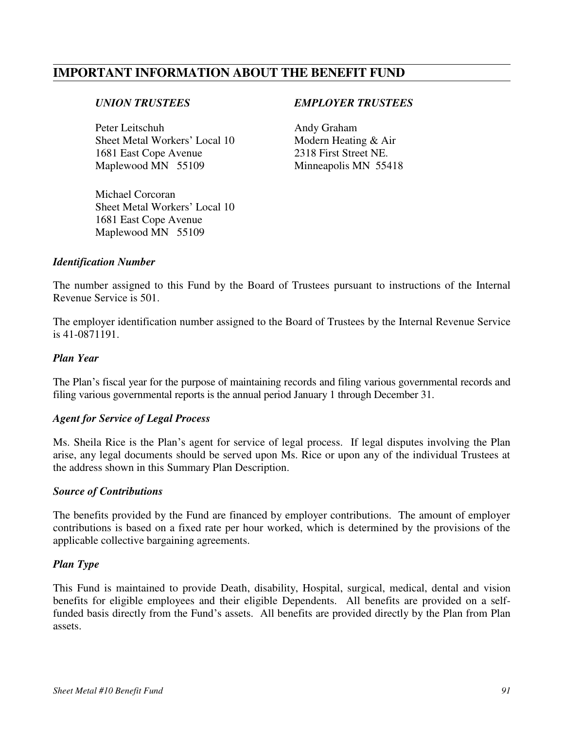# **IMPORTANT INFORMATION ABOUT THE BENEFIT FUND**

Peter Leitschuh Sheet Metal Workers' Local 10 1681 East Cope Avenue Maplewood MN 55109

Michael Corcoran Sheet Metal Workers' Local 10 1681 East Cope Avenue Maplewood MN 55109

#### *UNION TRUSTEES EMPLOYER TRUSTEES*

Andy Graham Modern Heating & Air 2318 First Street NE. Minneapolis MN 55418

#### *Identification Number*

The number assigned to this Fund by the Board of Trustees pursuant to instructions of the Internal Revenue Service is 501.

The employer identification number assigned to the Board of Trustees by the Internal Revenue Service is 41-0871191.

#### *Plan Year*

The Plan's fiscal year for the purpose of maintaining records and filing various governmental records and filing various governmental reports is the annual period January 1 through December 31.

#### *Agent for Service of Legal Process*

Ms. Sheila Rice is the Plan's agent for service of legal process. If legal disputes involving the Plan arise, any legal documents should be served upon Ms. Rice or upon any of the individual Trustees at the address shown in this Summary Plan Description.

#### *Source of Contributions*

The benefits provided by the Fund are financed by employer contributions. The amount of employer contributions is based on a fixed rate per hour worked, which is determined by the provisions of the applicable collective bargaining agreements.

#### *Plan Type*

This Fund is maintained to provide Death, disability, Hospital, surgical, medical, dental and vision benefits for eligible employees and their eligible Dependents. All benefits are provided on a selffunded basis directly from the Fund's assets. All benefits are provided directly by the Plan from Plan assets.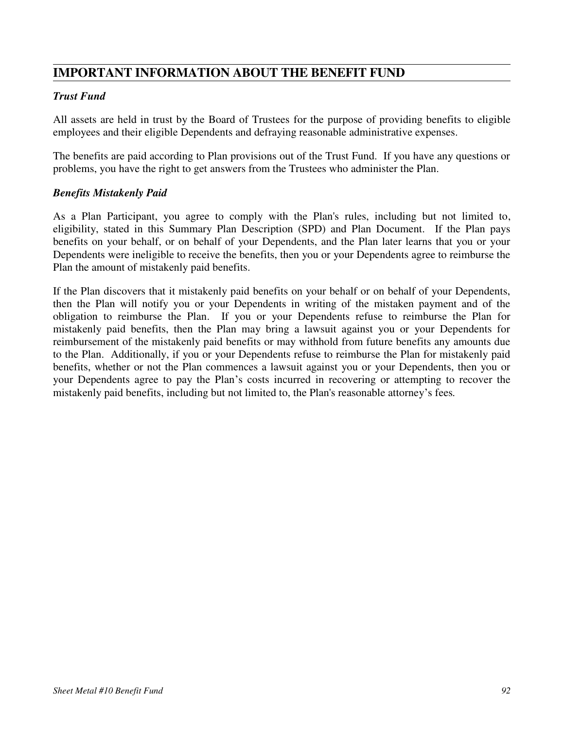# **IMPORTANT INFORMATION ABOUT THE BENEFIT FUND**

## *Trust Fund*

All assets are held in trust by the Board of Trustees for the purpose of providing benefits to eligible employees and their eligible Dependents and defraying reasonable administrative expenses.

The benefits are paid according to Plan provisions out of the Trust Fund. If you have any questions or problems, you have the right to get answers from the Trustees who administer the Plan.

## *Benefits Mistakenly Paid*

As a Plan Participant, you agree to comply with the Plan's rules, including but not limited to, eligibility, stated in this Summary Plan Description (SPD) and Plan Document. If the Plan pays benefits on your behalf, or on behalf of your Dependents, and the Plan later learns that you or your Dependents were ineligible to receive the benefits, then you or your Dependents agree to reimburse the Plan the amount of mistakenly paid benefits.

If the Plan discovers that it mistakenly paid benefits on your behalf or on behalf of your Dependents, then the Plan will notify you or your Dependents in writing of the mistaken payment and of the obligation to reimburse the Plan. If you or your Dependents refuse to reimburse the Plan for mistakenly paid benefits, then the Plan may bring a lawsuit against you or your Dependents for reimbursement of the mistakenly paid benefits or may withhold from future benefits any amounts due to the Plan. Additionally, if you or your Dependents refuse to reimburse the Plan for mistakenly paid benefits, whether or not the Plan commences a lawsuit against you or your Dependents, then you or your Dependents agree to pay the Plan's costs incurred in recovering or attempting to recover the mistakenly paid benefits, including but not limited to, the Plan's reasonable attorney's fees*.*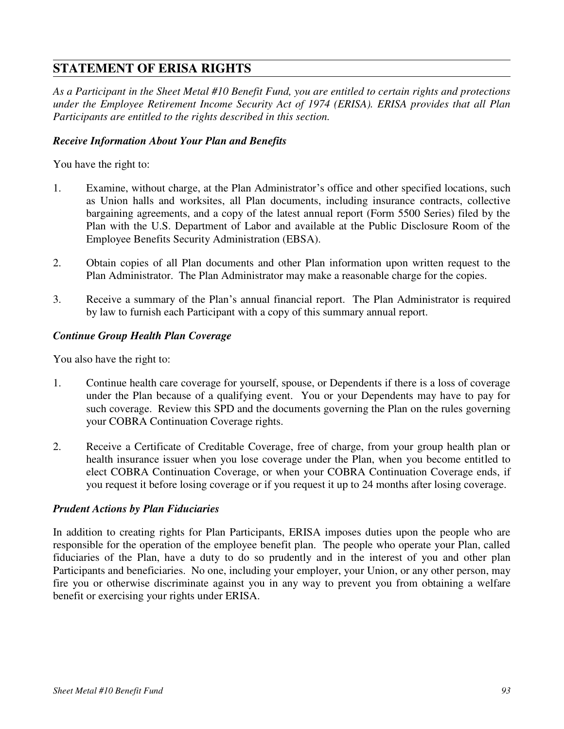## **STATEMENT OF ERISA RIGHTS**

*As a Participant in the Sheet Metal #10 Benefit Fund, you are entitled to certain rights and protections under the Employee Retirement Income Security Act of 1974 (ERISA). ERISA provides that all Plan Participants are entitled to the rights described in this section.* 

#### *Receive Information About Your Plan and Benefits*

You have the right to:

- 1. Examine, without charge, at the Plan Administrator's office and other specified locations, such as Union halls and worksites, all Plan documents, including insurance contracts, collective bargaining agreements, and a copy of the latest annual report (Form 5500 Series) filed by the Plan with the U.S. Department of Labor and available at the Public Disclosure Room of the Employee Benefits Security Administration (EBSA).
- 2. Obtain copies of all Plan documents and other Plan information upon written request to the Plan Administrator. The Plan Administrator may make a reasonable charge for the copies.
- 3. Receive a summary of the Plan's annual financial report. The Plan Administrator is required by law to furnish each Participant with a copy of this summary annual report.

#### *Continue Group Health Plan Coverage*

You also have the right to:

- 1. Continue health care coverage for yourself, spouse, or Dependents if there is a loss of coverage under the Plan because of a qualifying event. You or your Dependents may have to pay for such coverage. Review this SPD and the documents governing the Plan on the rules governing your COBRA Continuation Coverage rights.
- 2. Receive a Certificate of Creditable Coverage, free of charge, from your group health plan or health insurance issuer when you lose coverage under the Plan, when you become entitled to elect COBRA Continuation Coverage, or when your COBRA Continuation Coverage ends, if you request it before losing coverage or if you request it up to 24 months after losing coverage.

#### *Prudent Actions by Plan Fiduciaries*

In addition to creating rights for Plan Participants, ERISA imposes duties upon the people who are responsible for the operation of the employee benefit plan. The people who operate your Plan, called fiduciaries of the Plan, have a duty to do so prudently and in the interest of you and other plan Participants and beneficiaries. No one, including your employer, your Union, or any other person, may fire you or otherwise discriminate against you in any way to prevent you from obtaining a welfare benefit or exercising your rights under ERISA.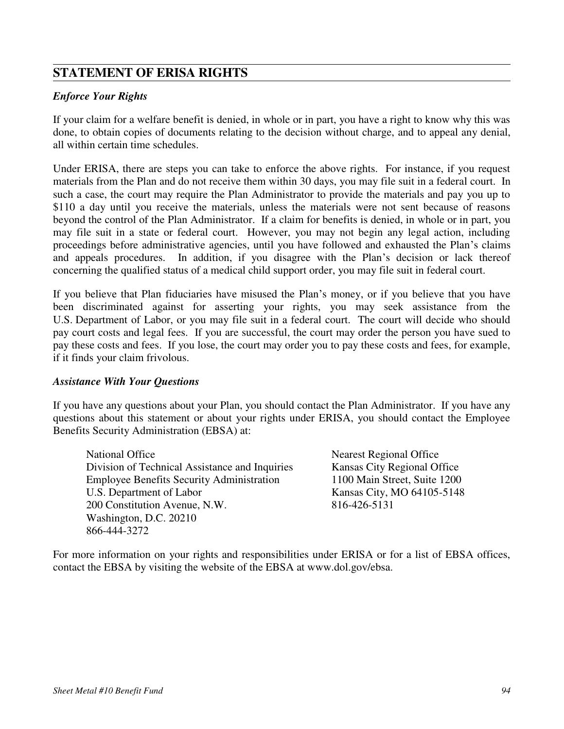## **STATEMENT OF ERISA RIGHTS**

#### *Enforce Your Rights*

If your claim for a welfare benefit is denied, in whole or in part, you have a right to know why this was done, to obtain copies of documents relating to the decision without charge, and to appeal any denial, all within certain time schedules.

Under ERISA, there are steps you can take to enforce the above rights. For instance, if you request materials from the Plan and do not receive them within 30 days, you may file suit in a federal court. In such a case, the court may require the Plan Administrator to provide the materials and pay you up to \$110 a day until you receive the materials, unless the materials were not sent because of reasons beyond the control of the Plan Administrator. If a claim for benefits is denied, in whole or in part, you may file suit in a state or federal court. However, you may not begin any legal action, including proceedings before administrative agencies, until you have followed and exhausted the Plan's claims and appeals procedures. In addition, if you disagree with the Plan's decision or lack thereof concerning the qualified status of a medical child support order, you may file suit in federal court.

If you believe that Plan fiduciaries have misused the Plan's money, or if you believe that you have been discriminated against for asserting your rights, you may seek assistance from the U.S. Department of Labor, or you may file suit in a federal court. The court will decide who should pay court costs and legal fees. If you are successful, the court may order the person you have sued to pay these costs and fees. If you lose, the court may order you to pay these costs and fees, for example, if it finds your claim frivolous.

#### *Assistance With Your Questions*

If you have any questions about your Plan, you should contact the Plan Administrator. If you have any questions about this statement or about your rights under ERISA, you should contact the Employee Benefits Security Administration (EBSA) at:

National Office Division of Technical Assistance and Inquiries Employee Benefits Security Administration U.S. Department of Labor 200 Constitution Avenue, N.W. Washington, D.C. 20210 866-444-3272

Nearest Regional Office Kansas City Regional Office 1100 Main Street, Suite 1200 Kansas City, MO 64105-5148 816-426-5131

For more information on your rights and responsibilities under ERISA or for a list of EBSA offices, contact the EBSA by visiting the website of the EBSA at www.dol.gov/ebsa.